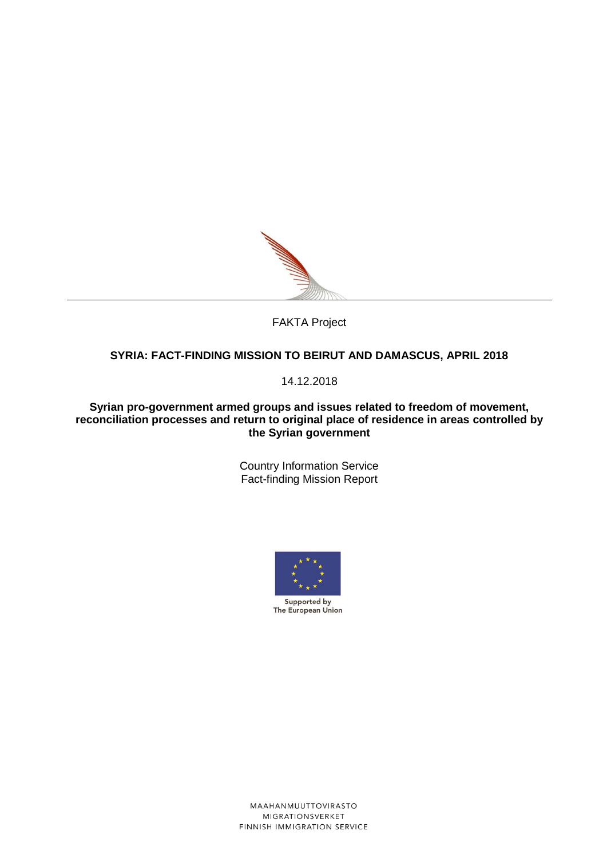

FAKTA Project

# **SYRIA: FACT-FINDING MISSION TO BEIRUT AND DAMASCUS, APRIL 2018**

14.12.2018

**Syrian pro-government armed groups and issues related to freedom of movement, reconciliation processes and return to original place of residence in areas controlled by the Syrian government**

> Country Information Service Fact-finding Mission Report

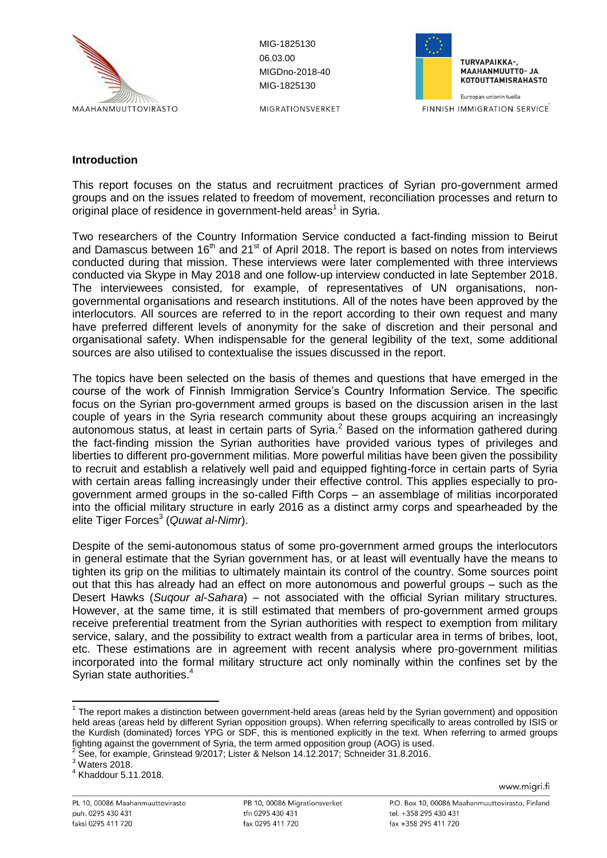

MIG-1825130 06.03.00 MIGDno-2018-40 MIG-1825130

**MIGRATIONSVERKET** 



TURVAPAIKKA-, **MAAHANMUUTTO- JA KOTOUTTAMISRAHASTO** 

Euroopan unionin tuella FINNISH IMMIGRATION SERVICE

## **Introduction**

This report focuses on the status and recruitment practices of Syrian pro-government armed groups and on the issues related to freedom of movement, reconciliation processes and return to original place of residence in government-held areas<sup>1</sup> in Syria.

Two researchers of the Country Information Service conducted a fact-finding mission to Beirut and Damascus between  $16<sup>th</sup>$  and  $21<sup>st</sup>$  of April 2018. The report is based on notes from interviews conducted during that mission. These interviews were later complemented with three interviews conducted via Skype in May 2018 and one follow-up interview conducted in late September 2018. The interviewees consisted, for example, of representatives of UN organisations, nongovernmental organisations and research institutions. All of the notes have been approved by the interlocutors. All sources are referred to in the report according to their own request and many have preferred different levels of anonymity for the sake of discretion and their personal and organisational safety. When indispensable for the general legibility of the text, some additional sources are also utilised to contextualise the issues discussed in the report.

The topics have been selected on the basis of themes and questions that have emerged in the course of the work of Finnish Immigration Service's Country Information Service. The specific focus on the Syrian pro-government armed groups is based on the discussion arisen in the last couple of years in the Syria research community about these groups acquiring an increasingly autonomous status, at least in certain parts of Syria.<sup>2</sup> Based on the information gathered during the fact-finding mission the Syrian authorities have provided various types of privileges and liberties to different pro-government militias. More powerful militias have been given the possibility to recruit and establish a relatively well paid and equipped fighting-force in certain parts of Syria with certain areas falling increasingly under their effective control. This applies especially to progovernment armed groups in the so-called Fifth Corps – an assemblage of militias incorporated into the official military structure in early 2016 as a distinct army corps and spearheaded by the elite Tiger Forces<sup>3</sup> (Quwat al-Nimr).

Despite of the semi-autonomous status of some pro-government armed groups the interlocutors in general estimate that the Syrian government has, or at least will eventually have the means to tighten its grip on the militias to ultimately maintain its control of the country. Some sources point out that this has already had an effect on more autonomous and powerful groups – such as the Desert Hawks (*Suqour al-Sahara*) – not associated with the official Syrian military structures. However, at the same time, it is still estimated that members of pro-government armed groups receive preferential treatment from the Syrian authorities with respect to exemption from military service, salary, and the possibility to extract wealth from a particular area in terms of bribes, loot, etc. These estimations are in agreement with recent analysis where pro-government militias incorporated into the formal military structure act only nominally within the confines set by the Syrian state authorities.<sup>4</sup>

 $^2$  See, for example, Grinstead 9/2017; Lister & Nelson 14.12.2017; Schneider 31.8.2016.

 $\overline{a}$ 

 $1$  The report makes a distinction between government-held areas (areas held by the Syrian government) and opposition held areas (areas held by different Syrian opposition groups). When referring specifically to areas controlled by ISIS or the Kurdish (dominated) forces YPG or SDF, this is mentioned explicitly in the text. When referring to armed groups fighting against the government of Syria, the term armed opposition group (AOG) is used.

 $3$  Waters 2018.

<sup>4</sup> Khaddour 5.11.2018.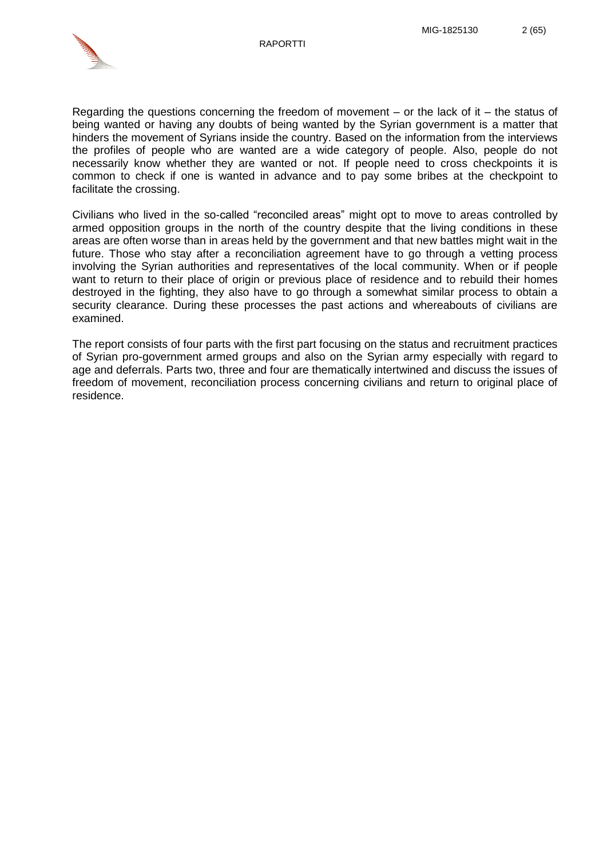

Regarding the questions concerning the freedom of movement – or the lack of it – the status of being wanted or having any doubts of being wanted by the Syrian government is a matter that hinders the movement of Syrians inside the country. Based on the information from the interviews the profiles of people who are wanted are a wide category of people. Also, people do not necessarily know whether they are wanted or not. If people need to cross checkpoints it is common to check if one is wanted in advance and to pay some bribes at the checkpoint to facilitate the crossing.

Civilians who lived in the so-called "reconciled areas" might opt to move to areas controlled by armed opposition groups in the north of the country despite that the living conditions in these areas are often worse than in areas held by the government and that new battles might wait in the future. Those who stay after a reconciliation agreement have to go through a vetting process involving the Syrian authorities and representatives of the local community. When or if people want to return to their place of origin or previous place of residence and to rebuild their homes destroyed in the fighting, they also have to go through a somewhat similar process to obtain a security clearance. During these processes the past actions and whereabouts of civilians are examined.

The report consists of four parts with the first part focusing on the status and recruitment practices of Syrian pro-government armed groups and also on the Syrian army especially with regard to age and deferrals. Parts two, three and four are thematically intertwined and discuss the issues of freedom of movement, reconciliation process concerning civilians and return to original place of residence.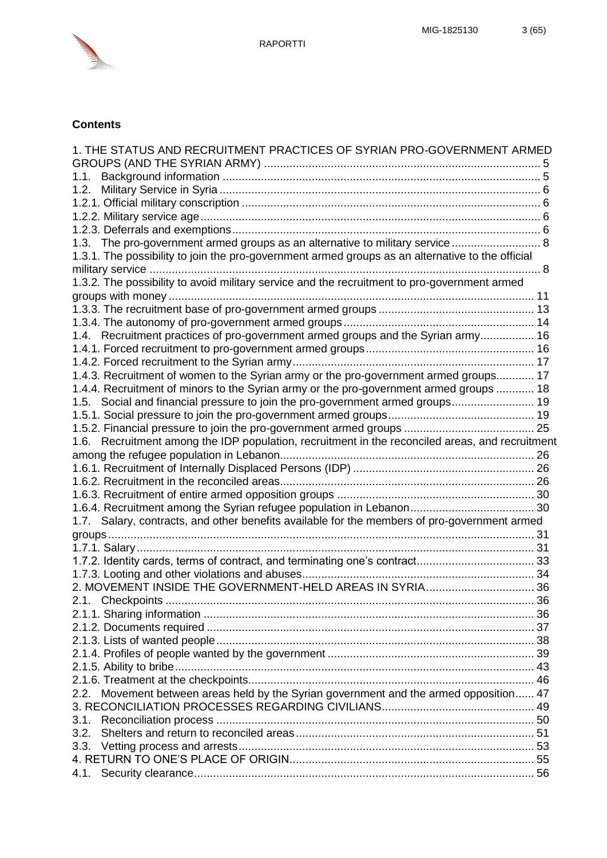

# **Contents**

| 1. THE STATUS AND RECRUITMENT PRACTICES OF SYRIAN PRO-GOVERNMENT ARMED                           |     |
|--------------------------------------------------------------------------------------------------|-----|
|                                                                                                  |     |
| 1.1.                                                                                             |     |
| 1.2.                                                                                             |     |
|                                                                                                  |     |
|                                                                                                  |     |
|                                                                                                  |     |
| 1.3. The pro-government armed groups as an alternative to military service  8                    |     |
| 1.3.1. The possibility to join the pro-government armed groups as an alternative to the official |     |
|                                                                                                  |     |
| 1.3.2. The possibility to avoid military service and the recruitment to pro-government armed     |     |
|                                                                                                  |     |
|                                                                                                  |     |
|                                                                                                  |     |
| 1.4. Recruitment practices of pro-government armed groups and the Syrian army 16                 |     |
|                                                                                                  |     |
|                                                                                                  |     |
| 1.4.3. Recruitment of women to the Syrian army or the pro-government armed groups 17             |     |
| 1.4.4. Recruitment of minors to the Syrian army or the pro-government armed groups  18           |     |
| 1.5. Social and financial pressure to join the pro-government armed groups 19                    |     |
|                                                                                                  |     |
|                                                                                                  |     |
| 1.6. Recruitment among the IDP population, recruitment in the reconciled areas, and recruitment  |     |
|                                                                                                  |     |
|                                                                                                  |     |
|                                                                                                  |     |
|                                                                                                  |     |
|                                                                                                  |     |
| 1.7. Salary, contracts, and other benefits available for the members of pro-government armed     |     |
|                                                                                                  |     |
|                                                                                                  |     |
|                                                                                                  |     |
|                                                                                                  |     |
|                                                                                                  |     |
| 2.1. Checkpoints                                                                                 | 36. |
|                                                                                                  |     |
|                                                                                                  |     |
|                                                                                                  |     |
|                                                                                                  |     |
|                                                                                                  |     |
|                                                                                                  |     |
| 2.2. Movement between areas held by the Syrian government and the armed opposition 47            |     |
|                                                                                                  |     |
| 3.1.                                                                                             |     |
| 3.2.                                                                                             |     |
| 3.3.                                                                                             |     |
|                                                                                                  |     |
|                                                                                                  |     |
|                                                                                                  |     |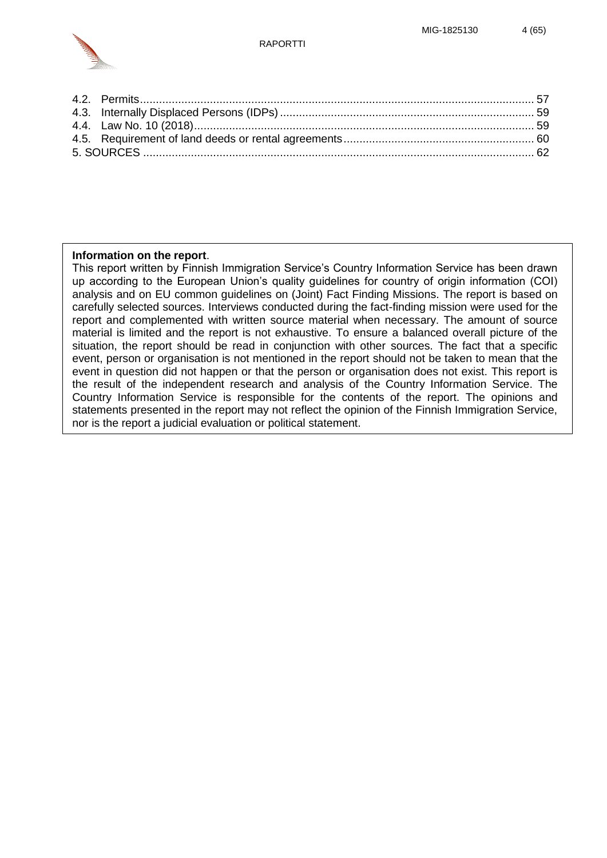

## **Information on the report**.

This report written by Finnish Immigration Service's Country Information Service has been drawn up according to the European Union's quality guidelines for country of origin information (COI) analysis and on EU common guidelines on (Joint) Fact Finding Missions. The report is based on carefully selected sources. Interviews conducted during the fact-finding mission were used for the report and complemented with written source material when necessary. The amount of source material is limited and the report is not exhaustive. To ensure a balanced overall picture of the situation, the report should be read in conjunction with other sources. The fact that a specific event, person or organisation is not mentioned in the report should not be taken to mean that the event in question did not happen or that the person or organisation does not exist. This report is the result of the independent research and analysis of the Country Information Service. The Country Information Service is responsible for the contents of the report. The opinions and statements presented in the report may not reflect the opinion of the Finnish Immigration Service, nor is the report a judicial evaluation or political statement.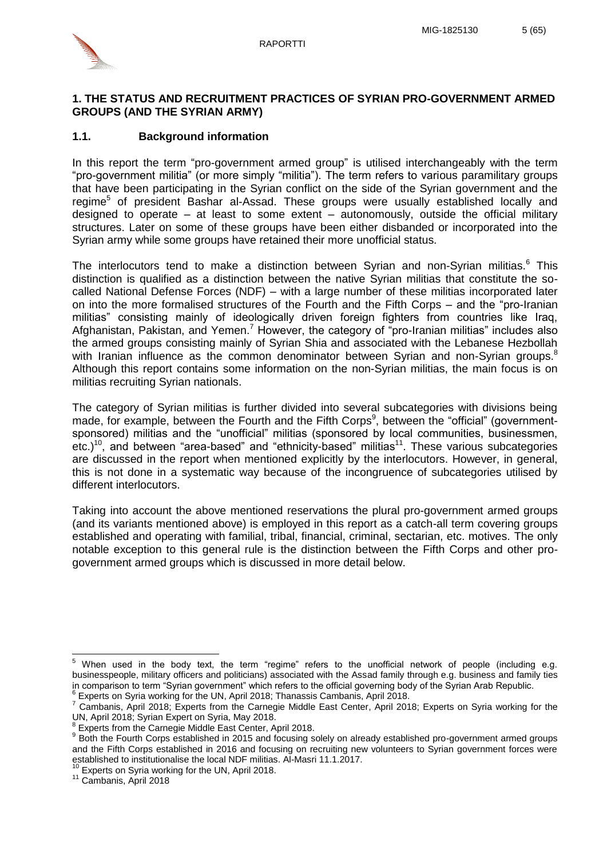

#### <span id="page-5-0"></span>**1. THE STATUS AND RECRUITMENT PRACTICES OF SYRIAN PRO-GOVERNMENT ARMED GROUPS (AND THE SYRIAN ARMY)**

## <span id="page-5-1"></span>**1.1. Background information**

In this report the term "pro-government armed group" is utilised interchangeably with the term "pro-government militia" (or more simply "militia"). The term refers to various paramilitary groups that have been participating in the Syrian conflict on the side of the Syrian government and the regime<sup>5</sup> of president Bashar al-Assad. These groups were usually established locally and designed to operate – at least to some extent – autonomously, outside the official military structures. Later on some of these groups have been either disbanded or incorporated into the Syrian army while some groups have retained their more unofficial status.

The interlocutors tend to make a distinction between Syrian and non-Syrian militias.<sup>6</sup> This distinction is qualified as a distinction between the native Syrian militias that constitute the socalled National Defense Forces (NDF) – with a large number of these militias incorporated later on into the more formalised structures of the Fourth and the Fifth Corps – and the "pro-Iranian militias" consisting mainly of ideologically driven foreign fighters from countries like Iraq, Afghanistan, Pakistan, and Yemen.<sup>7</sup> However, the category of "pro-Iranian militias" includes also the armed groups consisting mainly of Syrian Shia and associated with the Lebanese Hezbollah with Iranian influence as the common denominator between Syrian and non-Syrian groups.<sup>8</sup> Although this report contains some information on the non-Syrian militias, the main focus is on militias recruiting Syrian nationals.

The category of Syrian militias is further divided into several subcategories with divisions being made, for example, between the Fourth and the Fifth Corps<sup>9</sup>, between the "official" (governmentsponsored) militias and the "unofficial" militias (sponsored by local communities, businessmen, etc.)<sup>10</sup>, and between "area-based" and "ethnicity-based" militias<sup>11</sup>. These various subcategories are discussed in the report when mentioned explicitly by the interlocutors. However, in general, this is not done in a systematic way because of the incongruence of subcategories utilised by different interlocutors.

Taking into account the above mentioned reservations the plural pro-government armed groups (and its variants mentioned above) is employed in this report as a catch-all term covering groups established and operating with familial, tribal, financial, criminal, sectarian, etc. motives. The only notable exception to this general rule is the distinction between the Fifth Corps and other progovernment armed groups which is discussed in more detail below.

 $5$  When used in the body text, the term "regime" refers to the unofficial network of people (including e.g. businesspeople, military officers and politicians) associated with the Assad family through e.g. business and family ties in comparison to term "Syrian government" which refers to the official governing body of the Syrian Arab Republic.<br><sup>6</sup> Experts an Syria working for the UNL April 2018; Thenassia Cambania, April 2018.

Experts on Syria working for the UN, April 2018; Thanassis Cambanis, April 2018.

<sup>7</sup> Cambanis, April 2018; Experts from the Carnegie Middle East Center, April 2018; Experts on Syria working for the UN, April 2018; Syrian Expert on Syria, May 2018.

<sup>&</sup>lt;sup>8</sup> Experts from the Carnegie Middle East Center, April 2018.

<sup>&</sup>lt;sup>9</sup> Both the Fourth Corps established in 2015 and focusing solely on already established pro-government armed groups and the Fifth Corps established in 2016 and focusing on recruiting new volunteers to Syrian government forces were established to institutionalise the local NDF militias. Al-Masri 11.1.2017.

 $10$  Experts on Syria working for the UN, April 2018.

<sup>&</sup>lt;sup>11</sup> Cambanis, April 2018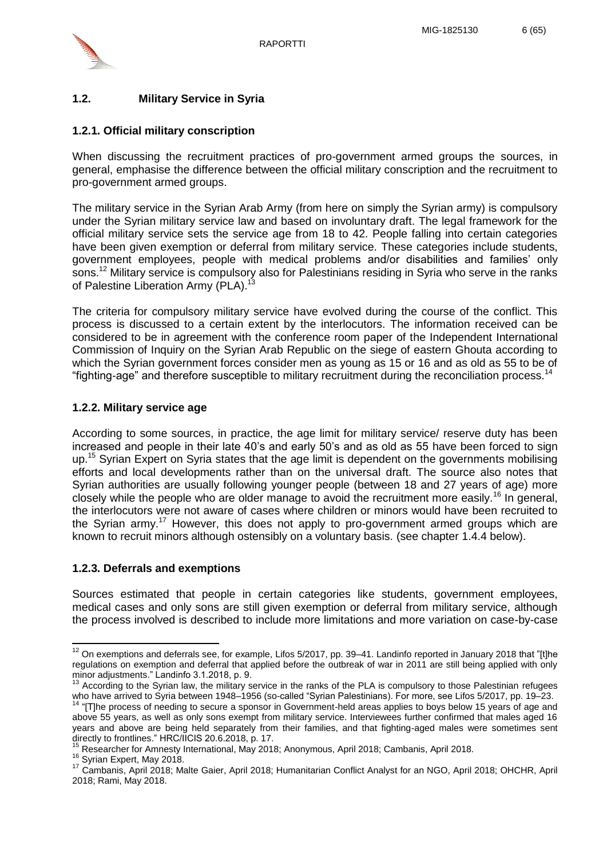

## <span id="page-6-0"></span>**1.2. Military Service in Syria**

#### <span id="page-6-1"></span>**1.2.1. Official military conscription**

When discussing the recruitment practices of pro-government armed groups the sources, in general, emphasise the difference between the official military conscription and the recruitment to pro-government armed groups.

The military service in the Syrian Arab Army (from here on simply the Syrian army) is compulsory under the Syrian military service law and based on involuntary draft. The legal framework for the official military service sets the service age from 18 to 42. People falling into certain categories have been given exemption or deferral from military service. These categories include students, government employees, people with medical problems and/or disabilities and families' only sons.<sup>12</sup> Military service is compulsory also for Palestinians residing in Syria who serve in the ranks of Palestine Liberation Army (PLA).

The criteria for compulsory military service have evolved during the course of the conflict. This process is discussed to a certain extent by the interlocutors. The information received can be considered to be in agreement with the conference room paper of the Independent International Commission of Inquiry on the Syrian Arab Republic on the siege of eastern Ghouta according to which the Syrian government forces consider men as young as 15 or 16 and as old as 55 to be of "fighting-age" and therefore susceptible to military recruitment during the reconciliation process.<sup>14</sup>

#### <span id="page-6-2"></span>**1.2.2. Military service age**

According to some sources, in practice, the age limit for military service/ reserve duty has been increased and people in their late 40's and early 50's and as old as 55 have been forced to sign up.<sup>15</sup> Syrian Expert on Syria states that the age limit is dependent on the governments mobilising efforts and local developments rather than on the universal draft. The source also notes that Syrian authorities are usually following younger people (between 18 and 27 years of age) more closely while the people who are older manage to avoid the recruitment more easily.<sup>16</sup> In general, the interlocutors were not aware of cases where children or minors would have been recruited to the Syrian army.<sup>17</sup> However, this does not apply to pro-government armed groups which are known to recruit minors although ostensibly on a voluntary basis. (see chapter 1.4.4 below).

#### <span id="page-6-3"></span>**1.2.3. Deferrals and exemptions**

Sources estimated that people in certain categories like students, government employees, medical cases and only sons are still given exemption or deferral from military service, although the process involved is described to include more limitations and more variation on case-by-case

 $\overline{a}$ 

 $12$  On exemptions and deferrals see, for example, Lifos 5/2017, pp. 39–41. Landinfo reported in January 2018 that "[t]he regulations on exemption and deferral that applied before the outbreak of war in 2011 are still being applied with only minor adjustments." Landinfo 3.1.2018, p. 9.

<sup>&</sup>lt;sup>13</sup> According to the Syrian law, the military service in the ranks of the PLA is compulsory to those Palestinian refugees who have arrived to Syria between 1948–1956 (so-called "Syrian Palestinians). For more, see Lifos 5/2017, pp. 19–23.

<sup>14</sup> "[T]he process of needing to secure a sponsor in Government-held areas applies to boys below 15 years of age and above 55 years, as well as only sons exempt from military service. Interviewees further confirmed that males aged 16 years and above are being held separately from their families, and that fighting-aged males were sometimes sent directly to frontlines." HRC/IICIS 20.6.2018, p. 17.

<sup>15</sup> Researcher for Amnesty International, May 2018; Anonymous, April 2018; Cambanis, April 2018.

<sup>&</sup>lt;sup>16</sup> Syrian Expert, May 2018.

<sup>17</sup> Cambanis, April 2018; Malte Gaier, April 2018; Humanitarian Conflict Analyst for an NGO, April 2018; OHCHR, April 2018; Rami, May 2018.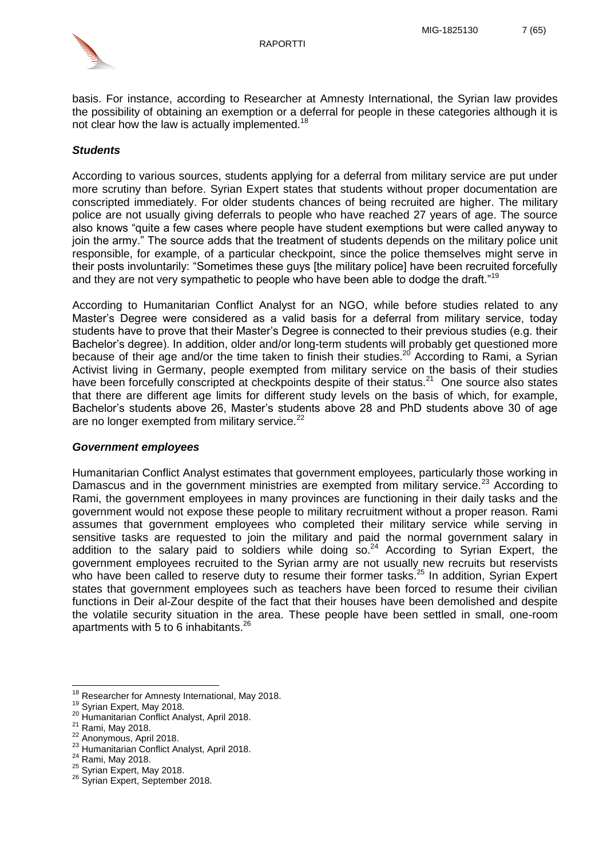

basis. For instance, according to Researcher at Amnesty International, the Syrian law provides the possibility of obtaining an exemption or a deferral for people in these categories although it is not clear how the law is actually implemented.<sup>18</sup>

### *Students*

According to various sources, students applying for a deferral from military service are put under more scrutiny than before. Syrian Expert states that students without proper documentation are conscripted immediately. For older students chances of being recruited are higher. The military police are not usually giving deferrals to people who have reached 27 years of age. The source also knows "quite a few cases where people have student exemptions but were called anyway to join the army." The source adds that the treatment of students depends on the military police unit responsible, for example, of a particular checkpoint, since the police themselves might serve in their posts involuntarily: "Sometimes these guys [the military police] have been recruited forcefully and they are not very sympathetic to people who have been able to dodge the draft."<sup>19</sup>

According to Humanitarian Conflict Analyst for an NGO, while before studies related to any Master's Degree were considered as a valid basis for a deferral from military service, today students have to prove that their Master's Degree is connected to their previous studies (e.g. their Bachelor's degree). In addition, older and/or long-term students will probably get questioned more because of their age and/or the time taken to finish their studies.<sup>20</sup> According to Rami, a Syrian Activist living in Germany, people exempted from military service on the basis of their studies have been forcefully conscripted at checkpoints despite of their status. $21$  One source also states that there are different age limits for different study levels on the basis of which, for example, Bachelor's students above 26, Master's students above 28 and PhD students above 30 of age are no longer exempted from military service.<sup>22</sup>

### *Government employees*

Humanitarian Conflict Analyst estimates that government employees, particularly those working in Damascus and in the government ministries are exempted from military service.<sup>23</sup> According to Rami, the government employees in many provinces are functioning in their daily tasks and the government would not expose these people to military recruitment without a proper reason. Rami assumes that government employees who completed their military service while serving in sensitive tasks are requested to join the military and paid the normal government salary in addition to the salary paid to soldiers while doing so.<sup>24</sup> According to Syrian Expert, the government employees recruited to the Syrian army are not usually new recruits but reservists who have been called to reserve duty to resume their former tasks.<sup>25</sup> In addition, Syrian Expert states that government employees such as teachers have been forced to resume their civilian functions in Deir al-Zour despite of the fact that their houses have been demolished and despite the volatile security situation in the area. These people have been settled in small, one-room apartments with 5 to 6 inhabitants.<sup>26</sup>

 $18$  Researcher for Amnesty International, May 2018.

<sup>19</sup> Syrian Expert, May 2018.

<sup>20</sup> Humanitarian Conflict Analyst, April 2018.

<sup>21</sup> Rami, May 2018.

<sup>22</sup> Anonymous, April 2018.

<sup>&</sup>lt;sup>23</sup> Humanitarian Conflict Analyst, April 2018.

<sup>&</sup>lt;sup>24</sup> Rami, May 2018.

<sup>&</sup>lt;sup>25</sup> Syrian Expert, May 2018.

<sup>&</sup>lt;sup>26</sup> Syrian Expert, September 2018.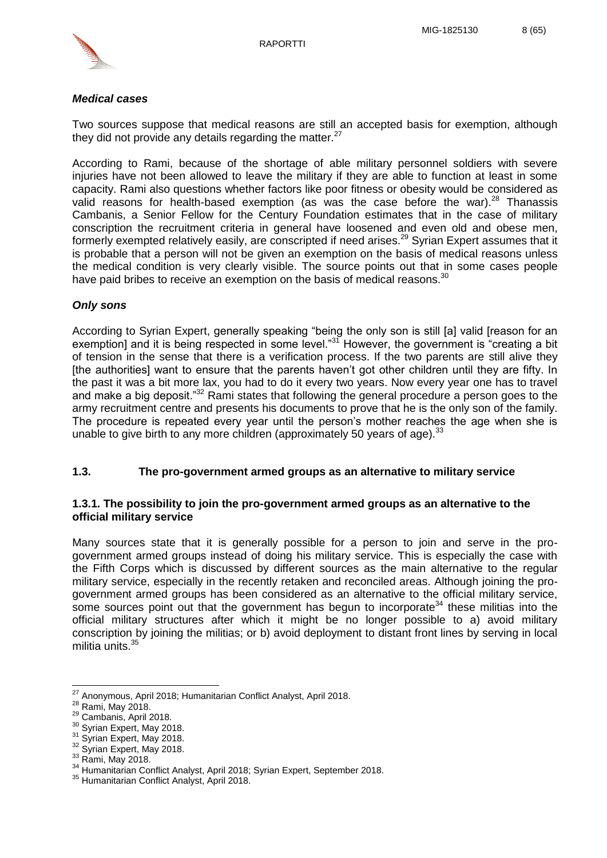

#### *Medical cases*

Two sources suppose that medical reasons are still an accepted basis for exemption, although they did not provide any details regarding the matter.<sup>27</sup>

According to Rami, because of the shortage of able military personnel soldiers with severe injuries have not been allowed to leave the military if they are able to function at least in some capacity. Rami also questions whether factors like poor fitness or obesity would be considered as valid reasons for health-based exemption (as was the case before the war). $^{28}$  Thanassis Cambanis, a Senior Fellow for the Century Foundation estimates that in the case of military conscription the recruitment criteria in general have loosened and even old and obese men, formerly exempted relatively easily, are conscripted if need arises.<sup>29</sup> Syrian Expert assumes that it is probable that a person will not be given an exemption on the basis of medical reasons unless the medical condition is very clearly visible. The source points out that in some cases people have paid bribes to receive an exemption on the basis of medical reasons. $30$ 

#### *Only sons*

According to Syrian Expert, generally speaking "being the only son is still [a] valid [reason for an exemption] and it is being respected in some level."<sup>31</sup> However, the government is "creating a bit of tension in the sense that there is a verification process. If the two parents are still alive they [the authorities] want to ensure that the parents haven't got other children until they are fifty. In the past it was a bit more lax, you had to do it every two years. Now every year one has to travel and make a big deposit."<sup>32</sup> Rami states that following the general procedure a person goes to the army recruitment centre and presents his documents to prove that he is the only son of the family. The procedure is repeated every year until the person's mother reaches the age when she is unable to give birth to any more children (approximately 50 years of age).  $33$ 

### <span id="page-8-0"></span>**1.3. The pro-government armed groups as an alternative to military service**

#### <span id="page-8-1"></span>**1.3.1. The possibility to join the pro-government armed groups as an alternative to the official military service**

Many sources state that it is generally possible for a person to join and serve in the progovernment armed groups instead of doing his military service. This is especially the case with the Fifth Corps which is discussed by different sources as the main alternative to the regular military service, especially in the recently retaken and reconciled areas. Although joining the progovernment armed groups has been considered as an alternative to the official military service, some sources point out that the government has begun to incorporate<sup>34</sup> these militias into the official military structures after which it might be no longer possible to a) avoid military conscription by joining the militias; or b) avoid deployment to distant front lines by serving in local militia units.<sup>35</sup>

 $27$ <sup>27</sup> Anonymous, April 2018; Humanitarian Conflict Analyst, April 2018.

<sup>&</sup>lt;sup>28</sup> Rami, May 2018.

<sup>29</sup> Cambanis, April 2018.

<sup>&</sup>lt;sup>30</sup> Syrian Expert, May 2018.

<sup>&</sup>lt;sup>31</sup> Syrian Expert, May 2018.

<sup>&</sup>lt;sup>32</sup> Syrian Expert, May 2018.

<sup>33</sup> Rami, May 2018.

<sup>34</sup> Humanitarian Conflict Analyst, April 2018; Syrian Expert, September 2018.

<sup>35</sup> Humanitarian Conflict Analyst, April 2018.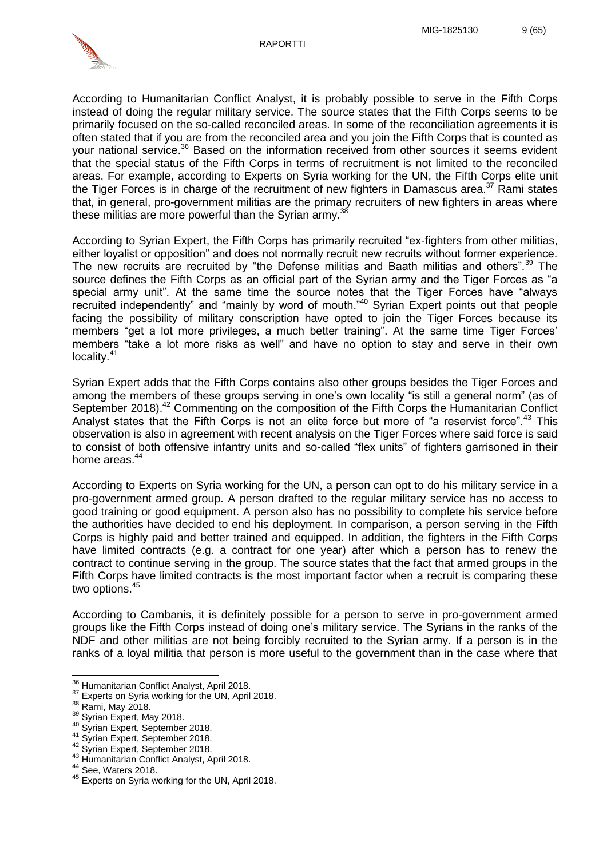

According to Humanitarian Conflict Analyst, it is probably possible to serve in the Fifth Corps instead of doing the regular military service. The source states that the Fifth Corps seems to be primarily focused on the so-called reconciled areas. In some of the reconciliation agreements it is often stated that if you are from the reconciled area and you join the Fifth Corps that is counted as your national service.<sup>36</sup> Based on the information received from other sources it seems evident that the special status of the Fifth Corps in terms of recruitment is not limited to the reconciled areas. For example, according to Experts on Syria working for the UN, the Fifth Corps elite unit the Tiger Forces is in charge of the recruitment of new fighters in Damascus area.<sup>37</sup> Rami states that, in general, pro-government militias are the primary recruiters of new fighters in areas where these militias are more powerful than the Syrian army.<sup>3</sup>

According to Syrian Expert, the Fifth Corps has primarily recruited "ex-fighters from other militias, either loyalist or opposition" and does not normally recruit new recruits without former experience. The new recruits are recruited by "the Defense militias and Baath militias and others".<sup>39</sup> The source defines the Fifth Corps as an official part of the Syrian army and the Tiger Forces as "a special army unit". At the same time the source notes that the Tiger Forces have "always recruited independently" and "mainly by word of mouth."<sup>40</sup> Syrian Expert points out that people facing the possibility of military conscription have opted to join the Tiger Forces because its members "get a lot more privileges, a much better training". At the same time Tiger Forces' members "take a lot more risks as well" and have no option to stay and serve in their own locality.<sup>41</sup>

Syrian Expert adds that the Fifth Corps contains also other groups besides the Tiger Forces and among the members of these groups serving in one's own locality "is still a general norm" (as of September 2018).<sup>42</sup> Commenting on the composition of the Fifth Corps the Humanitarian Conflict Analyst states that the Fifth Corps is not an elite force but more of "a reservist force".<sup>43</sup> This observation is also in agreement with recent analysis on the Tiger Forces where said force is said to consist of both offensive infantry units and so-called "flex units" of fighters garrisoned in their home areas.<sup>44</sup>

According to Experts on Syria working for the UN, a person can opt to do his military service in a pro-government armed group. A person drafted to the regular military service has no access to good training or good equipment. A person also has no possibility to complete his service before the authorities have decided to end his deployment. In comparison, a person serving in the Fifth Corps is highly paid and better trained and equipped. In addition, the fighters in the Fifth Corps have limited contracts (e.g. a contract for one year) after which a person has to renew the contract to continue serving in the group. The source states that the fact that armed groups in the Fifth Corps have limited contracts is the most important factor when a recruit is comparing these two options.<sup>45</sup>

According to Cambanis, it is definitely possible for a person to serve in pro-government armed groups like the Fifth Corps instead of doing one's military service. The Syrians in the ranks of the NDF and other militias are not being forcibly recruited to the Syrian army. If a person is in the ranks of a loyal militia that person is more useful to the government than in the case where that

<sup>&</sup>lt;sup>36</sup> Humanitarian Conflict Analyst, April 2018.

<sup>&</sup>lt;sup>37</sup> Experts on Syria working for the UN, April 2018.

<sup>&</sup>lt;sup>38</sup> Rami, May 2018.

<sup>&</sup>lt;sup>39</sup> Syrian Expert, May 2018.

<sup>40</sup> Syrian Expert, September 2018.

<sup>41</sup> Syrian Expert, September 2018.

<sup>42</sup> Syrian Expert, September 2018.

<sup>43</sup> Humanitarian Conflict Analyst, April 2018.

<sup>44</sup> See, Waters 2018.

<sup>45</sup> Experts on Syria working for the UN, April 2018.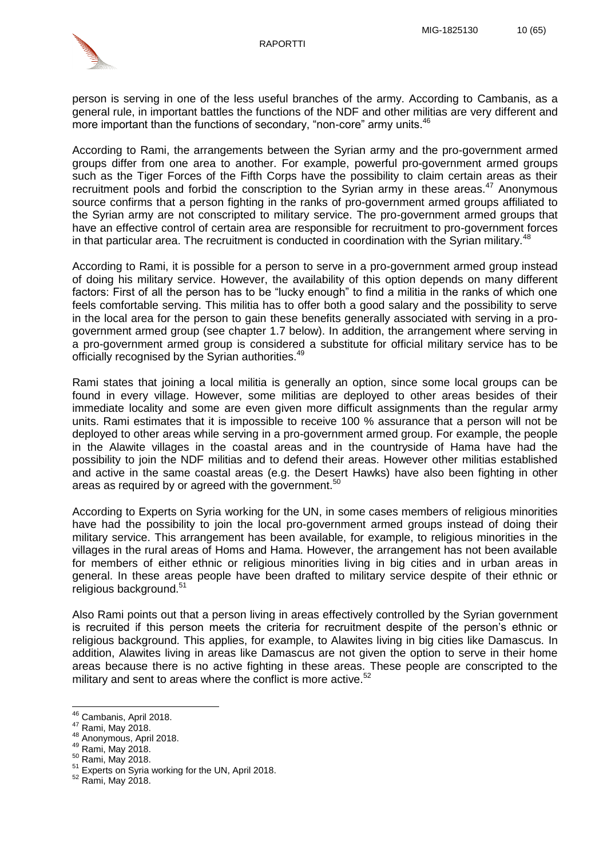

person is serving in one of the less useful branches of the army. According to Cambanis, as a general rule, in important battles the functions of the NDF and other militias are very different and more important than the functions of secondary, "non-core" army units.<sup>46</sup>

According to Rami, the arrangements between the Syrian army and the pro-government armed groups differ from one area to another. For example, powerful pro-government armed groups such as the Tiger Forces of the Fifth Corps have the possibility to claim certain areas as their recruitment pools and forbid the conscription to the Syrian army in these areas.<sup>47</sup> Anonymous source confirms that a person fighting in the ranks of pro-government armed groups affiliated to the Syrian army are not conscripted to military service. The pro-government armed groups that have an effective control of certain area are responsible for recruitment to pro-government forces in that particular area. The recruitment is conducted in coordination with the Syrian military.<sup>48</sup>

According to Rami, it is possible for a person to serve in a pro-government armed group instead of doing his military service. However, the availability of this option depends on many different factors: First of all the person has to be "lucky enough" to find a militia in the ranks of which one feels comfortable serving. This militia has to offer both a good salary and the possibility to serve in the local area for the person to gain these benefits generally associated with serving in a progovernment armed group (see chapter 1.7 below). In addition, the arrangement where serving in a pro-government armed group is considered a substitute for official military service has to be officially recognised by the Syrian authorities.<sup>49</sup>

Rami states that joining a local militia is generally an option, since some local groups can be found in every village. However, some militias are deployed to other areas besides of their immediate locality and some are even given more difficult assignments than the regular army units. Rami estimates that it is impossible to receive 100 % assurance that a person will not be deployed to other areas while serving in a pro-government armed group. For example, the people in the Alawite villages in the coastal areas and in the countryside of Hama have had the possibility to join the NDF militias and to defend their areas. However other militias established and active in the same coastal areas (e.g. the Desert Hawks) have also been fighting in other areas as required by or agreed with the government.<sup>50</sup>

According to Experts on Syria working for the UN, in some cases members of religious minorities have had the possibility to join the local pro-government armed groups instead of doing their military service. This arrangement has been available, for example, to religious minorities in the villages in the rural areas of Homs and Hama. However, the arrangement has not been available for members of either ethnic or religious minorities living in big cities and in urban areas in general. In these areas people have been drafted to military service despite of their ethnic or religious background.<sup>51</sup>

Also Rami points out that a person living in areas effectively controlled by the Syrian government is recruited if this person meets the criteria for recruitment despite of the person's ethnic or religious background. This applies, for example, to Alawites living in big cities like Damascus. In addition, Alawites living in areas like Damascus are not given the option to serve in their home areas because there is no active fighting in these areas. These people are conscripted to the military and sent to areas where the conflict is more active.<sup>52</sup>

<sup>&</sup>lt;sup>46</sup> Cambanis, April 2018.

<sup>47</sup> Rami, May 2018.

<sup>48</sup> Anonymous, April 2018.

<sup>49</sup> Rami, May 2018.

<sup>50</sup> Rami, May 2018.

<sup>&</sup>lt;sup>51</sup> Experts on Syria working for the UN, April 2018.

<sup>52</sup> Rami, May 2018.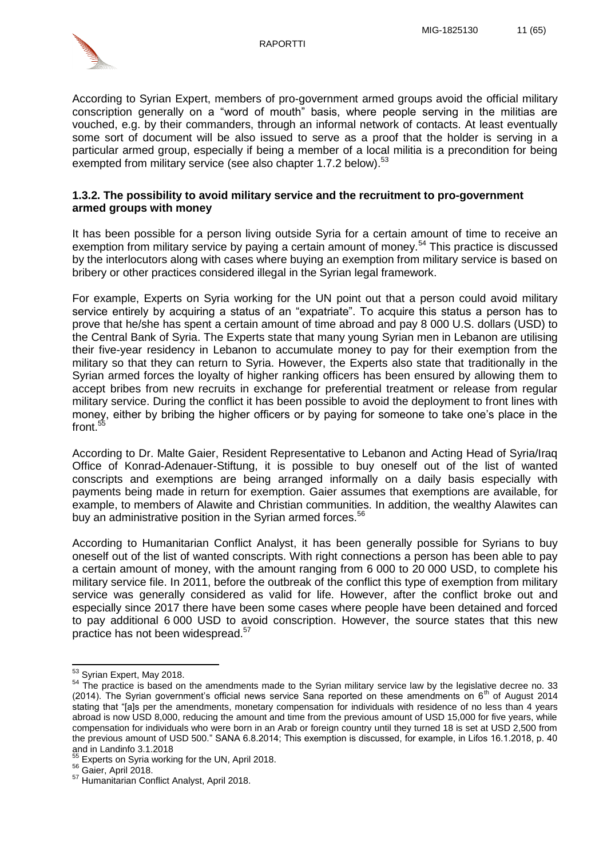

According to Syrian Expert, members of pro-government armed groups avoid the official military conscription generally on a "word of mouth" basis, where people serving in the militias are vouched, e.g. by their commanders, through an informal network of contacts. At least eventually some sort of document will be also issued to serve as a proof that the holder is serving in a particular armed group, especially if being a member of a local militia is a precondition for being exempted from military service (see also chapter 1.7.2 below).<sup>53</sup>

#### <span id="page-11-0"></span>**1.3.2. The possibility to avoid military service and the recruitment to pro-government armed groups with money**

It has been possible for a person living outside Syria for a certain amount of time to receive an exemption from military service by paying a certain amount of money.<sup>54</sup> This practice is discussed by the interlocutors along with cases where buying an exemption from military service is based on bribery or other practices considered illegal in the Syrian legal framework.

For example, Experts on Syria working for the UN point out that a person could avoid military service entirely by acquiring a status of an "expatriate". To acquire this status a person has to prove that he/she has spent a certain amount of time abroad and pay 8 000 U.S. dollars (USD) to the Central Bank of Syria. The Experts state that many young Syrian men in Lebanon are utilising their five-year residency in Lebanon to accumulate money to pay for their exemption from the military so that they can return to Syria. However, the Experts also state that traditionally in the Syrian armed forces the loyalty of higher ranking officers has been ensured by allowing them to accept bribes from new recruits in exchange for preferential treatment or release from regular military service. During the conflict it has been possible to avoid the deployment to front lines with money, either by bribing the higher officers or by paying for someone to take one's place in the front. $55$ 

According to Dr. Malte Gaier, Resident Representative to Lebanon and Acting Head of Syria/Iraq Office of Konrad-Adenauer-Stiftung, it is possible to buy oneself out of the list of wanted conscripts and exemptions are being arranged informally on a daily basis especially with payments being made in return for exemption. Gaier assumes that exemptions are available, for example, to members of Alawite and Christian communities. In addition, the wealthy Alawites can buy an administrative position in the Syrian armed forces.<sup>56</sup>

According to Humanitarian Conflict Analyst, it has been generally possible for Syrians to buy oneself out of the list of wanted conscripts. With right connections a person has been able to pay a certain amount of money, with the amount ranging from 6 000 to 20 000 USD, to complete his military service file. In 2011, before the outbreak of the conflict this type of exemption from military service was generally considered as valid for life. However, after the conflict broke out and especially since 2017 there have been some cases where people have been detained and forced to pay additional 6 000 USD to avoid conscription. However, the source states that this new practice has not been widespread.<sup>57</sup>

 $\overline{a}$ 

<sup>&</sup>lt;sup>53</sup> Syrian Expert, May 2018.

<sup>&</sup>lt;sup>54</sup> The practice is based on the amendments made to the Syrian military service law by the legislative decree no. 33 (2014). The Syrian government's official news service Sana reported on these amendments on  $6<sup>th</sup>$  of August 2014 stating that "[a]s per the amendments, monetary compensation for individuals with residence of no less than 4 years abroad is now USD 8,000, reducing the amount and time from the previous amount of USD 15,000 for five years, while compensation for individuals who were born in an Arab or foreign country until they turned 18 is set at USD 2,500 from the previous amount of USD 500." SANA 6.8.2014; This exemption is discussed, for example, in Lifos 16.1.2018, p. 40 and in Landinfo  $3.1.2018$ 

Experts on Syria working for the UN, April 2018.

<sup>56</sup> Gaier, April 2018.

<sup>57</sup> Humanitarian Conflict Analyst, April 2018.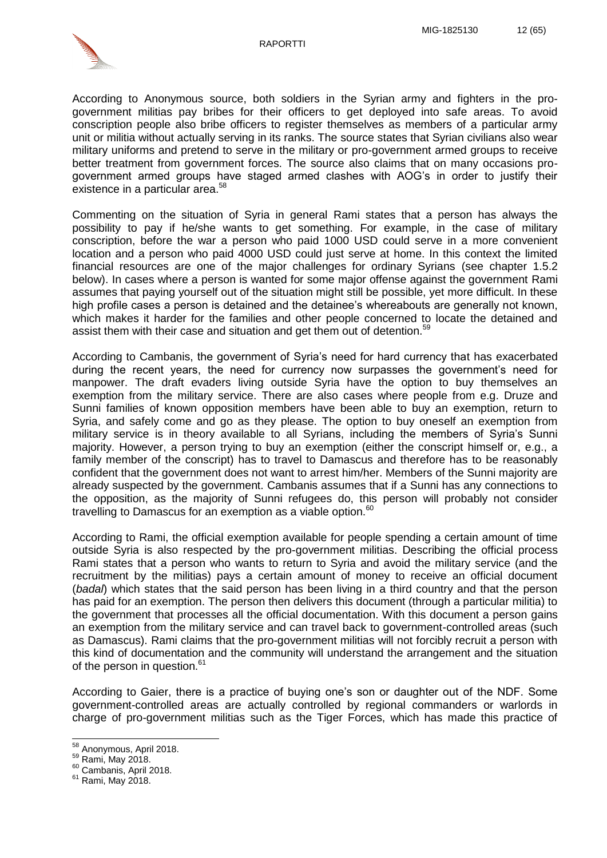

According to Anonymous source, both soldiers in the Syrian army and fighters in the progovernment militias pay bribes for their officers to get deployed into safe areas. To avoid conscription people also bribe officers to register themselves as members of a particular army unit or militia without actually serving in its ranks. The source states that Syrian civilians also wear military uniforms and pretend to serve in the military or pro-government armed groups to receive better treatment from government forces. The source also claims that on many occasions progovernment armed groups have staged armed clashes with AOG's in order to justify their existence in a particular area.<sup>58</sup>

Commenting on the situation of Syria in general Rami states that a person has always the possibility to pay if he/she wants to get something. For example, in the case of military conscription, before the war a person who paid 1000 USD could serve in a more convenient location and a person who paid 4000 USD could just serve at home. In this context the limited financial resources are one of the major challenges for ordinary Syrians (see chapter 1.5.2 below). In cases where a person is wanted for some major offense against the government Rami assumes that paying yourself out of the situation might still be possible, yet more difficult. In these high profile cases a person is detained and the detainee's whereabouts are generally not known, which makes it harder for the families and other people concerned to locate the detained and assist them with their case and situation and get them out of detention.<sup>59</sup>

According to Cambanis, the government of Syria's need for hard currency that has exacerbated during the recent years, the need for currency now surpasses the government's need for manpower. The draft evaders living outside Syria have the option to buy themselves an exemption from the military service. There are also cases where people from e.g. Druze and Sunni families of known opposition members have been able to buy an exemption, return to Syria, and safely come and go as they please. The option to buy oneself an exemption from military service is in theory available to all Syrians, including the members of Syria's Sunni majority. However, a person trying to buy an exemption (either the conscript himself or, e.g., a family member of the conscript) has to travel to Damascus and therefore has to be reasonably confident that the government does not want to arrest him/her. Members of the Sunni majority are already suspected by the government. Cambanis assumes that if a Sunni has any connections to the opposition, as the majority of Sunni refugees do, this person will probably not consider travelling to Damascus for an exemption as a viable option.<sup>60</sup>

According to Rami, the official exemption available for people spending a certain amount of time outside Syria is also respected by the pro-government militias. Describing the official process Rami states that a person who wants to return to Syria and avoid the military service (and the recruitment by the militias) pays a certain amount of money to receive an official document (*badal*) which states that the said person has been living in a third country and that the person has paid for an exemption. The person then delivers this document (through a particular militia) to the government that processes all the official documentation. With this document a person gains an exemption from the military service and can travel back to government-controlled areas (such as Damascus). Rami claims that the pro-government militias will not forcibly recruit a person with this kind of documentation and the community will understand the arrangement and the situation of the person in question.<sup>61</sup>

According to Gaier, there is a practice of buying one's son or daughter out of the NDF. Some government-controlled areas are actually controlled by regional commanders or warlords in charge of pro-government militias such as the Tiger Forces, which has made this practice of

<sup>&</sup>lt;sup>58</sup> Anonymous, April 2018.

 $^{59}$  Rami, May 2018.

<sup>&</sup>lt;sup>60</sup> Cambanis, April 2018.

<sup>61</sup> Rami, May 2018.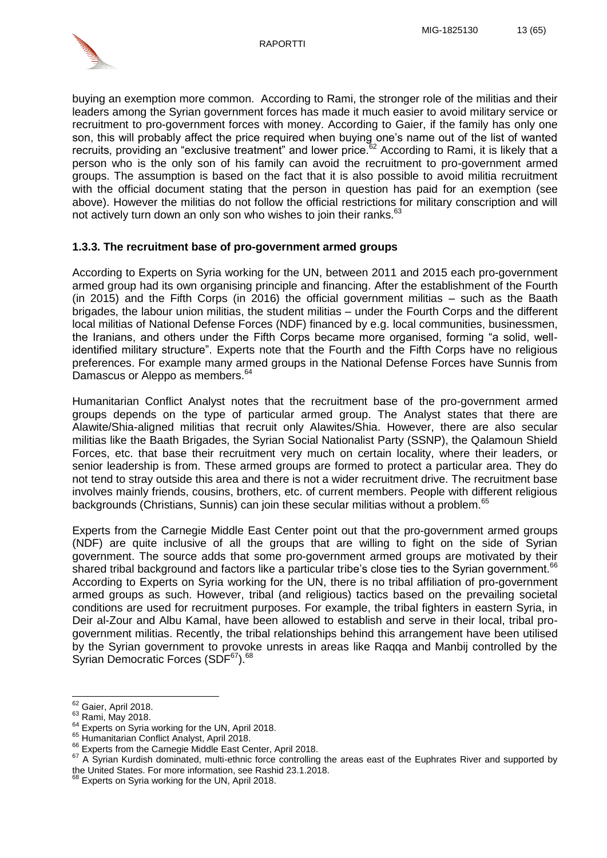

buying an exemption more common. According to Rami, the stronger role of the militias and their leaders among the Syrian government forces has made it much easier to avoid military service or recruitment to pro-government forces with money. According to Gaier, if the family has only one son, this will probably affect the price required when buying one's name out of the list of wanted recruits, providing an "exclusive treatment" and lower price.<sup>62</sup> According to Rami, it is likely that a person who is the only son of his family can avoid the recruitment to pro-government armed groups. The assumption is based on the fact that it is also possible to avoid militia recruitment with the official document stating that the person in question has paid for an exemption (see above). However the militias do not follow the official restrictions for military conscription and will not actively turn down an only son who wishes to join their ranks. $63$ 

### <span id="page-13-0"></span>**1.3.3. The recruitment base of pro-government armed groups**

According to Experts on Syria working for the UN, between 2011 and 2015 each pro-government armed group had its own organising principle and financing. After the establishment of the Fourth (in 2015) and the Fifth Corps (in 2016) the official government militias – such as the Baath brigades, the labour union militias, the student militias – under the Fourth Corps and the different local militias of National Defense Forces (NDF) financed by e.g. local communities, businessmen, the Iranians, and others under the Fifth Corps became more organised, forming "a solid, wellidentified military structure". Experts note that the Fourth and the Fifth Corps have no religious preferences. For example many armed groups in the National Defense Forces have Sunnis from Damascus or Aleppo as members.<sup>64</sup>

Humanitarian Conflict Analyst notes that the recruitment base of the pro-government armed groups depends on the type of particular armed group. The Analyst states that there are Alawite/Shia-aligned militias that recruit only Alawites/Shia. However, there are also secular militias like the Baath Brigades, the Syrian Social Nationalist Party (SSNP), the Qalamoun Shield Forces, etc. that base their recruitment very much on certain locality, where their leaders, or senior leadership is from. These armed groups are formed to protect a particular area. They do not tend to stray outside this area and there is not a wider recruitment drive. The recruitment base involves mainly friends, cousins, brothers, etc. of current members. People with different religious backgrounds (Christians, Sunnis) can join these secular militias without a problem.<sup>65</sup>

Experts from the Carnegie Middle East Center point out that the pro-government armed groups (NDF) are quite inclusive of all the groups that are willing to fight on the side of Syrian government. The source adds that some pro-government armed groups are motivated by their shared tribal background and factors like a particular tribe's close ties to the Syrian government.<sup>66</sup> According to Experts on Syria working for the UN, there is no tribal affiliation of pro-government armed groups as such. However, tribal (and religious) tactics based on the prevailing societal conditions are used for recruitment purposes. For example, the tribal fighters in eastern Syria, in Deir al-Zour and Albu Kamal, have been allowed to establish and serve in their local, tribal progovernment militias. Recently, the tribal relationships behind this arrangement have been utilised by the Syrian government to provoke unrests in areas like Raqqa and Manbij controlled by the Syrian Democratic Forces (SDF<sup>67</sup>).<sup>68</sup>

 $\overline{\phantom{a}}$ 

 $62$  Gaier, April 2018.

<sup>63</sup> Rami, May 2018.

<sup>&</sup>lt;sup>64</sup> Experts on Syria working for the UN, April 2018.

<sup>&</sup>lt;sup>65</sup> Humanitarian Conflict Analyst, April 2018.

<sup>66</sup> Experts from the Carnegie Middle East Center, April 2018.

<sup>&</sup>lt;sup>67</sup> A Syrian Kurdish dominated, multi-ethnic force controlling the areas east of the Euphrates River and supported by the United States. For more information, see Rashid 23.1.2018.

 $68$  Experts on Syria working for the UN, April 2018.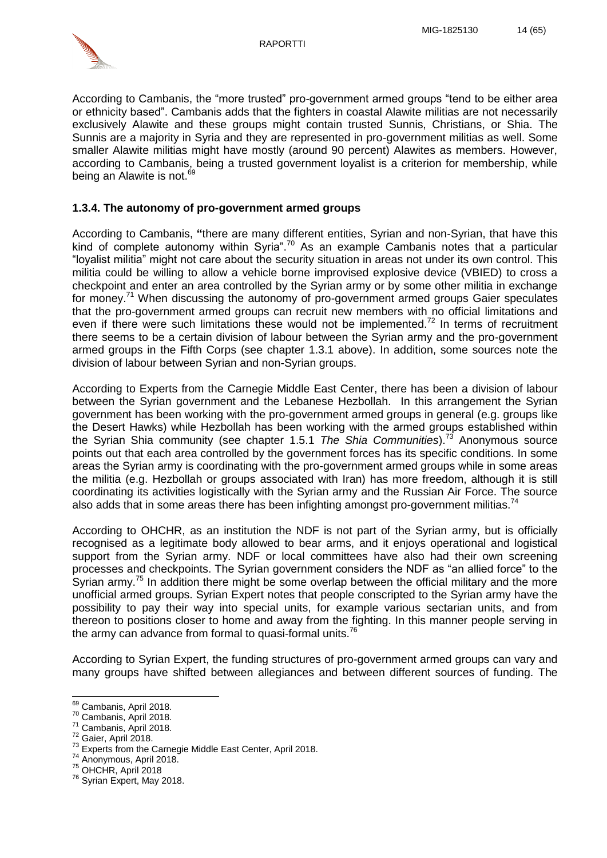

According to Cambanis, the "more trusted" pro-government armed groups "tend to be either area or ethnicity based". Cambanis adds that the fighters in coastal Alawite militias are not necessarily exclusively Alawite and these groups might contain trusted Sunnis, Christians, or Shia. The Sunnis are a majority in Syria and they are represented in pro-government militias as well. Some smaller Alawite militias might have mostly (around 90 percent) Alawites as members. However, according to Cambanis, being a trusted government loyalist is a criterion for membership, while being an Alawite is not.<sup>69</sup>

## <span id="page-14-0"></span>**1.3.4. The autonomy of pro-government armed groups**

According to Cambanis, **"**there are many different entities, Syrian and non-Syrian, that have this kind of complete autonomy within Syria".<sup>70</sup> As an example Cambanis notes that a particular "loyalist militia" might not care about the security situation in areas not under its own control. This militia could be willing to allow a vehicle borne improvised explosive device (VBIED) to cross a checkpoint and enter an area controlled by the Syrian army or by some other militia in exchange for money.<sup>71</sup> When discussing the autonomy of pro-government armed groups Gaier speculates that the pro-government armed groups can recruit new members with no official limitations and even if there were such limitations these would not be implemented.<sup>72</sup> In terms of recruitment there seems to be a certain division of labour between the Syrian army and the pro-government armed groups in the Fifth Corps (see chapter 1.3.1 above). In addition, some sources note the division of labour between Syrian and non-Syrian groups.

According to Experts from the Carnegie Middle East Center, there has been a division of labour between the Syrian government and the Lebanese Hezbollah. In this arrangement the Syrian government has been working with the pro-government armed groups in general (e.g. groups like the Desert Hawks) while Hezbollah has been working with the armed groups established within the Syrian Shia community (see chapter 1.5.1 *The Shia Communities*).<sup>73</sup> Anonymous source points out that each area controlled by the government forces has its specific conditions. In some areas the Syrian army is coordinating with the pro-government armed groups while in some areas the militia (e.g. Hezbollah or groups associated with Iran) has more freedom, although it is still coordinating its activities logistically with the Syrian army and the Russian Air Force. The source also adds that in some areas there has been infighting amongst pro-government militias.<sup>74</sup>

According to OHCHR, as an institution the NDF is not part of the Syrian army, but is officially recognised as a legitimate body allowed to bear arms, and it enjoys operational and logistical support from the Syrian army. NDF or local committees have also had their own screening processes and checkpoints. The Syrian government considers the NDF as "an allied force" to the Syrian army.<sup>75</sup> In addition there might be some overlap between the official military and the more unofficial armed groups. Syrian Expert notes that people conscripted to the Syrian army have the possibility to pay their way into special units, for example various sectarian units, and from thereon to positions closer to home and away from the fighting. In this manner people serving in the army can advance from formal to quasi-formal units.<sup>76</sup>

According to Syrian Expert, the funding structures of pro-government armed groups can vary and many groups have shifted between allegiances and between different sources of funding. The

 $\overline{\phantom{a}}$ <sup>69</sup> Cambanis, April 2018.

<sup>70</sup> Cambanis, April 2018.

<sup>71</sup> Cambanis, April 2018.

<sup>72</sup> Gaier, April 2018.

<sup>73</sup> Experts from the Carnegie Middle East Center, April 2018.

<sup>74</sup> Anonymous, April 2018.

<sup>75</sup> OHCHR, April 2018

<sup>76</sup> Syrian Expert, May 2018.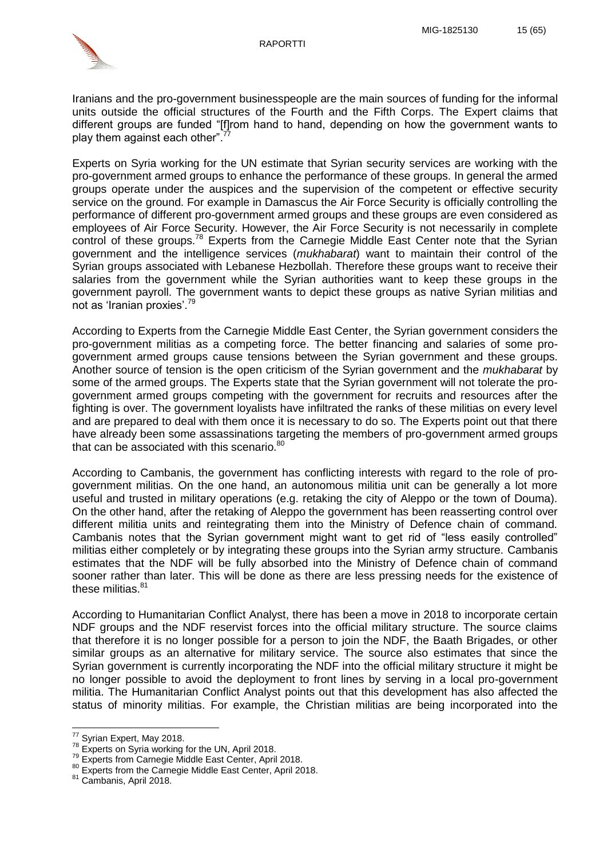

Iranians and the pro-government businesspeople are the main sources of funding for the informal units outside the official structures of the Fourth and the Fifth Corps. The Expert claims that different groups are funded "[f]rom hand to hand, depending on how the government wants to play them against each other".

Experts on Syria working for the UN estimate that Syrian security services are working with the pro-government armed groups to enhance the performance of these groups. In general the armed groups operate under the auspices and the supervision of the competent or effective security service on the ground. For example in Damascus the Air Force Security is officially controlling the performance of different pro-government armed groups and these groups are even considered as employees of Air Force Security. However, the Air Force Security is not necessarily in complete control of these groups.<sup>78</sup> Experts from the Carnegie Middle East Center note that the Syrian government and the intelligence services (*mukhabarat*) want to maintain their control of the Syrian groups associated with Lebanese Hezbollah. Therefore these groups want to receive their salaries from the government while the Syrian authorities want to keep these groups in the government payroll. The government wants to depict these groups as native Syrian militias and not as 'Iranian proxies'.<sup>79</sup>

According to Experts from the Carnegie Middle East Center, the Syrian government considers the pro-government militias as a competing force. The better financing and salaries of some progovernment armed groups cause tensions between the Syrian government and these groups. Another source of tension is the open criticism of the Syrian government and the *mukhabarat* by some of the armed groups. The Experts state that the Syrian government will not tolerate the progovernment armed groups competing with the government for recruits and resources after the fighting is over. The government loyalists have infiltrated the ranks of these militias on every level and are prepared to deal with them once it is necessary to do so. The Experts point out that there have already been some assassinations targeting the members of pro-government armed groups that can be associated with this scenario. $80$ 

According to Cambanis, the government has conflicting interests with regard to the role of progovernment militias. On the one hand, an autonomous militia unit can be generally a lot more useful and trusted in military operations (e.g. retaking the city of Aleppo or the town of Douma). On the other hand, after the retaking of Aleppo the government has been reasserting control over different militia units and reintegrating them into the Ministry of Defence chain of command. Cambanis notes that the Syrian government might want to get rid of "less easily controlled" militias either completely or by integrating these groups into the Syrian army structure. Cambanis estimates that the NDF will be fully absorbed into the Ministry of Defence chain of command sooner rather than later. This will be done as there are less pressing needs for the existence of these militias.<sup>81</sup>

According to Humanitarian Conflict Analyst, there has been a move in 2018 to incorporate certain NDF groups and the NDF reservist forces into the official military structure. The source claims that therefore it is no longer possible for a person to join the NDF, the Baath Brigades, or other similar groups as an alternative for military service. The source also estimates that since the Syrian government is currently incorporating the NDF into the official military structure it might be no longer possible to avoid the deployment to front lines by serving in a local pro-government militia. The Humanitarian Conflict Analyst points out that this development has also affected the status of minority militias. For example, the Christian militias are being incorporated into the

 $^{77}$  Syrian Expert, May 2018.

<sup>&</sup>lt;sup>78</sup> Experts on Syria working for the UN, April 2018.

<sup>79</sup> Experts from Carnegie Middle East Center, April 2018.

<sup>80</sup> Experts from the Carnegie Middle East Center, April 2018.

<sup>81</sup> Cambanis, April 2018.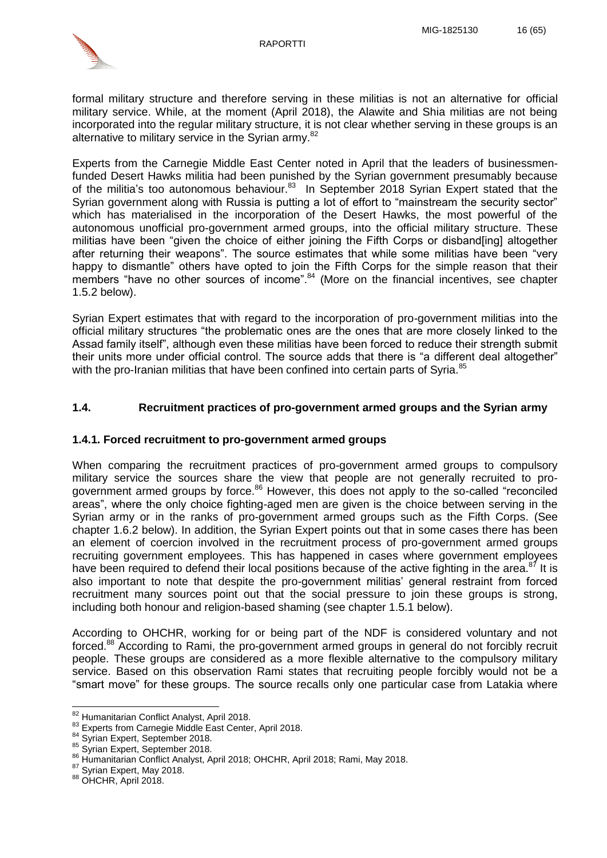

formal military structure and therefore serving in these militias is not an alternative for official military service. While, at the moment (April 2018), the Alawite and Shia militias are not being incorporated into the regular military structure, it is not clear whether serving in these groups is an alternative to military service in the Syrian army.<sup>82</sup>

Experts from the Carnegie Middle East Center noted in April that the leaders of businessmenfunded Desert Hawks militia had been punished by the Syrian government presumably because of the militia's too autonomous behaviour.<sup>83</sup> In September 2018 Syrian Expert stated that the Syrian government along with Russia is putting a lot of effort to "mainstream the security sector" which has materialised in the incorporation of the Desert Hawks, the most powerful of the autonomous unofficial pro-government armed groups, into the official military structure. These militias have been "given the choice of either joining the Fifth Corps or disband[ing] altogether after returning their weapons". The source estimates that while some militias have been "very happy to dismantle" others have opted to join the Fifth Corps for the simple reason that their members "have no other sources of income".<sup>84</sup> (More on the financial incentives, see chapter 1.5.2 below).

Syrian Expert estimates that with regard to the incorporation of pro-government militias into the official military structures "the problematic ones are the ones that are more closely linked to the Assad family itself", although even these militias have been forced to reduce their strength submit their units more under official control. The source adds that there is "a different deal altogether" with the pro-Iranian militias that have been confined into certain parts of Syria.<sup>85</sup>

## <span id="page-16-0"></span>**1.4. Recruitment practices of pro-government armed groups and the Syrian army**

### <span id="page-16-1"></span>**1.4.1. Forced recruitment to pro-government armed groups**

When comparing the recruitment practices of pro-government armed groups to compulsory military service the sources share the view that people are not generally recruited to progovernment armed groups by force.<sup>86</sup> However, this does not apply to the so-called "reconciled areas", where the only choice fighting-aged men are given is the choice between serving in the Syrian army or in the ranks of pro-government armed groups such as the Fifth Corps. (See chapter 1.6.2 below). In addition, the Syrian Expert points out that in some cases there has been an element of coercion involved in the recruitment process of pro-government armed groups recruiting government employees. This has happened in cases where government employees have been required to defend their local positions because of the active fighting in the area.<sup>87</sup> It is also important to note that despite the pro-government militias' general restraint from forced recruitment many sources point out that the social pressure to join these groups is strong, including both honour and religion-based shaming (see chapter 1.5.1 below).

According to OHCHR, working for or being part of the NDF is considered voluntary and not forced.<sup>88</sup> According to Rami, the pro-government armed groups in general do not forcibly recruit people. These groups are considered as a more flexible alternative to the compulsory military service. Based on this observation Rami states that recruiting people forcibly would not be a "smart move" for these groups. The source recalls only one particular case from Latakia where

<sup>&</sup>lt;sup>82</sup> Humanitarian Conflict Analyst, April 2018.

<sup>83</sup> Experts from Carnegie Middle East Center, April 2018.

<sup>84</sup> Svrian Expert, September 2018.

<sup>85</sup> Syrian Expert, September 2018.

<sup>86</sup> Humanitarian Conflict Analyst, April 2018; OHCHR, April 2018; Rami, May 2018.

<sup>87</sup> Syrian Expert, May 2018.

<sup>88</sup> OHCHR, April 2018.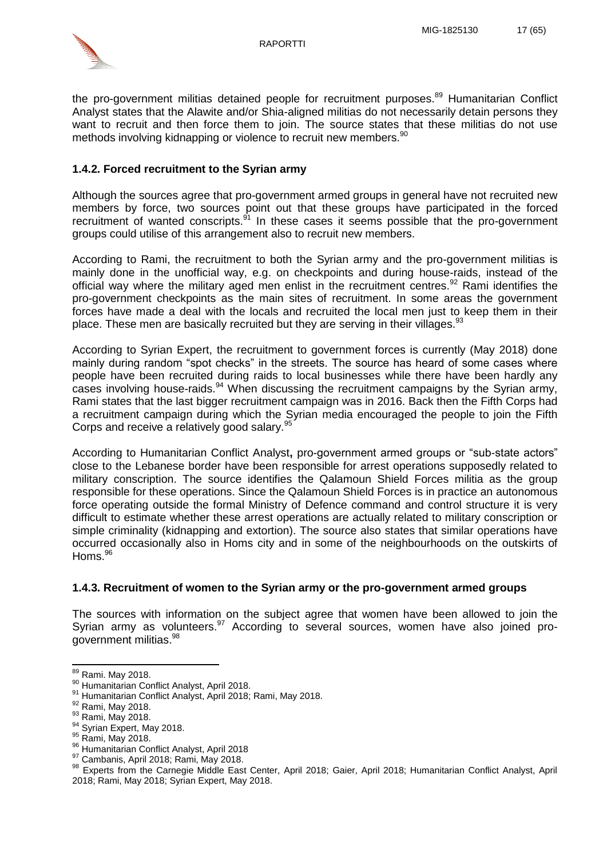

the pro-government militias detained people for recruitment purposes.<sup>89</sup> Humanitarian Conflict Analyst states that the Alawite and/or Shia-aligned militias do not necessarily detain persons they want to recruit and then force them to join. The source states that these militias do not use methods involving kidnapping or violence to recruit new members.<sup>90</sup>

### <span id="page-17-0"></span>**1.4.2. Forced recruitment to the Syrian army**

Although the sources agree that pro-government armed groups in general have not recruited new members by force, two sources point out that these groups have participated in the forced recruitment of wanted conscripts. $91$  In these cases it seems possible that the pro-government groups could utilise of this arrangement also to recruit new members.

According to Rami, the recruitment to both the Syrian army and the pro-government militias is mainly done in the unofficial way, e.g. on checkpoints and during house-raids, instead of the official way where the military aged men enlist in the recruitment centres.<sup>92</sup> Rami identifies the pro-government checkpoints as the main sites of recruitment. In some areas the government forces have made a deal with the locals and recruited the local men just to keep them in their place. These men are basically recruited but they are serving in their villages.  $93$ 

According to Syrian Expert, the recruitment to government forces is currently (May 2018) done mainly during random "spot checks" in the streets. The source has heard of some cases where people have been recruited during raids to local businesses while there have been hardly any cases involving house-raids. $94$  When discussing the recruitment campaigns by the Syrian army, Rami states that the last bigger recruitment campaign was in 2016. Back then the Fifth Corps had a recruitment campaign during which the Syrian media encouraged the people to join the Fifth Corps and receive a relatively good salary.<sup>95</sup>

According to Humanitarian Conflict Analyst**,** pro-government armed groups or "sub-state actors" close to the Lebanese border have been responsible for arrest operations supposedly related to military conscription. The source identifies the Qalamoun Shield Forces militia as the group responsible for these operations. Since the Qalamoun Shield Forces is in practice an autonomous force operating outside the formal Ministry of Defence command and control structure it is very difficult to estimate whether these arrest operations are actually related to military conscription or simple criminality (kidnapping and extortion). The source also states that similar operations have occurred occasionally also in Homs city and in some of the neighbourhoods on the outskirts of Homs.<sup>96</sup>

### <span id="page-17-1"></span>**1.4.3. Recruitment of women to the Syrian army or the pro-government armed groups**

The sources with information on the subject agree that women have been allowed to join the Syrian army as volunteers.<sup>97</sup> According to several sources, women have also joined progovernment militias.<sup>98</sup>

 $\overline{a}$ 

<sup>&</sup>lt;sup>89</sup> Rami. May 2018.

<sup>90</sup> Humanitarian Conflict Analyst, April 2018.

<sup>91</sup> Humanitarian Conflict Analyst, April 2018; Rami, May 2018.

<sup>92</sup> Rami, May 2018.

<sup>93</sup> Rami, May 2018.

<sup>&</sup>lt;sup>94</sup> Syrian Expert, May 2018.

<sup>95</sup> Rami, May 2018.

<sup>96</sup> Humanitarian Conflict Analyst, April 2018

<sup>97</sup> Cambanis, April 2018; Rami, May 2018.

<sup>98</sup> Experts from the Carnegie Middle East Center, April 2018; Gaier, April 2018; Humanitarian Conflict Analyst, April 2018; Rami, May 2018; Syrian Expert, May 2018.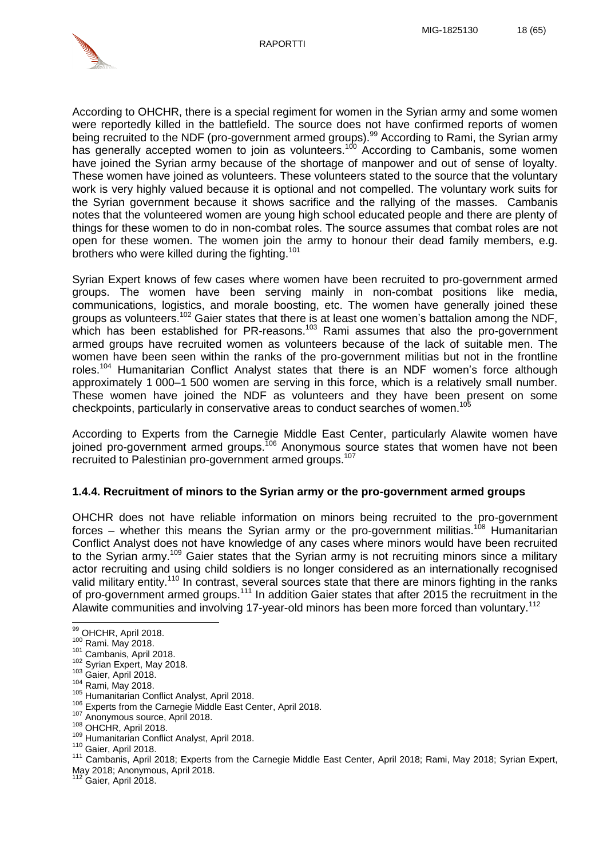RAPORTTI



According to OHCHR, there is a special regiment for women in the Syrian army and some women were reportedly killed in the battlefield. The source does not have confirmed reports of women being recruited to the NDF (pro-government armed groups).<sup>99</sup> According to Rami, the Syrian army has generally accepted women to join as volunteers.<sup>100</sup> According to Cambanis, some women have joined the Syrian army because of the shortage of manpower and out of sense of loyalty. These women have joined as volunteers. These volunteers stated to the source that the voluntary work is very highly valued because it is optional and not compelled. The voluntary work suits for the Syrian government because it shows sacrifice and the rallying of the masses. Cambanis notes that the volunteered women are young high school educated people and there are plenty of things for these women to do in non-combat roles. The source assumes that combat roles are not open for these women. The women join the army to honour their dead family members, e.g. brothers who were killed during the fighting.<sup>101</sup>

Syrian Expert knows of few cases where women have been recruited to pro-government armed groups. The women have been serving mainly in non-combat positions like media, communications, logistics, and morale boosting, etc. The women have generally joined these aroups as volunteers.<sup>102</sup> Gaier states that there is at least one women's battalion among the NDF, which has been established for PR-reasons.<sup>103</sup> Rami assumes that also the pro-government armed groups have recruited women as volunteers because of the lack of suitable men. The women have been seen within the ranks of the pro-government militias but not in the frontline roles.<sup>104</sup> Humanitarian Conflict Analyst states that there is an NDF women's force although approximately 1 000–1 500 women are serving in this force, which is a relatively small number. These women have joined the NDF as volunteers and they have been present on some checkpoints, particularly in conservative areas to conduct searches of women.<sup>10</sup>

According to Experts from the Carnegie Middle East Center, particularly Alawite women have joined pro-government armed groups.<sup>106</sup> Anonymous source states that women have not been recruited to Palestinian pro-government armed groups.<sup>107</sup>

### <span id="page-18-0"></span>**1.4.4. Recruitment of minors to the Syrian army or the pro-government armed groups**

OHCHR does not have reliable information on minors being recruited to the pro-government forces – whether this means the Syrian army or the pro-government militias.<sup>108</sup> Humanitarian Conflict Analyst does not have knowledge of any cases where minors would have been recruited to the Syrian army.<sup>109</sup> Gaier states that the Syrian army is not recruiting minors since a military actor recruiting and using child soldiers is no longer considered as an internationally recognised valid military entity.<sup>110</sup> In contrast, several sources state that there are minors fighting in the ranks of pro-government armed groups.<sup>111</sup> In addition Gaier states that after 2015 the recruitment in the Alawite communities and involving 17-year-old minors has been more forced than voluntary.<sup>112</sup>

<sup>109</sup> Humanitarian Conflict Analyst, April 2018.

<sup>&</sup>lt;sup>99</sup> OHCHR, April 2018.

<sup>&</sup>lt;sup>100</sup> Rami. May 2018.

<sup>101</sup> Cambanis, April 2018.

<sup>102</sup> Syrian Expert, May 2018.

<sup>103</sup> Gaier, April 2018.

<sup>104</sup> Rami, May 2018.

<sup>105</sup> Raini, wiay 2010.<br><sup>105</sup> Humanitarian Conflict Analyst, April 2018.

<sup>&</sup>lt;sup>106</sup> Experts from the Carnegie Middle East Center, April 2018.

<sup>107</sup> Anonymous source, April 2018.

<sup>108</sup> OHCHR, April 2018.

Gaier, April 2018.

<sup>&</sup>lt;sup>111</sup> Cambanis, April 2018; Experts from the Carnegie Middle East Center, April 2018; Rami, May 2018; Syrian Expert, May 2018; Anonymous, April 2018.

 $112$  Gaier, April 2018.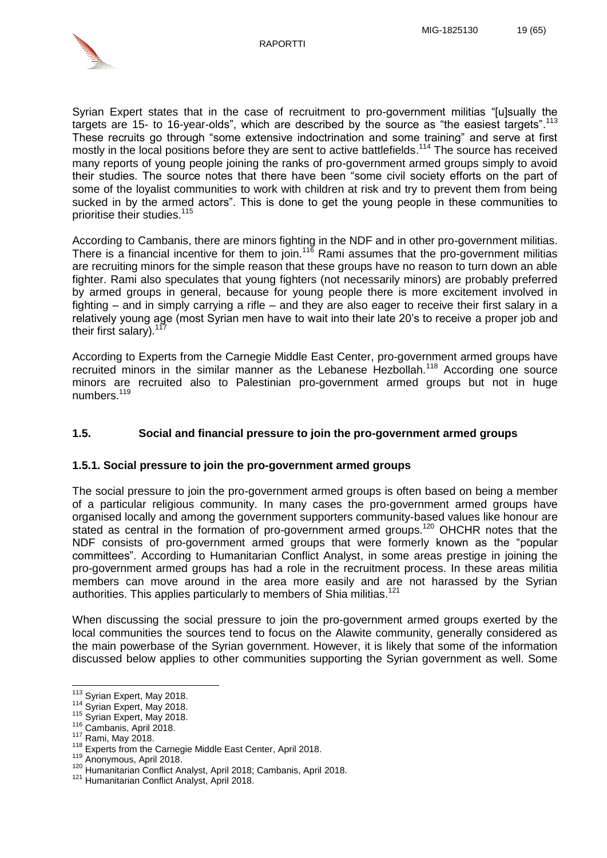

Syrian Expert states that in the case of recruitment to pro-government militias "[u]sually the targets are 15- to 16-year-olds", which are described by the source as "the easiest targets".<sup>113</sup> These recruits go through "some extensive indoctrination and some training" and serve at first mostly in the local positions before they are sent to active battlefields.<sup>114</sup> The source has received many reports of young people joining the ranks of pro-government armed groups simply to avoid their studies. The source notes that there have been "some civil society efforts on the part of some of the loyalist communities to work with children at risk and try to prevent them from being sucked in by the armed actors". This is done to get the young people in these communities to prioritise their studies.<sup>115</sup>

According to Cambanis, there are minors fighting in the NDF and in other pro-government militias. There is a financial incentive for them to join.<sup>116</sup> Rami assumes that the pro-government militias are recruiting minors for the simple reason that these groups have no reason to turn down an able fighter. Rami also speculates that young fighters (not necessarily minors) are probably preferred by armed groups in general, because for young people there is more excitement involved in fighting – and in simply carrying a rifle – and they are also eager to receive their first salary in a relatively young age (most Syrian men have to wait into their late 20's to receive a proper job and their first salary).  $117$ 

According to Experts from the Carnegie Middle East Center, pro-government armed groups have recruited minors in the similar manner as the Lebanese Hezbollah.<sup>118</sup> According one source minors are recruited also to Palestinian pro-government armed groups but not in huge numbers.<sup>119</sup>

### <span id="page-19-0"></span>**1.5. Social and financial pressure to join the pro-government armed groups**

### <span id="page-19-1"></span>**1.5.1. Social pressure to join the pro-government armed groups**

The social pressure to join the pro-government armed groups is often based on being a member of a particular religious community. In many cases the pro-government armed groups have organised locally and among the government supporters community-based values like honour are stated as central in the formation of pro-government armed groups.<sup>120</sup> OHCHR notes that the NDF consists of pro-government armed groups that were formerly known as the "popular committees". According to Humanitarian Conflict Analyst, in some areas prestige in joining the pro-government armed groups has had a role in the recruitment process. In these areas militia members can move around in the area more easily and are not harassed by the Syrian authorities. This applies particularly to members of Shia militias.<sup>121</sup>

When discussing the social pressure to join the pro-government armed groups exerted by the local communities the sources tend to focus on the Alawite community, generally considered as the main powerbase of the Syrian government. However, it is likely that some of the information discussed below applies to other communities supporting the Syrian government as well. Some

  $113$  Syrian Expert, May 2018.

<sup>114</sup> Syrian Expert, May 2018.

<sup>115</sup> Syrian Expert, May 2018.

<sup>116</sup> Cambanis, April 2018.

<sup>117</sup> Rami, May 2018.

<sup>&</sup>lt;sup>118</sup> Experts from the Carnegie Middle East Center, April 2018.

<sup>119</sup> Anonymous, April 2018.

<sup>120</sup> Humanitarian Conflict Analyst, April 2018; Cambanis, April 2018.

<sup>121</sup> Humanitarian Conflict Analyst, April 2018.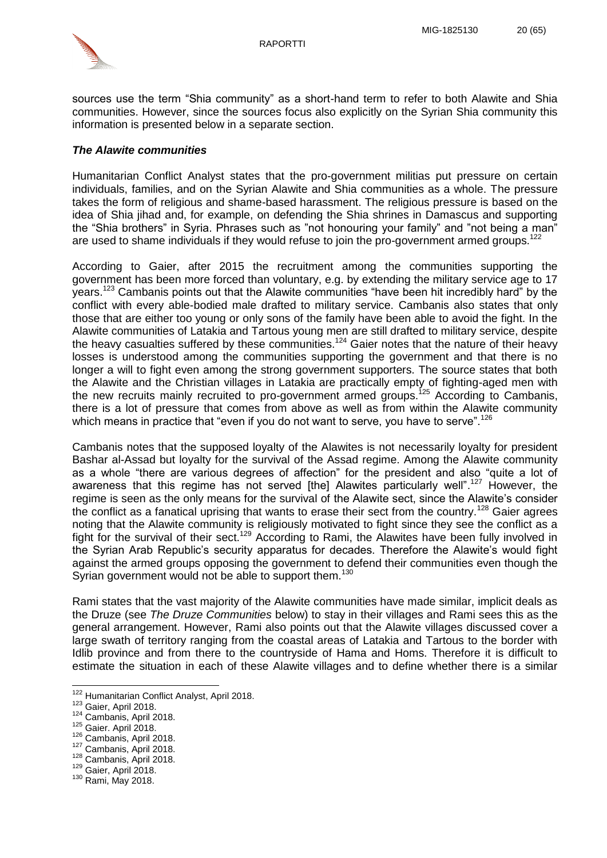

sources use the term "Shia community" as a short-hand term to refer to both Alawite and Shia communities. However, since the sources focus also explicitly on the Syrian Shia community this information is presented below in a separate section.

#### *The Alawite communities*

Humanitarian Conflict Analyst states that the pro-government militias put pressure on certain individuals, families, and on the Syrian Alawite and Shia communities as a whole. The pressure takes the form of religious and shame-based harassment. The religious pressure is based on the idea of Shia jihad and, for example, on defending the Shia shrines in Damascus and supporting the "Shia brothers" in Syria. Phrases such as "not honouring your family" and "not being a man" are used to shame individuals if they would refuse to join the pro-government armed groups.<sup>122</sup>

According to Gaier, after 2015 the recruitment among the communities supporting the government has been more forced than voluntary, e.g. by extending the military service age to 17 years.<sup>123</sup> Cambanis points out that the Alawite communities "have been hit incredibly hard" by the conflict with every able-bodied male drafted to military service. Cambanis also states that only those that are either too young or only sons of the family have been able to avoid the fight. In the Alawite communities of Latakia and Tartous young men are still drafted to military service, despite the heavy casualties suffered by these communities.<sup>124</sup> Gaier notes that the nature of their heavy losses is understood among the communities supporting the government and that there is no longer a will to fight even among the strong government supporters. The source states that both the Alawite and the Christian villages in Latakia are practically empty of fighting-aged men with the new recruits mainly recruited to pro-government armed groups.<sup>125</sup> According to Cambanis, there is a lot of pressure that comes from above as well as from within the Alawite community which means in practice that "even if you do not want to serve, you have to serve".<sup>126</sup>

Cambanis notes that the supposed loyalty of the Alawites is not necessarily loyalty for president Bashar al-Assad but loyalty for the survival of the Assad regime. Among the Alawite community as a whole "there are various degrees of affection" for the president and also "quite a lot of awareness that this regime has not served [the] Alawites particularly well".<sup>127</sup> However, the regime is seen as the only means for the survival of the Alawite sect, since the Alawite's consider the conflict as a fanatical uprising that wants to erase their sect from the country.<sup>128</sup> Gaier agrees noting that the Alawite community is religiously motivated to fight since they see the conflict as a fight for the survival of their sect.<sup>129</sup> According to Rami, the Alawites have been fully involved in the Syrian Arab Republic's security apparatus for decades. Therefore the Alawite's would fight against the armed groups opposing the government to defend their communities even though the Syrian government would not be able to support them.<sup>130</sup>

Rami states that the vast majority of the Alawite communities have made similar, implicit deals as the Druze (see *The Druze Communities* below) to stay in their villages and Rami sees this as the general arrangement. However, Rami also points out that the Alawite villages discussed cover a large swath of territory ranging from the coastal areas of Latakia and Tartous to the border with Idlib province and from there to the countryside of Hama and Homs. Therefore it is difficult to estimate the situation in each of these Alawite villages and to define whether there is a similar

<sup>&</sup>lt;sup>122</sup> Humanitarian Conflict Analyst, April 2018.

<sup>123</sup> Gaier, April 2018.

<sup>124</sup> Cambanis, April 2018.

<sup>125</sup> Gaier. April 2018.

<sup>126</sup> Cambanis, April 2018.

<sup>127</sup> Cambanis, April 2018.

<sup>128</sup> Cambanis, April 2018.

<sup>129</sup> Gaier, April 2018.

<sup>130</sup> Rami, May 2018.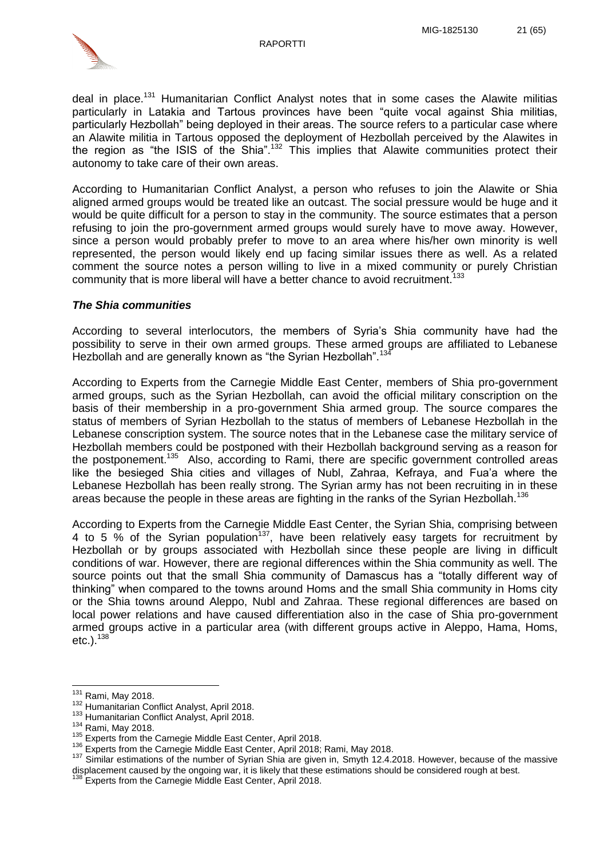

deal in place.<sup>131</sup> Humanitarian Conflict Analyst notes that in some cases the Alawite militias particularly in Latakia and Tartous provinces have been "quite vocal against Shia militias, particularly Hezbollah" being deployed in their areas. The source refers to a particular case where an Alawite militia in Tartous opposed the deployment of Hezbollah perceived by the Alawites in the region as "the ISIS of the Shia".<sup>132</sup> This implies that Alawite communities protect their autonomy to take care of their own areas.

According to Humanitarian Conflict Analyst, a person who refuses to join the Alawite or Shia aligned armed groups would be treated like an outcast. The social pressure would be huge and it would be quite difficult for a person to stay in the community. The source estimates that a person refusing to join the pro-government armed groups would surely have to move away. However, since a person would probably prefer to move to an area where his/her own minority is well represented, the person would likely end up facing similar issues there as well. As a related comment the source notes a person willing to live in a mixed community or purely Christian community that is more liberal will have a better chance to avoid recruitment.<sup>133</sup>

#### *The Shia communities*

According to several interlocutors, the members of Syria's Shia community have had the possibility to serve in their own armed groups. These armed groups are affiliated to Lebanese Hezbollah and are generally known as "the Syrian Hezbollah".<sup>13</sup>

According to Experts from the Carnegie Middle East Center, members of Shia pro-government armed groups, such as the Syrian Hezbollah, can avoid the official military conscription on the basis of their membership in a pro-government Shia armed group. The source compares the status of members of Syrian Hezbollah to the status of members of Lebanese Hezbollah in the Lebanese conscription system. The source notes that in the Lebanese case the military service of Hezbollah members could be postponed with their Hezbollah background serving as a reason for the postponement.<sup>135</sup> Also, according to Rami, there are specific government controlled areas like the besieged Shia cities and villages of Nubl, Zahraa, Kefraya, and Fua'a where the Lebanese Hezbollah has been really strong. The Syrian army has not been recruiting in in these areas because the people in these areas are fighting in the ranks of the Syrian Hezbollah.<sup>136</sup>

According to Experts from the Carnegie Middle East Center, the Syrian Shia, comprising between 4 to 5  $\%$  of the Syrian population<sup>137</sup>, have been relatively easy targets for recruitment by Hezbollah or by groups associated with Hezbollah since these people are living in difficult conditions of war. However, there are regional differences within the Shia community as well. The source points out that the small Shia community of Damascus has a "totally different way of thinking" when compared to the towns around Homs and the small Shia community in Homs city or the Shia towns around Aleppo, Nubl and Zahraa. These regional differences are based on local power relations and have caused differentiation also in the case of Shia pro-government armed groups active in a particular area (with different groups active in Aleppo, Hama, Homs,  $etc.$ ).  $138$ 

<sup>131</sup> Rami, May 2018.

<sup>&</sup>lt;sup>132</sup> Humanitarian Conflict Analyst, April 2018.

<sup>133</sup> Humanitarian Conflict Analyst, April 2018.

<sup>134</sup> Rami, May 2018.

<sup>135</sup> Experts from the Carnegie Middle East Center, April 2018.

Experts from the Carnegie Middle East Center, April 2018; Rami, May 2018.

<sup>&</sup>lt;sup>137</sup> Similar estimations of the number of Syrian Shia are given in, Smyth 12.4.2018. However, because of the massive displacement caused by the ongoing war, it is likely that these estimations should be considered rough at best.

<sup>138</sup> Experts from the Carnegie Middle East Center, April 2018.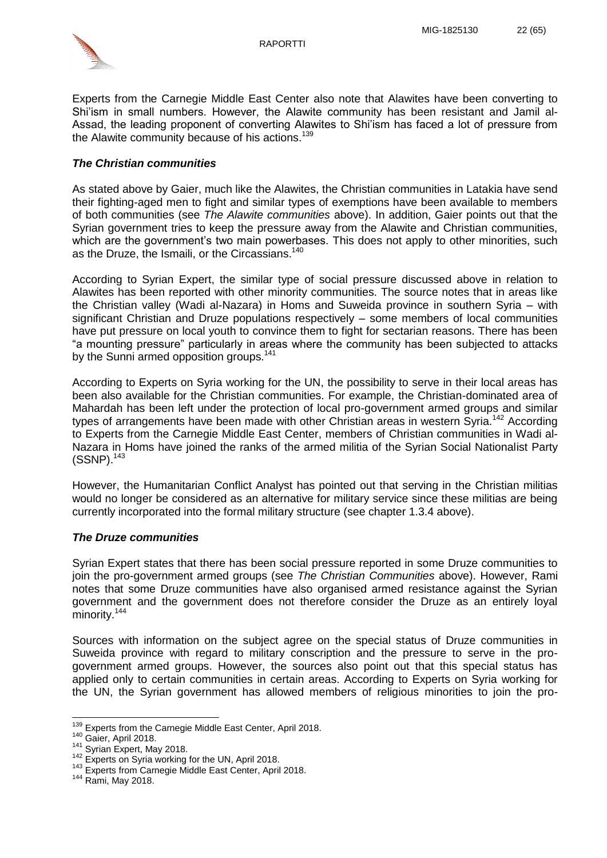

Experts from the Carnegie Middle East Center also note that Alawites have been converting to Shi'ism in small numbers. However, the Alawite community has been resistant and Jamil al-Assad, the leading proponent of converting Alawites to Shi'ism has faced a lot of pressure from the Alawite community because of his actions.<sup>139</sup>

### *The Christian communities*

As stated above by Gaier, much like the Alawites, the Christian communities in Latakia have send their fighting-aged men to fight and similar types of exemptions have been available to members of both communities (see *The Alawite communities* above). In addition, Gaier points out that the Syrian government tries to keep the pressure away from the Alawite and Christian communities, which are the government's two main powerbases. This does not apply to other minorities, such as the Druze, the Ismaili, or the Circassians.<sup>140</sup>

According to Syrian Expert, the similar type of social pressure discussed above in relation to Alawites has been reported with other minority communities. The source notes that in areas like the Christian valley (Wadi al-Nazara) in Homs and Suweida province in southern Syria – with significant Christian and Druze populations respectively – some members of local communities have put pressure on local youth to convince them to fight for sectarian reasons. There has been "a mounting pressure" particularly in areas where the community has been subjected to attacks by the Sunni armed opposition groups.<sup>141</sup>

According to Experts on Syria working for the UN, the possibility to serve in their local areas has been also available for the Christian communities. For example, the Christian-dominated area of Mahardah has been left under the protection of local pro-government armed groups and similar types of arrangements have been made with other Christian areas in western Syria.<sup>142</sup> According to Experts from the Carnegie Middle East Center, members of Christian communities in Wadi al-Nazara in Homs have joined the ranks of the armed militia of the Syrian Social Nationalist Party  $(SSNP).$ <sup>143</sup>

However, the Humanitarian Conflict Analyst has pointed out that serving in the Christian militias would no longer be considered as an alternative for military service since these militias are being currently incorporated into the formal military structure (see chapter 1.3.4 above).

### *The Druze communities*

Syrian Expert states that there has been social pressure reported in some Druze communities to join the pro-government armed groups (see *The Christian Communities* above). However, Rami notes that some Druze communities have also organised armed resistance against the Syrian government and the government does not therefore consider the Druze as an entirely loyal minority.<sup>144</sup>

Sources with information on the subject agree on the special status of Druze communities in Suweida province with regard to military conscription and the pressure to serve in the progovernment armed groups. However, the sources also point out that this special status has applied only to certain communities in certain areas. According to Experts on Syria working for the UN, the Syrian government has allowed members of religious minorities to join the pro-

 $\overline{a}$ <sup>139</sup> Experts from the Carnegie Middle East Center, April 2018.

<sup>140</sup> Gaier, April 2018.

 $141$  Syrian Expert, May 2018.

<sup>142</sup> Experts on Syria working for the UN, April 2018.

<sup>143</sup> Experts from Carnegie Middle East Center, April 2018.

<sup>144</sup> Rami, May 2018.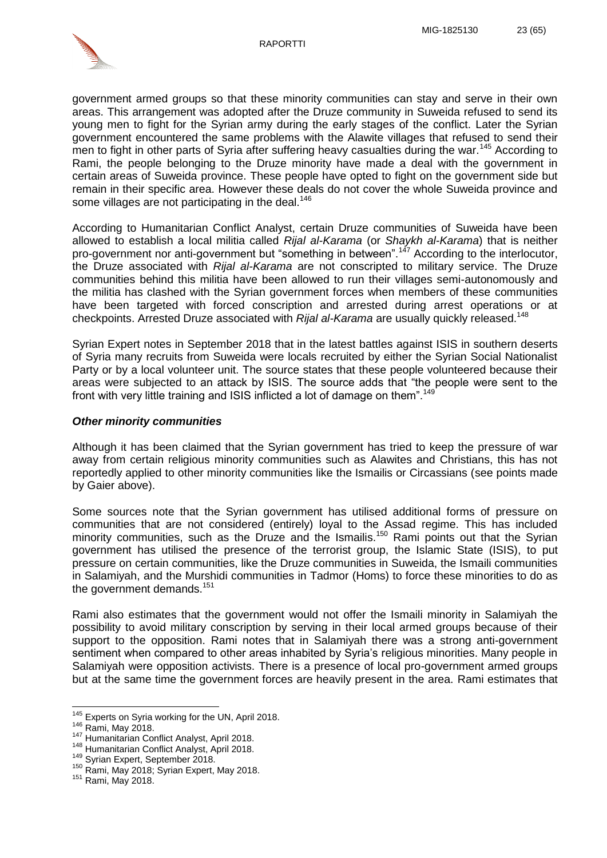

government armed groups so that these minority communities can stay and serve in their own areas. This arrangement was adopted after the Druze community in Suweida refused to send its young men to fight for the Syrian army during the early stages of the conflict. Later the Syrian government encountered the same problems with the Alawite villages that refused to send their men to fight in other parts of Syria after suffering heavy casualties during the war.<sup>145</sup> According to Rami, the people belonging to the Druze minority have made a deal with the government in certain areas of Suweida province. These people have opted to fight on the government side but remain in their specific area. However these deals do not cover the whole Suweida province and some villages are not participating in the deal.<sup>146</sup>

According to Humanitarian Conflict Analyst, certain Druze communities of Suweida have been allowed to establish a local militia called *Rijal al-Karama* (or *Shaykh al-Karama*) that is neither pro-government nor anti-government but "something in between".<sup>147</sup> According to the interlocutor, the Druze associated with *Rijal al-Karama* are not conscripted to military service. The Druze communities behind this militia have been allowed to run their villages semi-autonomously and the militia has clashed with the Syrian government forces when members of these communities have been targeted with forced conscription and arrested during arrest operations or at checkpoints. Arrested Druze associated with *Rijal al-Karama* are usually quickly released.<sup>148</sup>

Syrian Expert notes in September 2018 that in the latest battles against ISIS in southern deserts of Syria many recruits from Suweida were locals recruited by either the Syrian Social Nationalist Party or by a local volunteer unit. The source states that these people volunteered because their areas were subjected to an attack by ISIS. The source adds that "the people were sent to the front with very little training and ISIS inflicted a lot of damage on them".<sup>149</sup>

#### *Other minority communities*

Although it has been claimed that the Syrian government has tried to keep the pressure of war away from certain religious minority communities such as Alawites and Christians, this has not reportedly applied to other minority communities like the Ismailis or Circassians (see points made by Gaier above).

Some sources note that the Syrian government has utilised additional forms of pressure on communities that are not considered (entirely) loyal to the Assad regime. This has included minority communities, such as the Druze and the Ismailis.<sup>150</sup> Rami points out that the Syrian government has utilised the presence of the terrorist group, the Islamic State (ISIS), to put pressure on certain communities, like the Druze communities in Suweida, the Ismaili communities in Salamiyah, and the Murshidi communities in Tadmor (Homs) to force these minorities to do as the government demands.<sup>151</sup>

Rami also estimates that the government would not offer the Ismaili minority in Salamiyah the possibility to avoid military conscription by serving in their local armed groups because of their support to the opposition. Rami notes that in Salamiyah there was a strong anti-government sentiment when compared to other areas inhabited by Syria's religious minorities. Many people in Salamiyah were opposition activists. There is a presence of local pro-government armed groups but at the same time the government forces are heavily present in the area. Rami estimates that

<sup>&</sup>lt;sup>145</sup> Experts on Syria working for the UN, April 2018.

<sup>146</sup> Rami, May 2018.

<sup>147</sup> Humanitarian Conflict Analyst, April 2018.

<sup>148</sup> Humanitarian Conflict Analyst, April 2018.

<sup>149</sup> Syrian Expert, September 2018.

<sup>150</sup> Rami, May 2018; Syrian Expert, May 2018.

<sup>151</sup> Rami, May 2018.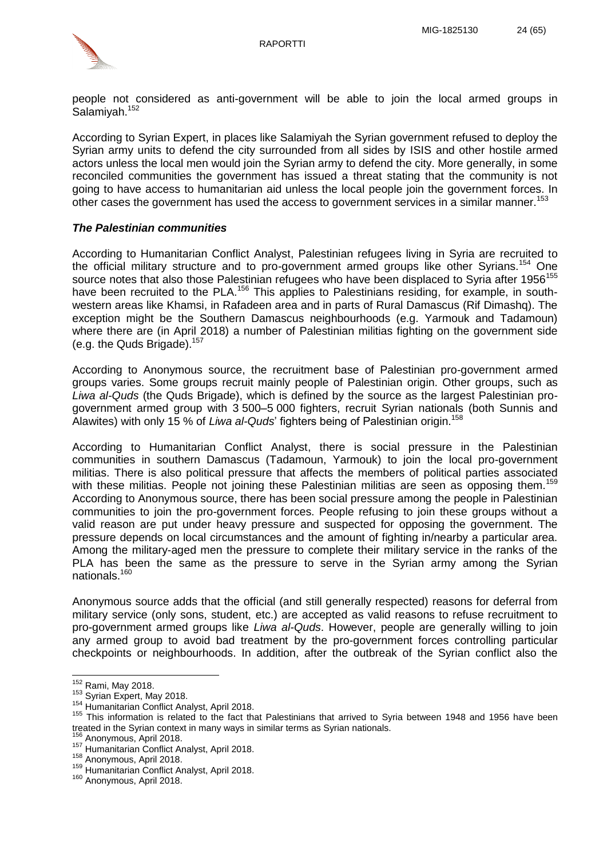

people not considered as anti-government will be able to join the local armed groups in Salamiyah.<sup>152</sup>

According to Syrian Expert, in places like Salamiyah the Syrian government refused to deploy the Syrian army units to defend the city surrounded from all sides by ISIS and other hostile armed actors unless the local men would join the Syrian army to defend the city. More generally, in some reconciled communities the government has issued a threat stating that the community is not going to have access to humanitarian aid unless the local people join the government forces. In other cases the government has used the access to government services in a similar manner.<sup>153</sup>

#### *The Palestinian communities*

According to Humanitarian Conflict Analyst, Palestinian refugees living in Syria are recruited to the official military structure and to pro-government armed groups like other Syrians.<sup>154</sup> One source notes that also those Palestinian refugees who have been displaced to Syria after 1956<sup>155</sup> have been recruited to the PLA.<sup>156</sup> This applies to Palestinians residing, for example, in southwestern areas like Khamsi, in Rafadeen area and in parts of Rural Damascus (Rif Dimashq). The exception might be the Southern Damascus neighbourhoods (e.g. Yarmouk and Tadamoun) where there are (in April 2018) a number of Palestinian militias fighting on the government side (e.g. the Quds Brigade). $157$ 

According to Anonymous source, the recruitment base of Palestinian pro-government armed groups varies. Some groups recruit mainly people of Palestinian origin. Other groups, such as *Liwa al-Quds* (the Quds Brigade), which is defined by the source as the largest Palestinian progovernment armed group with 3 500–5 000 fighters, recruit Syrian nationals (both Sunnis and Alawites) with only 15 % of *Liwa al-Quds*' fighters being of Palestinian origin.<sup>158</sup>

According to Humanitarian Conflict Analyst, there is social pressure in the Palestinian communities in southern Damascus (Tadamoun, Yarmouk) to join the local pro-government militias. There is also political pressure that affects the members of political parties associated with these militias. People not joining these Palestinian militias are seen as opposing them.<sup>159</sup> According to Anonymous source, there has been social pressure among the people in Palestinian communities to join the pro-government forces. People refusing to join these groups without a valid reason are put under heavy pressure and suspected for opposing the government. The pressure depends on local circumstances and the amount of fighting in/nearby a particular area. Among the military-aged men the pressure to complete their military service in the ranks of the PLA has been the same as the pressure to serve in the Syrian army among the Syrian nationals.<sup>160</sup>

Anonymous source adds that the official (and still generally respected) reasons for deferral from military service (only sons, student, etc.) are accepted as valid reasons to refuse recruitment to pro-government armed groups like *Liwa al-Quds*. However, people are generally willing to join any armed group to avoid bad treatment by the pro-government forces controlling particular checkpoints or neighbourhoods. In addition, after the outbreak of the Syrian conflict also the

<sup>&</sup>lt;sup>152</sup> Rami, May 2018.

 $^{153}$  Syrian Expert, May 2018.

<sup>154</sup> Humanitarian Conflict Analyst, April 2018.

<sup>155</sup> This information is related to the fact that Palestinians that arrived to Syria between 1948 and 1956 have been treated in the Syrian context in many ways in similar terms as Syrian nationals.

<sup>&</sup>lt;sup>156</sup> Anonymous, April 2018.

<sup>&</sup>lt;sup>157</sup> Humanitarian Conflict Analyst, April 2018.

<sup>158</sup> Anonymous, April 2018.

<sup>159</sup> Humanitarian Conflict Analyst, April 2018.

<sup>160</sup> Anonymous, April 2018.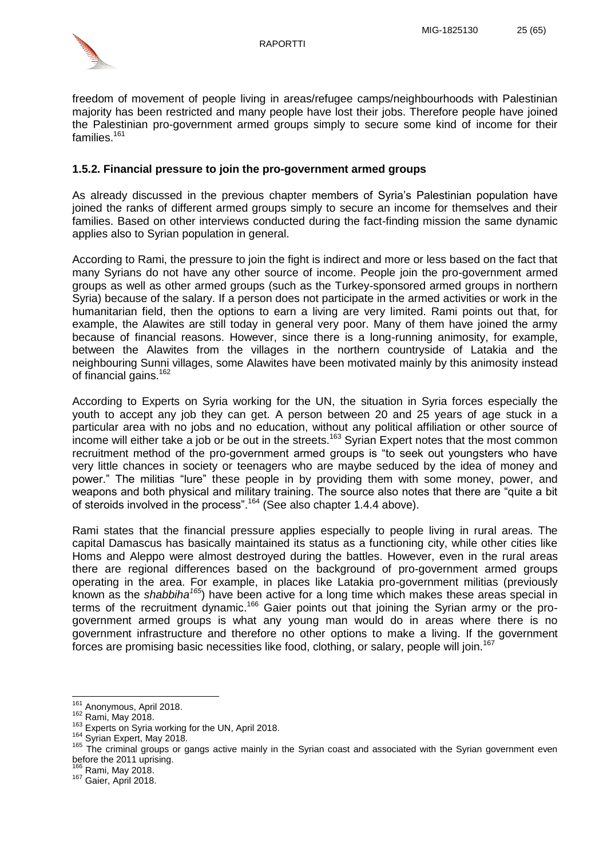

freedom of movement of people living in areas/refugee camps/neighbourhoods with Palestinian majority has been restricted and many people have lost their jobs. Therefore people have joined the Palestinian pro-government armed groups simply to secure some kind of income for their families.<sup>161</sup>

### <span id="page-25-0"></span>**1.5.2. Financial pressure to join the pro-government armed groups**

As already discussed in the previous chapter members of Syria's Palestinian population have joined the ranks of different armed groups simply to secure an income for themselves and their families. Based on other interviews conducted during the fact-finding mission the same dynamic applies also to Syrian population in general.

According to Rami, the pressure to join the fight is indirect and more or less based on the fact that many Syrians do not have any other source of income. People join the pro-government armed groups as well as other armed groups (such as the Turkey-sponsored armed groups in northern Syria) because of the salary. If a person does not participate in the armed activities or work in the humanitarian field, then the options to earn a living are very limited. Rami points out that, for example, the Alawites are still today in general very poor. Many of them have joined the army because of financial reasons. However, since there is a long-running animosity, for example, between the Alawites from the villages in the northern countryside of Latakia and the neighbouring Sunni villages, some Alawites have been motivated mainly by this animosity instead of financial gains.<sup>162</sup>

According to Experts on Syria working for the UN, the situation in Syria forces especially the youth to accept any job they can get. A person between 20 and 25 years of age stuck in a particular area with no jobs and no education, without any political affiliation or other source of income will either take a job or be out in the streets.<sup>163</sup> Syrian Expert notes that the most common recruitment method of the pro-government armed groups is "to seek out youngsters who have very little chances in society or teenagers who are maybe seduced by the idea of money and power." The militias "lure" these people in by providing them with some money, power, and weapons and both physical and military training. The source also notes that there are "quite a bit of steroids involved in the process".<sup>164</sup> (See also chapter 1.4.4 above).

Rami states that the financial pressure applies especially to people living in rural areas. The capital Damascus has basically maintained its status as a functioning city, while other cities like Homs and Aleppo were almost destroyed during the battles. However, even in the rural areas there are regional differences based on the background of pro-government armed groups operating in the area. For example, in places like Latakia pro-government militias (previously known as the *shabbiha<sup>165</sup>*) have been active for a long time which makes these areas special in terms of the recruitment dynamic.<sup>166</sup> Gaier points out that joining the Syrian army or the progovernment armed groups is what any young man would do in areas where there is no government infrastructure and therefore no other options to make a living. If the government forces are promising basic necessities like food, clothing, or salary, people will join.<sup>167</sup>

 $\overline{a}$ 

<sup>&</sup>lt;sup>161</sup> Anonymous, April 2018.

<sup>162</sup> Rami, May 2018.

<sup>&</sup>lt;sup>163</sup> Experts on Syria working for the UN, April 2018.

<sup>164</sup> Svrian Expert, May 2018.

<sup>165</sup> The criminal groups or gangs active mainly in the Syrian coast and associated with the Syrian government even before the 2011 uprising.

<sup>&</sup>lt;sup>166</sup> Rami, May 2018.

<sup>167</sup> Gaier, April 2018.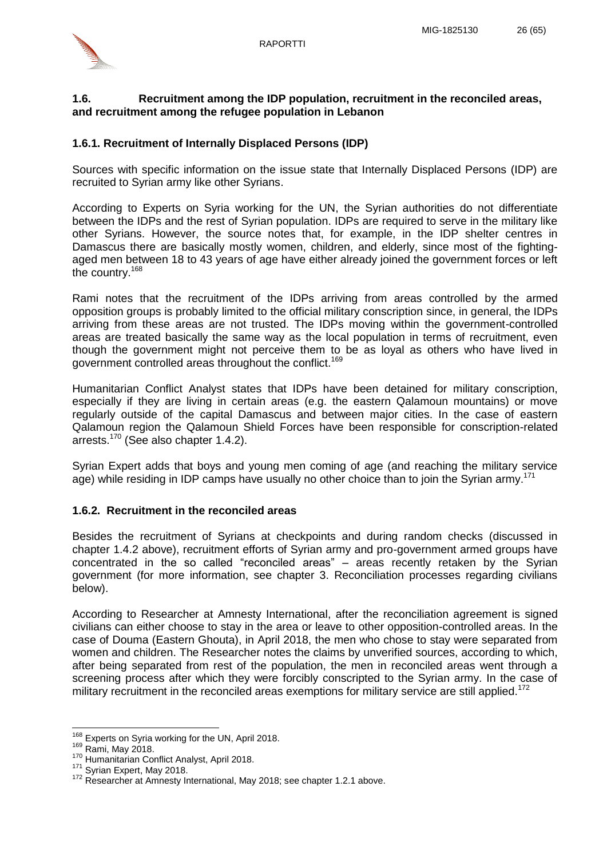

### <span id="page-26-0"></span>**1.6. Recruitment among the IDP population, recruitment in the reconciled areas, and recruitment among the refugee population in Lebanon**

### <span id="page-26-1"></span>**1.6.1. Recruitment of Internally Displaced Persons (IDP)**

Sources with specific information on the issue state that Internally Displaced Persons (IDP) are recruited to Syrian army like other Syrians.

According to Experts on Syria working for the UN, the Syrian authorities do not differentiate between the IDPs and the rest of Syrian population. IDPs are required to serve in the military like other Syrians. However, the source notes that, for example, in the IDP shelter centres in Damascus there are basically mostly women, children, and elderly, since most of the fightingaged men between 18 to 43 years of age have either already joined the government forces or left the country.<sup>168</sup>

Rami notes that the recruitment of the IDPs arriving from areas controlled by the armed opposition groups is probably limited to the official military conscription since, in general, the IDPs arriving from these areas are not trusted. The IDPs moving within the government-controlled areas are treated basically the same way as the local population in terms of recruitment, even though the government might not perceive them to be as loyal as others who have lived in government controlled areas throughout the conflict.<sup>169</sup>

Humanitarian Conflict Analyst states that IDPs have been detained for military conscription, especially if they are living in certain areas (e.g. the eastern Qalamoun mountains) or move regularly outside of the capital Damascus and between major cities. In the case of eastern Qalamoun region the Qalamoun Shield Forces have been responsible for conscription-related arrests.<sup>170</sup> (See also chapter 1.4.2).

Syrian Expert adds that boys and young men coming of age (and reaching the military service age) while residing in IDP camps have usually no other choice than to join the Syrian army.<sup>171</sup>

### <span id="page-26-2"></span>**1.6.2. Recruitment in the reconciled areas**

Besides the recruitment of Syrians at checkpoints and during random checks (discussed in chapter 1.4.2 above), recruitment efforts of Syrian army and pro-government armed groups have concentrated in the so called "reconciled areas" – areas recently retaken by the Syrian government (for more information, see chapter 3. Reconciliation processes regarding civilians below).

According to Researcher at Amnesty International, after the reconciliation agreement is signed civilians can either choose to stay in the area or leave to other opposition-controlled areas. In the case of Douma (Eastern Ghouta), in April 2018, the men who chose to stay were separated from women and children. The Researcher notes the claims by unverified sources, according to which, after being separated from rest of the population, the men in reconciled areas went through a screening process after which they were forcibly conscripted to the Syrian army. In the case of military recruitment in the reconciled areas exemptions for military service are still applied.<sup>172</sup>

<sup>&</sup>lt;sup>168</sup> Experts on Syria working for the UN, April 2018.

<sup>169</sup> Rami, May 2018.

<sup>170</sup> Humanitarian Conflict Analyst, April 2018.

<sup>&</sup>lt;sup>171</sup> Syrian Expert, May 2018.

<sup>172</sup> Researcher at Amnesty International, May 2018; see chapter 1.2.1 above.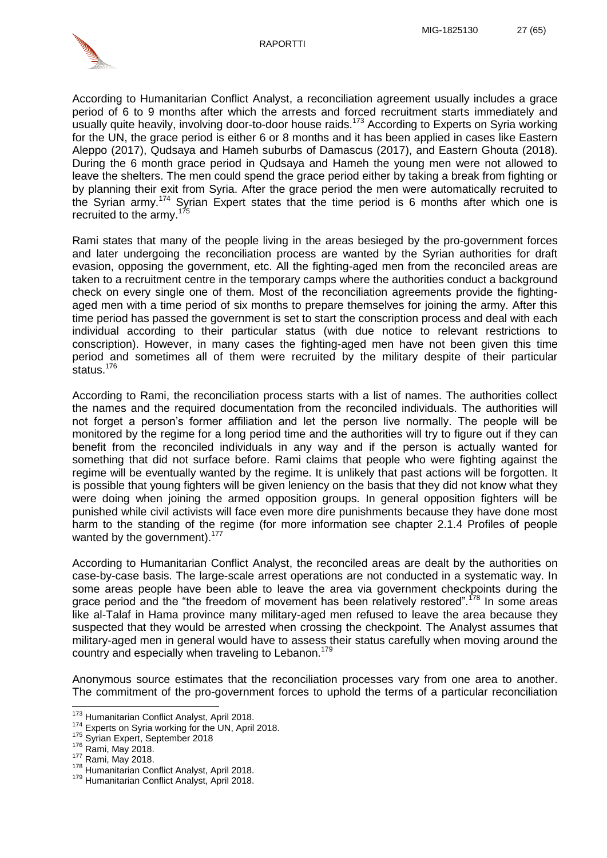

According to Humanitarian Conflict Analyst, a reconciliation agreement usually includes a grace period of 6 to 9 months after which the arrests and forced recruitment starts immediately and usually quite heavily, involving door-to-door house raids.<sup>173</sup> According to Experts on Syria working for the UN, the grace period is either 6 or 8 months and it has been applied in cases like Eastern Aleppo (2017), Qudsaya and Hameh suburbs of Damascus (2017), and Eastern Ghouta (2018). During the 6 month grace period in Qudsaya and Hameh the young men were not allowed to leave the shelters. The men could spend the grace period either by taking a break from fighting or by planning their exit from Syria. After the grace period the men were automatically recruited to the Syrian army.<sup>174</sup> Syrian Expert states that the time period is 6 months after which one is recruited to the army. $17$ 

Rami states that many of the people living in the areas besieged by the pro-government forces and later undergoing the reconciliation process are wanted by the Syrian authorities for draft evasion, opposing the government, etc. All the fighting-aged men from the reconciled areas are taken to a recruitment centre in the temporary camps where the authorities conduct a background check on every single one of them. Most of the reconciliation agreements provide the fightingaged men with a time period of six months to prepare themselves for joining the army. After this time period has passed the government is set to start the conscription process and deal with each individual according to their particular status (with due notice to relevant restrictions to conscription). However, in many cases the fighting-aged men have not been given this time period and sometimes all of them were recruited by the military despite of their particular status.<sup>176</sup>

According to Rami, the reconciliation process starts with a list of names. The authorities collect the names and the required documentation from the reconciled individuals. The authorities will not forget a person's former affiliation and let the person live normally. The people will be monitored by the regime for a long period time and the authorities will try to figure out if they can benefit from the reconciled individuals in any way and if the person is actually wanted for something that did not surface before. Rami claims that people who were fighting against the regime will be eventually wanted by the regime. It is unlikely that past actions will be forgotten. It is possible that young fighters will be given leniency on the basis that they did not know what they were doing when joining the armed opposition groups. In general opposition fighters will be punished while civil activists will face even more dire punishments because they have done most harm to the standing of the regime (for more information see chapter 2.1.4 Profiles of people wanted by the government).<sup>177</sup>

According to Humanitarian Conflict Analyst, the reconciled areas are dealt by the authorities on case-by-case basis. The large-scale arrest operations are not conducted in a systematic way. In some areas people have been able to leave the area via government checkpoints during the grace period and the "the freedom of movement has been relatively restored".<sup>178</sup> In some areas like al-Talaf in Hama province many military-aged men refused to leave the area because they suspected that they would be arrested when crossing the checkpoint. The Analyst assumes that military-aged men in general would have to assess their status carefully when moving around the country and especially when traveling to Lebanon.<sup>179</sup>

Anonymous source estimates that the reconciliation processes vary from one area to another. The commitment of the pro-government forces to uphold the terms of a particular reconciliation

<sup>&</sup>lt;sup>173</sup> Humanitarian Conflict Analyst, April 2018.

<sup>&</sup>lt;sup>174</sup> Experts on Syria working for the UN, April 2018.

<sup>175</sup> Syrian Expert, September 2018

<sup>176</sup> Rami, May 2018.

<sup>177</sup> Rami, May 2018.

<sup>178</sup> Humanitarian Conflict Analyst, April 2018.

<sup>179</sup> Humanitarian Conflict Analyst, April 2018.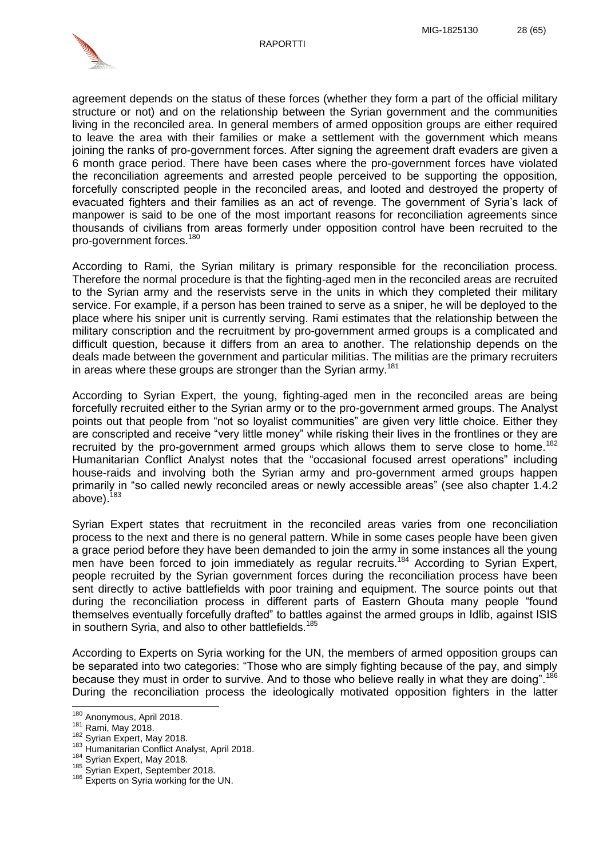

agreement depends on the status of these forces (whether they form a part of the official military structure or not) and on the relationship between the Syrian government and the communities living in the reconciled area. In general members of armed opposition groups are either required to leave the area with their families or make a settlement with the government which means joining the ranks of pro-government forces. After signing the agreement draft evaders are given a 6 month grace period. There have been cases where the pro-government forces have violated the reconciliation agreements and arrested people perceived to be supporting the opposition, forcefully conscripted people in the reconciled areas, and looted and destroyed the property of evacuated fighters and their families as an act of revenge. The government of Syria's lack of manpower is said to be one of the most important reasons for reconciliation agreements since thousands of civilians from areas formerly under opposition control have been recruited to the pro-government forces.<sup>180</sup>

According to Rami, the Syrian military is primary responsible for the reconciliation process. Therefore the normal procedure is that the fighting-aged men in the reconciled areas are recruited to the Syrian army and the reservists serve in the units in which they completed their military service. For example, if a person has been trained to serve as a sniper, he will be deployed to the place where his sniper unit is currently serving. Rami estimates that the relationship between the military conscription and the recruitment by pro-government armed groups is a complicated and difficult question, because it differs from an area to another. The relationship depends on the deals made between the government and particular militias. The militias are the primary recruiters in areas where these groups are stronger than the Syrian army.<sup>181</sup>

According to Syrian Expert, the young, fighting-aged men in the reconciled areas are being forcefully recruited either to the Syrian army or to the pro-government armed groups. The Analyst points out that people from "not so loyalist communities" are given very little choice. Either they are conscripted and receive "very little money" while risking their lives in the frontlines or they are recruited by the pro-government armed groups which allows them to serve close to home.<sup>182</sup> Humanitarian Conflict Analyst notes that the "occasional focused arrest operations" including house-raids and involving both the Syrian army and pro-government armed groups happen primarily in "so called newly reconciled areas or newly accessible areas" (see also chapter 1.4.2 above). $^{183}$ 

Syrian Expert states that recruitment in the reconciled areas varies from one reconciliation process to the next and there is no general pattern. While in some cases people have been given a grace period before they have been demanded to join the army in some instances all the young men have been forced to join immediately as regular recruits.<sup>184</sup> According to Syrian Expert, people recruited by the Syrian government forces during the reconciliation process have been sent directly to active battlefields with poor training and equipment. The source points out that during the reconciliation process in different parts of Eastern Ghouta many people "found themselves eventually forcefully drafted" to battles against the armed groups in Idlib, against ISIS in southern Syria, and also to other battlefields.<sup>185</sup>

According to Experts on Syria working for the UN, the members of armed opposition groups can be separated into two categories: "Those who are simply fighting because of the pay, and simply because they must in order to survive. And to those who believe really in what they are doing".<sup>186</sup> During the reconciliation process the ideologically motivated opposition fighters in the latter

<sup>&</sup>lt;sup>180</sup> Anonymous, April 2018.

<sup>181</sup> Rami, May 2018.

<sup>182</sup> Syrian Expert, May 2018.

<sup>183</sup> Humanitarian Conflict Analyst, April 2018.

<sup>184</sup> Syrian Expert, May 2018.

<sup>185</sup> Syrian Expert, September 2018.

<sup>186</sup> Experts on Syria working for the UN.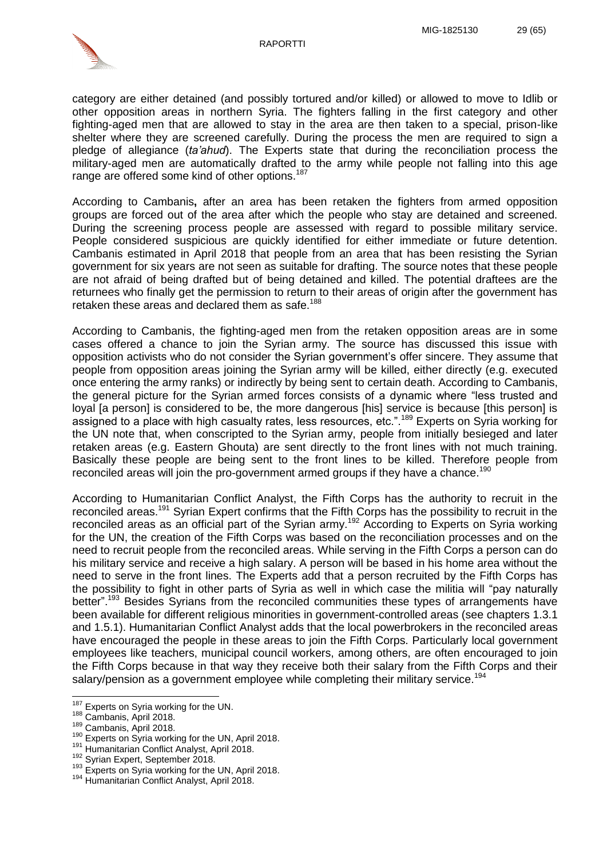

category are either detained (and possibly tortured and/or killed) or allowed to move to Idlib or other opposition areas in northern Syria. The fighters falling in the first category and other fighting-aged men that are allowed to stay in the area are then taken to a special, prison-like shelter where they are screened carefully. During the process the men are required to sign a pledge of allegiance (*ta'ahud*). The Experts state that during the reconciliation process the military-aged men are automatically drafted to the army while people not falling into this age range are offered some kind of other options.<sup>187</sup>

According to Cambanis**,** after an area has been retaken the fighters from armed opposition groups are forced out of the area after which the people who stay are detained and screened. During the screening process people are assessed with regard to possible military service. People considered suspicious are quickly identified for either immediate or future detention. Cambanis estimated in April 2018 that people from an area that has been resisting the Syrian government for six years are not seen as suitable for drafting. The source notes that these people are not afraid of being drafted but of being detained and killed. The potential draftees are the returnees who finally get the permission to return to their areas of origin after the government has retaken these areas and declared them as safe.<sup>188</sup>

According to Cambanis, the fighting-aged men from the retaken opposition areas are in some cases offered a chance to join the Syrian army. The source has discussed this issue with opposition activists who do not consider the Syrian government's offer sincere. They assume that people from opposition areas joining the Syrian army will be killed, either directly (e.g. executed once entering the army ranks) or indirectly by being sent to certain death. According to Cambanis, the general picture for the Syrian armed forces consists of a dynamic where "less trusted and loyal [a person] is considered to be, the more dangerous [his] service is because [this person] is assigned to a place with high casualty rates, less resources, etc.".<sup>189</sup> Experts on Syria working for the UN note that, when conscripted to the Syrian army, people from initially besieged and later retaken areas (e.g. Eastern Ghouta) are sent directly to the front lines with not much training. Basically these people are being sent to the front lines to be killed. Therefore people from reconciled areas will join the pro-government armed groups if they have a chance.<sup>190</sup>

According to Humanitarian Conflict Analyst, the Fifth Corps has the authority to recruit in the reconciled areas.<sup>191</sup> Syrian Expert confirms that the Fifth Corps has the possibility to recruit in the reconciled areas as an official part of the Syrian army.<sup>192</sup> According to Experts on Syria working for the UN, the creation of the Fifth Corps was based on the reconciliation processes and on the need to recruit people from the reconciled areas. While serving in the Fifth Corps a person can do his military service and receive a high salary. A person will be based in his home area without the need to serve in the front lines. The Experts add that a person recruited by the Fifth Corps has the possibility to fight in other parts of Syria as well in which case the militia will "pay naturally better".<sup>193</sup> Besides Syrians from the reconciled communities these types of arrangements have been available for different religious minorities in government-controlled areas (see chapters 1.3.1 and 1.5.1). Humanitarian Conflict Analyst adds that the local powerbrokers in the reconciled areas have encouraged the people in these areas to join the Fifth Corps. Particularly local government employees like teachers, municipal council workers, among others, are often encouraged to join the Fifth Corps because in that way they receive both their salary from the Fifth Corps and their salary/pension as a government employee while completing their military service.<sup>194</sup>

 $\overline{a}$  $187$  Experts on Syria working for the UN.

<sup>188</sup> Cambanis, April 2018.

<sup>189</sup> Cambanis, April 2018.

 $^{190}$  Experts on Syria working for the UN, April 2018.

Humanitarian Conflict Analyst, April 2018.

<sup>192</sup> Syrian Expert, September 2018.

<sup>193</sup> Experts on Syria working for the UN, April 2018.

<sup>194</sup> Humanitarian Conflict Analyst, April 2018.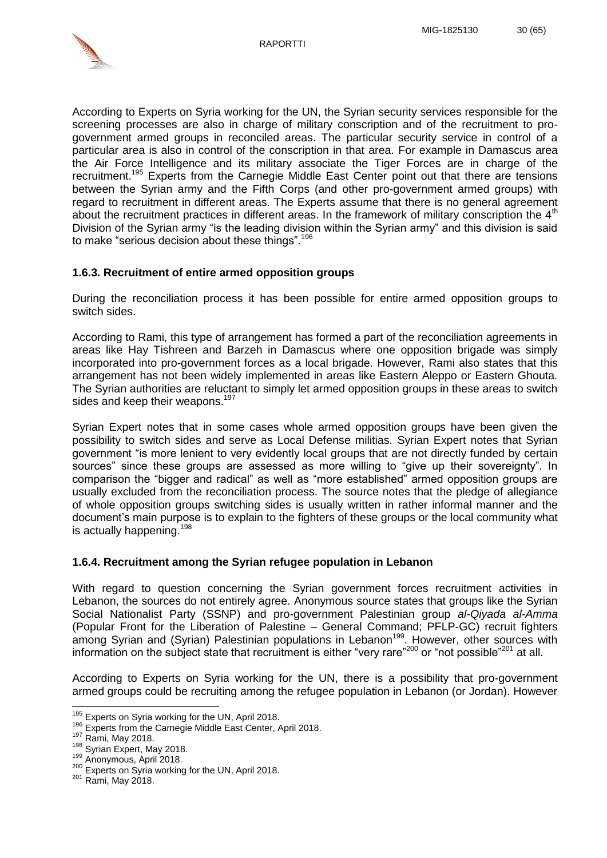

According to Experts on Syria working for the UN, the Syrian security services responsible for the screening processes are also in charge of military conscription and of the recruitment to progovernment armed groups in reconciled areas. The particular security service in control of a particular area is also in control of the conscription in that area. For example in Damascus area the Air Force Intelligence and its military associate the Tiger Forces are in charge of the recruitment.<sup>195</sup> Experts from the Carnegie Middle East Center point out that there are tensions between the Syrian army and the Fifth Corps (and other pro-government armed groups) with regard to recruitment in different areas. The Experts assume that there is no general agreement about the recruitment practices in different areas. In the framework of military conscription the  $4<sup>th</sup>$ Division of the Syrian army "is the leading division within the Syrian army" and this division is said to make "serious decision about these things".<sup>196</sup>

## <span id="page-30-0"></span>**1.6.3. Recruitment of entire armed opposition groups**

During the reconciliation process it has been possible for entire armed opposition groups to switch sides.

According to Rami, this type of arrangement has formed a part of the reconciliation agreements in areas like Hay Tishreen and Barzeh in Damascus where one opposition brigade was simply incorporated into pro-government forces as a local brigade. However, Rami also states that this arrangement has not been widely implemented in areas like Eastern Aleppo or Eastern Ghouta. The Syrian authorities are reluctant to simply let armed opposition groups in these areas to switch sides and keep their weapons.<sup>197</sup>

Syrian Expert notes that in some cases whole armed opposition groups have been given the possibility to switch sides and serve as Local Defense militias. Syrian Expert notes that Syrian government "is more lenient to very evidently local groups that are not directly funded by certain sources" since these groups are assessed as more willing to "give up their sovereignty". In comparison the "bigger and radical" as well as "more established" armed opposition groups are usually excluded from the reconciliation process. The source notes that the pledge of allegiance of whole opposition groups switching sides is usually written in rather informal manner and the document's main purpose is to explain to the fighters of these groups or the local community what is actually happening.  $198$ 

### <span id="page-30-1"></span>**1.6.4. Recruitment among the Syrian refugee population in Lebanon**

With regard to question concerning the Syrian government forces recruitment activities in Lebanon, the sources do not entirely agree. Anonymous source states that groups like the Syrian Social Nationalist Party (SSNP) and pro-government Palestinian group *al-Qiyada al-Amma*  (Popular Front for the Liberation of Palestine – General Command; PFLP-GC) recruit fighters among Syrian and (Syrian) Palestinian populations in Lebanon<sup>199</sup>. However, other sources with information on the subject state that recruitment is either "very rare"<sup>200</sup> or "not possible"<sup>201</sup> at all.

According to Experts on Syria working for the UN, there is a possibility that pro-government armed groups could be recruiting among the refugee population in Lebanon (or Jordan). However

 <sup>195</sup> Experts on Syria working for the UN, April 2018.

<sup>&</sup>lt;sup>196</sup> Experts from the Carnegie Middle East Center, April 2018.

<sup>197</sup> Rami, May 2018.

<sup>198</sup> Syrian Expert, May 2018.

 $199$  Anonymous, April 2018.

<sup>200</sup> Experts on Syria working for the UN, April 2018.

<sup>201</sup> Rami, May 2018.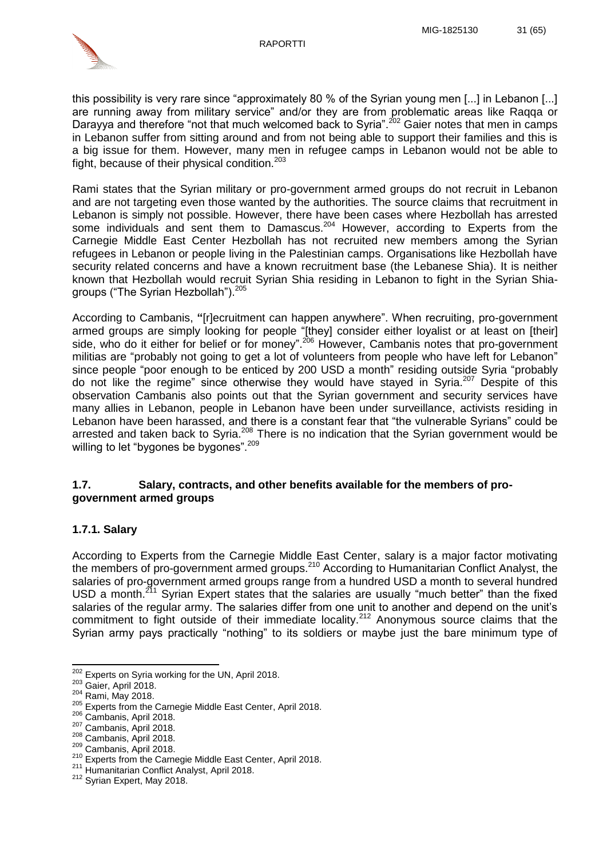

this possibility is very rare since "approximately 80 % of the Syrian young men [...] in Lebanon [...] are running away from military service" and/or they are from problematic areas like Raqqa or Darayya and therefore "not that much welcomed back to Syria".<sup>202</sup> Gaier notes that men in camps in Lebanon suffer from sitting around and from not being able to support their families and this is a big issue for them. However, many men in refugee camps in Lebanon would not be able to fight, because of their physical condition.<sup>203</sup>

Rami states that the Syrian military or pro-government armed groups do not recruit in Lebanon and are not targeting even those wanted by the authorities. The source claims that recruitment in Lebanon is simply not possible. However, there have been cases where Hezbollah has arrested some individuals and sent them to Damascus.<sup>204</sup> However, according to Experts from the Carnegie Middle East Center Hezbollah has not recruited new members among the Syrian refugees in Lebanon or people living in the Palestinian camps. Organisations like Hezbollah have security related concerns and have a known recruitment base (the Lebanese Shia). It is neither known that Hezbollah would recruit Syrian Shia residing in Lebanon to fight in the Syrian Shiagroups ("The Syrian Hezbollah").<sup>205</sup>

According to Cambanis, **"**[r]ecruitment can happen anywhere". When recruiting, pro-government armed groups are simply looking for people "[they] consider either loyalist or at least on [their] side, who do it either for belief or for money".<sup>206</sup> However, Cambanis notes that pro-government militias are "probably not going to get a lot of volunteers from people who have left for Lebanon" since people "poor enough to be enticed by 200 USD a month" residing outside Syria "probably do not like the regime" since otherwise they would have stayed in Syria.<sup>207</sup> Despite of this observation Cambanis also points out that the Syrian government and security services have many allies in Lebanon, people in Lebanon have been under surveillance, activists residing in Lebanon have been harassed, and there is a constant fear that "the vulnerable Syrians" could be arrested and taken back to Syria.<sup>208</sup> There is no indication that the Syrian government would be willing to let "bygones be bygones".<sup>209</sup>

### <span id="page-31-0"></span>**1.7. Salary, contracts, and other benefits available for the members of progovernment armed groups**

### <span id="page-31-1"></span>**1.7.1. Salary**

According to Experts from the Carnegie Middle East Center, salary is a major factor motivating the members of pro-government armed groups.<sup>210</sup> According to Humanitarian Conflict Analyst, the salaries of pro-government armed groups range from a hundred USD a month to several hundred USD a month.<sup>211</sup> Svrian Expert states that the salaries are usually "much better" than the fixed salaries of the regular army. The salaries differ from one unit to another and depend on the unit's commitment to fight outside of their immediate locality.<sup>212</sup> Anonymous source claims that the Syrian army pays practically "nothing" to its soldiers or maybe just the bare minimum type of

 $\overline{a}$  $202$  Experts on Syria working for the UN, April 2018.

<sup>203</sup> Gaier, April 2018.

<sup>204</sup> Rami, May 2018.

<sup>205</sup> Experts from the Carnegie Middle East Center, April 2018.

<sup>206</sup> Cambanis, April 2018.

<sup>&</sup>lt;sup>207</sup> Cambanis, April 2018.

<sup>208</sup> Cambanis, April 2018.

<sup>209</sup> Cambanis, April 2018.

<sup>210</sup> Experts from the Carnegie Middle East Center, April 2018.

<sup>211</sup> Humanitarian Conflict Analyst, April 2018.

<sup>&</sup>lt;sup>212</sup> Syrian Expert, May 2018.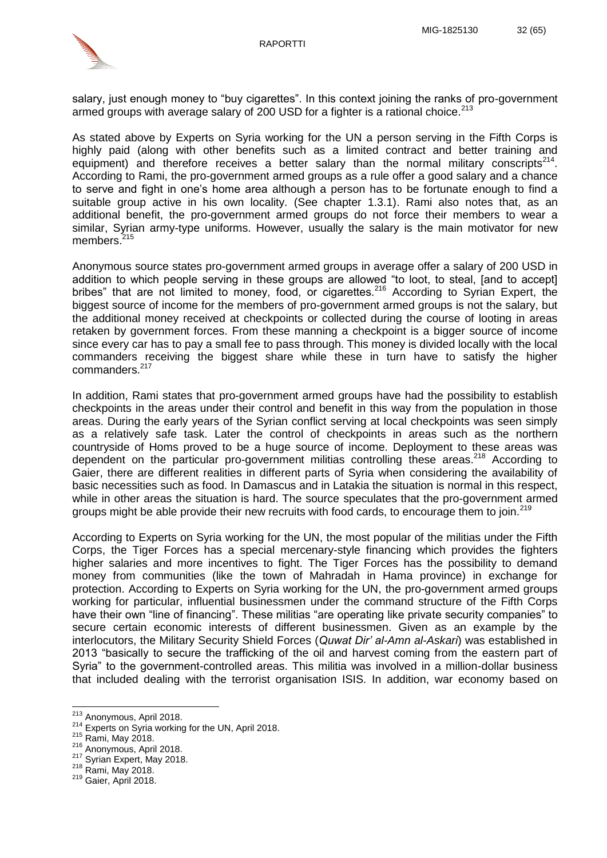

salary, just enough money to "buy cigarettes". In this context joining the ranks of pro-government armed groups with average salary of 200 USD for a fighter is a rational choice.<sup>213</sup>

As stated above by Experts on Syria working for the UN a person serving in the Fifth Corps is highly paid (along with other benefits such as a limited contract and better training and equipment) and therefore receives a better salary than the normal military conscripts<sup>214</sup>. According to Rami, the pro-government armed groups as a rule offer a good salary and a chance to serve and fight in one's home area although a person has to be fortunate enough to find a suitable group active in his own locality. (See chapter 1.3.1). Rami also notes that, as an additional benefit, the pro-government armed groups do not force their members to wear a similar, Syrian army-type uniforms. However, usually the salary is the main motivator for new members.<sup>215</sup>

Anonymous source states pro-government armed groups in average offer a salary of 200 USD in addition to which people serving in these groups are allowed "to loot, to steal, [and to accept] bribes" that are not limited to money, food, or cigarettes.<sup>216</sup> According to Syrian Expert, the biggest source of income for the members of pro-government armed groups is not the salary, but the additional money received at checkpoints or collected during the course of looting in areas retaken by government forces. From these manning a checkpoint is a bigger source of income since every car has to pay a small fee to pass through. This money is divided locally with the local commanders receiving the biggest share while these in turn have to satisfy the higher commanders.<sup>217</sup>

In addition, Rami states that pro-government armed groups have had the possibility to establish checkpoints in the areas under their control and benefit in this way from the population in those areas. During the early years of the Syrian conflict serving at local checkpoints was seen simply as a relatively safe task. Later the control of checkpoints in areas such as the northern countryside of Homs proved to be a huge source of income. Deployment to these areas was dependent on the particular pro-government militias controlling these areas.<sup>218</sup> According to Gaier, there are different realities in different parts of Syria when considering the availability of basic necessities such as food. In Damascus and in Latakia the situation is normal in this respect, while in other areas the situation is hard. The source speculates that the pro-government armed groups might be able provide their new recruits with food cards, to encourage them to join.<sup>219</sup>

According to Experts on Syria working for the UN, the most popular of the militias under the Fifth Corps, the Tiger Forces has a special mercenary-style financing which provides the fighters higher salaries and more incentives to fight. The Tiger Forces has the possibility to demand money from communities (like the town of Mahradah in Hama province) in exchange for protection. According to Experts on Syria working for the UN, the pro-government armed groups working for particular, influential businessmen under the command structure of the Fifth Corps have their own "line of financing". These militias "are operating like private security companies" to secure certain economic interests of different businessmen. Given as an example by the interlocutors, the Military Security Shield Forces (*Quwat Dir' al-Amn al-Askari*) was established in 2013 "basically to secure the trafficking of the oil and harvest coming from the eastern part of Syria" to the government-controlled areas. This militia was involved in a million-dollar business that included dealing with the terrorist organisation ISIS. In addition, war economy based on

217 Syrian Expert, May 2018.

<sup>&</sup>lt;sup>213</sup> Anonymous, April 2018.

<sup>214</sup> Experts on Syria working for the UN, April 2018.

<sup>215</sup> Rami, May 2018.

<sup>216</sup> Anonymous, April 2018.

<sup>218</sup> Rami, May 2018.

<sup>219</sup> Gaier, April 2018.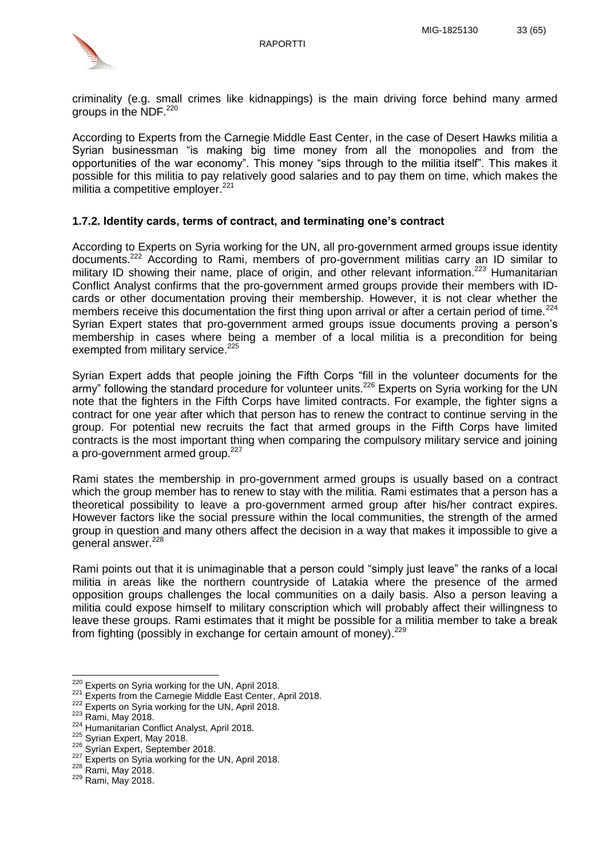

criminality (e.g. small crimes like kidnappings) is the main driving force behind many armed groups in the NDF.<sup>220</sup>

According to Experts from the Carnegie Middle East Center, in the case of Desert Hawks militia a Syrian businessman "is making big time money from all the monopolies and from the opportunities of the war economy". This money "sips through to the militia itself". This makes it possible for this militia to pay relatively good salaries and to pay them on time, which makes the militia a competitive emplover.<sup>221</sup>

### <span id="page-33-0"></span>**1.7.2. Identity cards, terms of contract, and terminating one's contract**

According to Experts on Syria working for the UN, all pro-government armed groups issue identity documents.<sup>222</sup> According to Rami, members of pro-government militias carry an ID similar to military ID showing their name, place of origin, and other relevant information.<sup>223</sup> Humanitarian Conflict Analyst confirms that the pro-government armed groups provide their members with IDcards or other documentation proving their membership. However, it is not clear whether the members receive this documentation the first thing upon arrival or after a certain period of time.<sup>224</sup> Syrian Expert states that pro-government armed groups issue documents proving a person's membership in cases where being a member of a local militia is a precondition for being exempted from military service.<sup>225</sup>

Syrian Expert adds that people joining the Fifth Corps "fill in the volunteer documents for the army" following the standard procedure for volunteer units.<sup>226</sup> Experts on Syria working for the UN note that the fighters in the Fifth Corps have limited contracts. For example, the fighter signs a contract for one year after which that person has to renew the contract to continue serving in the group. For potential new recruits the fact that armed groups in the Fifth Corps have limited contracts is the most important thing when comparing the compulsory military service and joining a pro-government armed group.<sup>227</sup>

Rami states the membership in pro-government armed groups is usually based on a contract which the group member has to renew to stay with the militia. Rami estimates that a person has a theoretical possibility to leave a pro-government armed group after his/her contract expires. However factors like the social pressure within the local communities, the strength of the armed group in question and many others affect the decision in a way that makes it impossible to give a general answer.<sup>228</sup>

Rami points out that it is unimaginable that a person could "simply just leave" the ranks of a local militia in areas like the northern countryside of Latakia where the presence of the armed opposition groups challenges the local communities on a daily basis. Also a person leaving a militia could expose himself to military conscription which will probably affect their willingness to leave these groups. Rami estimates that it might be possible for a militia member to take a break from fighting (possibly in exchange for certain amount of money).<sup>229</sup>

 $220$  Experts on Syria working for the UN, April 2018.

<sup>221</sup> Experts from the Carnegie Middle East Center, April 2018.

<sup>222</sup> Experts non-aix Sams Franch UN, April 2018.

<sup>223</sup> Rami, May 2018.

<sup>224</sup> Humanitarian Conflict Analyst, April 2018.

<sup>225</sup> Syrian Expert, May 2018.

<sup>226</sup> Syrian Expert, September 2018.

<sup>227</sup> Experts on Syria working for the UN, April 2018.

<sup>228</sup> Rami, May 2018.

<sup>229</sup> Rami, May 2018.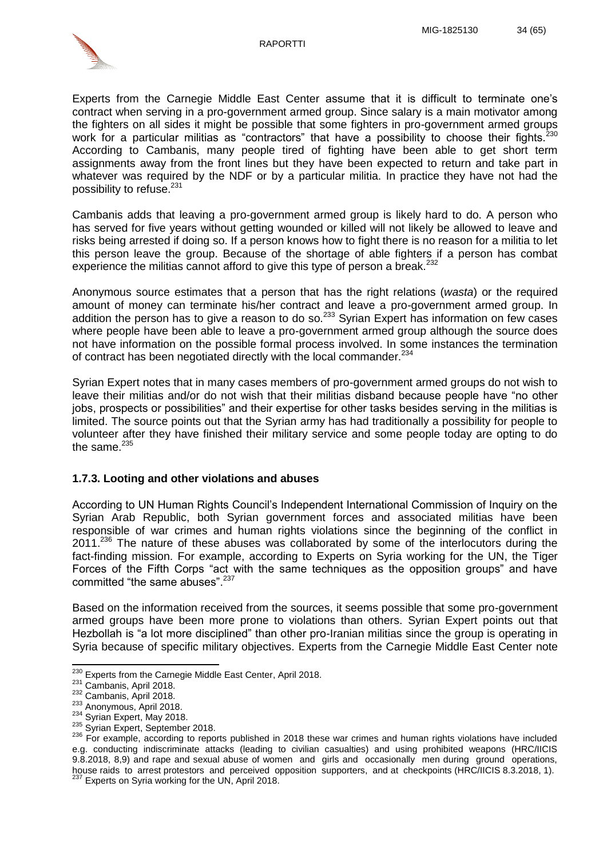

Experts from the Carnegie Middle East Center assume that it is difficult to terminate one's contract when serving in a pro-government armed group. Since salary is a main motivator among the fighters on all sides it might be possible that some fighters in pro-government armed groups work for a particular militias as "contractors" that have a possibility to choose their fights.<sup>2</sup> According to Cambanis, many people tired of fighting have been able to get short term assignments away from the front lines but they have been expected to return and take part in whatever was required by the NDF or by a particular militia. In practice they have not had the possibility to refuse.<sup>231</sup>

Cambanis adds that leaving a pro-government armed group is likely hard to do. A person who has served for five years without getting wounded or killed will not likely be allowed to leave and risks being arrested if doing so. If a person knows how to fight there is no reason for a militia to let this person leave the group. Because of the shortage of able fighters if a person has combat experience the militias cannot afford to give this type of person a break.<sup>232</sup>

Anonymous source estimates that a person that has the right relations (*wasta*) or the required amount of money can terminate his/her contract and leave a pro-government armed group. In addition the person has to give a reason to do so. $^{233}$  Syrian Expert has information on few cases where people have been able to leave a pro-government armed group although the source does not have information on the possible formal process involved. In some instances the termination of contract has been negotiated directly with the local commander.<sup>234</sup>

Syrian Expert notes that in many cases members of pro-government armed groups do not wish to leave their militias and/or do not wish that their militias disband because people have "no other jobs, prospects or possibilities" and their expertise for other tasks besides serving in the militias is limited. The source points out that the Syrian army has had traditionally a possibility for people to volunteer after they have finished their military service and some people today are opting to do the same. $235$ 

### <span id="page-34-0"></span>**1.7.3. Looting and other violations and abuses**

According to UN Human Rights Council's Independent International Commission of Inquiry on the Syrian Arab Republic, both Syrian government forces and associated militias have been responsible of war crimes and human rights violations since the beginning of the conflict in  $2011.<sup>236</sup>$  The nature of these abuses was collaborated by some of the interlocutors during the fact-finding mission. For example, according to Experts on Syria working for the UN, the Tiger Forces of the Fifth Corps "act with the same techniques as the opposition groups" and have committed "the same abuses".<sup>237</sup>

Based on the information received from the sources, it seems possible that some pro-government armed groups have been more prone to violations than others. Syrian Expert points out that Hezbollah is "a lot more disciplined" than other pro-Iranian militias since the group is operating in Syria because of specific military objectives. Experts from the Carnegie Middle East Center note

 $\overline{a}$  $^{230}$  Experts from the Carnegie Middle East Center, April 2018.

<sup>&</sup>lt;sup>231</sup> Cambanis, April 2018.

<sup>232</sup> Cambanis, April 2018.

<sup>233</sup> Anonymous, April 2018.

<sup>&</sup>lt;sup>234</sup> Syrian Expert, May 2018.

<sup>235</sup> Syrian Expert, September 2018.

<sup>236</sup> For example, according to reports published in 2018 these war crimes and human rights violations have included e.g. conducting indiscriminate attacks (leading to civilian casualties) and using prohibited weapons (HRC/IICIS 9.8.2018, 8,9) and rape and sexual abuse of women and girls and occasionally men during ground operations, house raids to arrest protestors and perceived opposition supporters, and at checkpoints (HRC/IICIS 8.3.2018, 1). <sup>237</sup> Experts on Syria working for the UN, April 2018.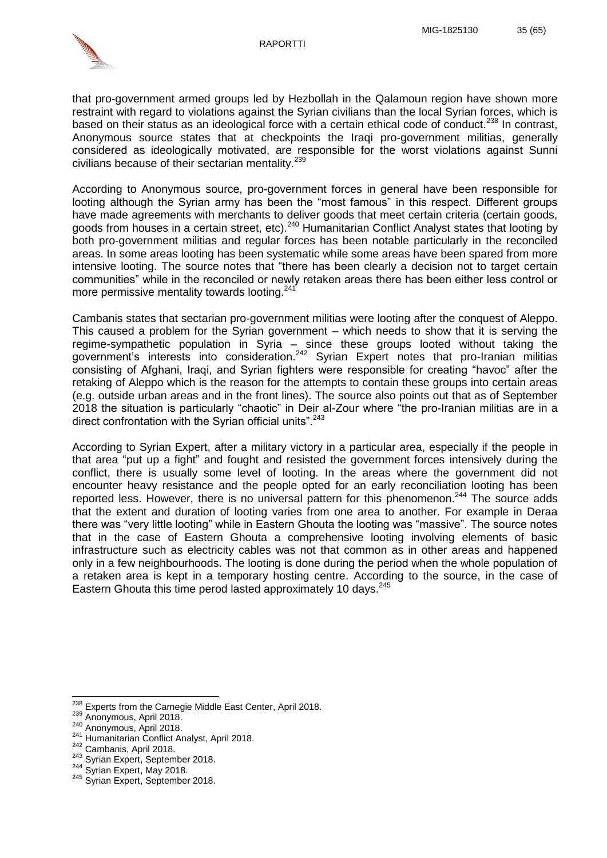

that pro-government armed groups led by Hezbollah in the Qalamoun region have shown more restraint with regard to violations against the Syrian civilians than the local Syrian forces, which is based on their status as an ideological force with a certain ethical code of conduct.<sup>238</sup> In contrast, Anonymous source states that at checkpoints the Iraqi pro-government militias, generally considered as ideologically motivated, are responsible for the worst violations against Sunni civilians because of their sectarian mentality.<sup>239</sup>

According to Anonymous source, pro-government forces in general have been responsible for looting although the Syrian army has been the "most famous" in this respect. Different groups have made agreements with merchants to deliver goods that meet certain criteria (certain goods, goods from houses in a certain street, etc).<sup>240</sup> Humanitarian Conflict Analyst states that looting by both pro-government militias and regular forces has been notable particularly in the reconciled areas. In some areas looting has been systematic while some areas have been spared from more intensive looting. The source notes that "there has been clearly a decision not to target certain communities" while in the reconciled or newly retaken areas there has been either less control or more permissive mentality towards looting.<sup>241</sup>

Cambanis states that sectarian pro-government militias were looting after the conquest of Aleppo. This caused a problem for the Syrian government – which needs to show that it is serving the regime-sympathetic population in Syria – since these groups looted without taking the government's interests into consideration.<sup>242</sup> Syrian Expert notes that pro-Iranian militias consisting of Afghani, Iraqi, and Syrian fighters were responsible for creating "havoc" after the retaking of Aleppo which is the reason for the attempts to contain these groups into certain areas (e.g. outside urban areas and in the front lines). The source also points out that as of September 2018 the situation is particularly "chaotic" in Deir al-Zour where "the pro-Iranian militias are in a direct confrontation with the Syrian official units".<sup>243</sup>

According to Syrian Expert, after a military victory in a particular area, especially if the people in that area "put up a fight" and fought and resisted the government forces intensively during the conflict, there is usually some level of looting. In the areas where the government did not encounter heavy resistance and the people opted for an early reconciliation looting has been reported less. However, there is no universal pattern for this phenomenon.<sup>244</sup> The source adds that the extent and duration of looting varies from one area to another. For example in Deraa there was "very little looting" while in Eastern Ghouta the looting was "massive". The source notes that in the case of Eastern Ghouta a comprehensive looting involving elements of basic infrastructure such as electricity cables was not that common as in other areas and happened only in a few neighbourhoods. The looting is done during the period when the whole population of a retaken area is kept in a temporary hosting centre. According to the source, in the case of Eastern Ghouta this time perod lasted approximately 10 days.<sup>245</sup>

<sup>241</sup> Humanitarian Conflict Analyst, April 2018.

 $\overline{a}$  $^{238}$  Experts from the Carnegie Middle East Center, April 2018.

<sup>239</sup> Anonymous, April 2018.

<sup>240</sup> Anonymous, April 2018.

<sup>242</sup> Cambanis, April 2018.

<sup>243</sup> Syrian Expert, September 2018.

<sup>&</sup>lt;sup>244</sup> Syrian Expert, May 2018.

<sup>&</sup>lt;sup>245</sup> Syrian Expert, September 2018.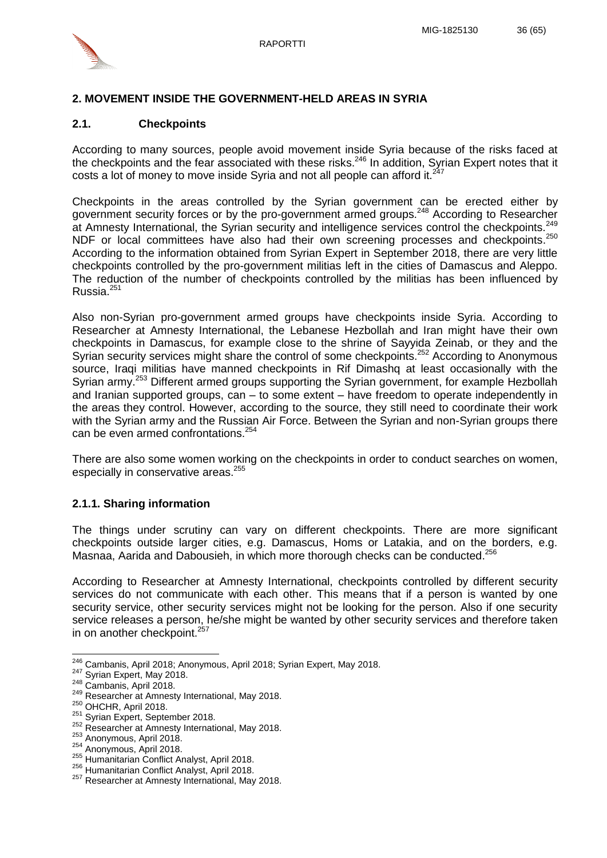

### <span id="page-36-0"></span>**2. MOVEMENT INSIDE THE GOVERNMENT-HELD AREAS IN SYRIA**

#### <span id="page-36-1"></span>**2.1. Checkpoints**

According to many sources, people avoid movement inside Syria because of the risks faced at the checkpoints and the fear associated with these risks.<sup>246</sup> In addition, Syrian Expert notes that it costs a lot of money to move inside Syria and not all people can afford it.  $247$ 

Checkpoints in the areas controlled by the Syrian government can be erected either by government security forces or by the pro-government armed groups.<sup>248</sup> According to Researcher at Amnesty International, the Syrian security and intelligence services control the checkpoints.<sup>249</sup> NDF or local committees have also had their own screening processes and checkpoints.<sup>250</sup> According to the information obtained from Syrian Expert in September 2018, there are very little checkpoints controlled by the pro-government militias left in the cities of Damascus and Aleppo. The reduction of the number of checkpoints controlled by the militias has been influenced by Russia.<sup>251</sup>

Also non-Syrian pro-government armed groups have checkpoints inside Syria. According to Researcher at Amnesty International, the Lebanese Hezbollah and Iran might have their own checkpoints in Damascus, for example close to the shrine of Sayyida Zeinab, or they and the Syrian security services might share the control of some checkpoints.<sup>252</sup> According to Anonymous source, Iraqi militias have manned checkpoints in Rif Dimashq at least occasionally with the Syrian army.<sup>253</sup> Different armed groups supporting the Syrian government, for example Hezbollah and Iranian supported groups, can – to some extent – have freedom to operate independently in the areas they control. However, according to the source, they still need to coordinate their work with the Syrian army and the Russian Air Force. Between the Syrian and non-Syrian groups there can be even armed confrontations.<sup>254</sup>

There are also some women working on the checkpoints in order to conduct searches on women, especially in conservative areas.<sup>255</sup>

#### <span id="page-36-2"></span>**2.1.1. Sharing information**

The things under scrutiny can vary on different checkpoints. There are more significant checkpoints outside larger cities, e.g. Damascus, Homs or Latakia, and on the borders, e.g. Masnaa, Aarida and Dabousieh, in which more thorough checks can be conducted.<sup>256</sup>

According to Researcher at Amnesty International, checkpoints controlled by different security services do not communicate with each other. This means that if a person is wanted by one security service, other security services might not be looking for the person. Also if one security service releases a person, he/she might be wanted by other security services and therefore taken in on another checkpoint.<sup>257</sup>

<sup>&</sup>lt;sup>246</sup> Cambanis, April 2018; Anonymous, April 2018; Syrian Expert, May 2018.

<sup>247</sup> Syrian Expert, May 2018.

<sup>248</sup> Cambanis, April 2018.

<sup>249</sup> Researcher at Amnesty International, May 2018.

<sup>250</sup> OHCHR, April 2018.

<sup>251</sup> Syrian Expert, September 2018.

<sup>&</sup>lt;sup>252</sup> Researcher at Amnesty International, May 2018.

<sup>253</sup> Anonymous, April 2018.

<sup>254</sup> Anonymous, April 2018.

<sup>255</sup> Humanitarian Conflict Analyst, April 2018.

<sup>256</sup> Humanitarian Conflict Analyst, April 2018.

<sup>&</sup>lt;sup>257</sup> Researcher at Amnesty International, May 2018.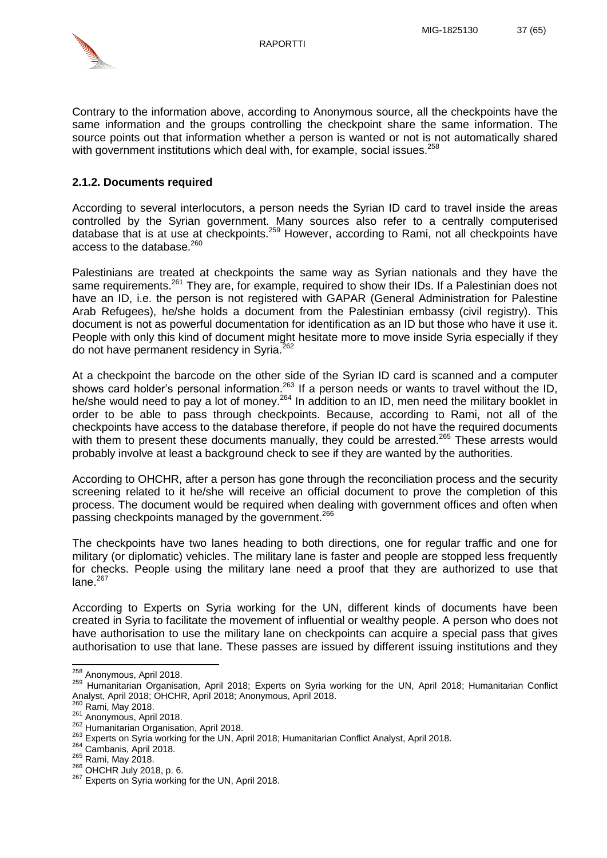

Contrary to the information above, according to Anonymous source, all the checkpoints have the same information and the groups controlling the checkpoint share the same information. The source points out that information whether a person is wanted or not is not automatically shared with government institutions which deal with, for example, social issues.<sup>258</sup>

## <span id="page-37-0"></span>**2.1.2. Documents required**

According to several interlocutors, a person needs the Syrian ID card to travel inside the areas controlled by the Syrian government. Many sources also refer to a centrally computerised database that is at use at checkpoints.<sup>259</sup> However, according to Rami, not all checkpoints have access to the database.<sup>260</sup>

Palestinians are treated at checkpoints the same way as Syrian nationals and they have the same requirements.<sup>261</sup> They are, for example, required to show their IDs. If a Palestinian does not have an ID, i.e. the person is not registered with GAPAR (General Administration for Palestine Arab Refugees), he/she holds a document from the Palestinian embassy (civil registry). This document is not as powerful documentation for identification as an ID but those who have it use it. People with only this kind of document might hesitate more to move inside Syria especially if they do not have permanent residency in Syria.<sup>262</sup>

At a checkpoint the barcode on the other side of the Syrian ID card is scanned and a computer shows card holder's personal information.<sup>263</sup> If a person needs or wants to travel without the ID, he/she would need to pay a lot of money.<sup>264</sup> In addition to an ID, men need the military booklet in order to be able to pass through checkpoints. Because, according to Rami, not all of the checkpoints have access to the database therefore, if people do not have the required documents with them to present these documents manually, they could be arrested.<sup>265</sup> These arrests would probably involve at least a background check to see if they are wanted by the authorities.

According to OHCHR, after a person has gone through the reconciliation process and the security screening related to it he/she will receive an official document to prove the completion of this process. The document would be required when dealing with government offices and often when passing checkpoints managed by the government.<sup>266</sup>

The checkpoints have two lanes heading to both directions, one for regular traffic and one for military (or diplomatic) vehicles. The military lane is faster and people are stopped less frequently for checks. People using the military lane need a proof that they are authorized to use that lane.<sup>267</sup>

According to Experts on Syria working for the UN, different kinds of documents have been created in Syria to facilitate the movement of influential or wealthy people. A person who does not have authorisation to use the military lane on checkpoints can acquire a special pass that gives authorisation to use that lane. These passes are issued by different issuing institutions and they

 $\overline{a}$ 

<sup>&</sup>lt;sup>258</sup> Anonymous, April 2018.

<sup>259</sup> Humanitarian Organisation, April 2018; Experts on Syria working for the UN, April 2018; Humanitarian Conflict Analyst, April 2018; OHCHR, April 2018; Anonymous, April 2018.

Rami, May 2018.

<sup>261</sup> Anonymous, April 2018.

<sup>262</sup> Humanitarian Organisation, April 2018.

<sup>263</sup> Experts on Syria working for the UN, April 2018; Humanitarian Conflict Analyst, April 2018.

<sup>264</sup> Cambanis, April 2018.

<sup>&</sup>lt;sup>265</sup> Rami, May 2018.

<sup>266</sup> OHCHR July 2018, p. 6.

<sup>&</sup>lt;sup>267</sup> Experts on Syria working for the UN, April 2018.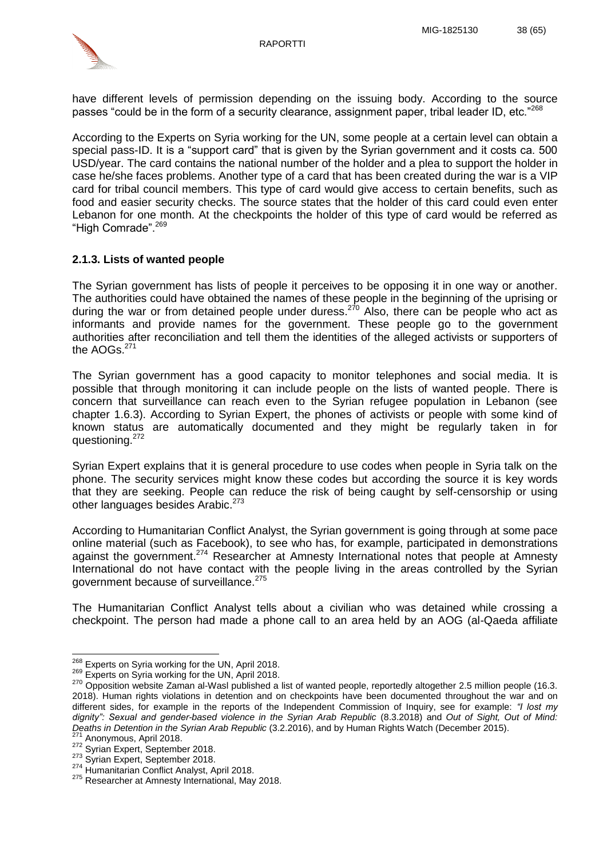



have different levels of permission depending on the issuing body. According to the source passes "could be in the form of a security clearance, assignment paper, tribal leader ID, etc."<sup>268</sup>

According to the Experts on Syria working for the UN, some people at a certain level can obtain a special pass-ID. It is a "support card" that is given by the Syrian government and it costs ca. 500 USD/year. The card contains the national number of the holder and a plea to support the holder in case he/she faces problems. Another type of a card that has been created during the war is a VIP card for tribal council members. This type of card would give access to certain benefits, such as food and easier security checks. The source states that the holder of this card could even enter Lebanon for one month. At the checkpoints the holder of this type of card would be referred as "High Comrade".<sup>269</sup>

## <span id="page-38-0"></span>**2.1.3. Lists of wanted people**

The Syrian government has lists of people it perceives to be opposing it in one way or another. The authorities could have obtained the names of these people in the beginning of the uprising or during the war or from detained people under duress.<sup>270</sup> Also, there can be people who act as informants and provide names for the government. These people go to the government authorities after reconciliation and tell them the identities of the alleged activists or supporters of the AOGs.<sup>271</sup>

The Syrian government has a good capacity to monitor telephones and social media. It is possible that through monitoring it can include people on the lists of wanted people. There is concern that surveillance can reach even to the Syrian refugee population in Lebanon (see chapter 1.6.3). According to Syrian Expert, the phones of activists or people with some kind of known status are automatically documented and they might be regularly taken in for questioning.<sup>272</sup>

Syrian Expert explains that it is general procedure to use codes when people in Syria talk on the phone. The security services might know these codes but according the source it is key words that they are seeking. People can reduce the risk of being caught by self-censorship or using other languages besides Arabic.<sup>273</sup>

According to Humanitarian Conflict Analyst, the Syrian government is going through at some pace online material (such as Facebook), to see who has, for example, participated in demonstrations against the government.<sup>274</sup> Researcher at Amnesty International notes that people at Amnesty International do not have contact with the people living in the areas controlled by the Syrian government because of surveillance.<sup>275</sup>

The Humanitarian Conflict Analyst tells about a civilian who was detained while crossing a checkpoint. The person had made a phone call to an area held by an AOG (al-Qaeda affiliate

 <sup>268</sup> Experts on Syria working for the UN, April 2018.

<sup>&</sup>lt;sup>269</sup> Experts on Syria working for the UN, April 2018.

<sup>270</sup> Opposition website Zaman al-Wasl published a list of wanted people, reportedly altogether 2.5 million people (16.3. 2018). Human rights violations in detention and on checkpoints have been documented throughout the war and on different sides, for example in the reports of the Independent Commission of Inquiry, see for example: *"I lost my dignity": Sexual and gender-based violence in the Syrian Arab Republic* (8.3.2018) and *Out of Sight, Out of Mind: Deaths in Detention in the Syrian Arab Republic* (3.2.2016), and by Human Rights Watch (December 2015).

Anonymous, April 2018.

<sup>272</sup> Syrian Expert, September 2018.

 $273$  Syrian Expert, September 2018.

<sup>274</sup> Humanitarian Conflict Analyst, April 2018.

<sup>&</sup>lt;sup>275</sup> Researcher at Amnesty International, May 2018.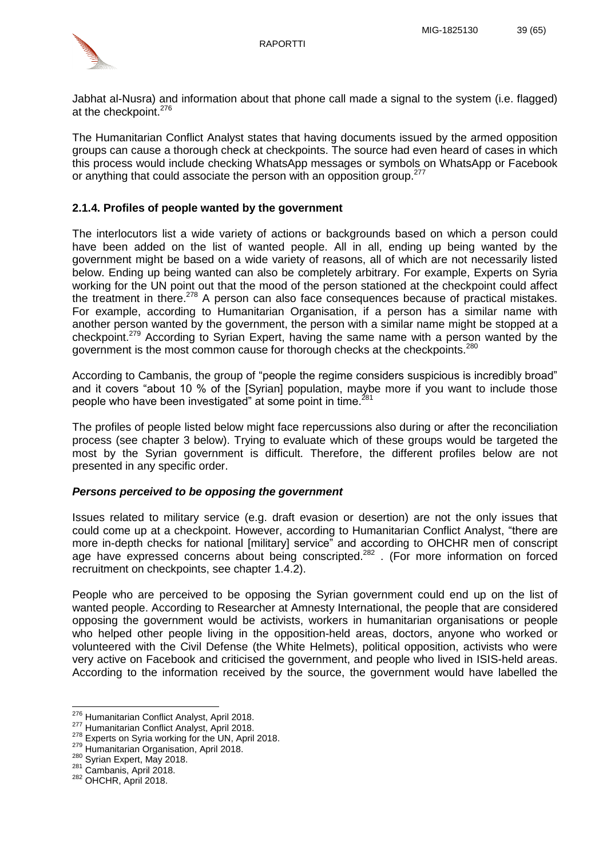

Jabhat al-Nusra) and information about that phone call made a signal to the system (i.e. flagged) at the checkpoint.<sup>276</sup>

The Humanitarian Conflict Analyst states that having documents issued by the armed opposition groups can cause a thorough check at checkpoints. The source had even heard of cases in which this process would include checking WhatsApp messages or symbols on WhatsApp or Facebook or anything that could associate the person with an opposition group.<sup>277</sup>

## <span id="page-39-0"></span>**2.1.4. Profiles of people wanted by the government**

The interlocutors list a wide variety of actions or backgrounds based on which a person could have been added on the list of wanted people. All in all, ending up being wanted by the government might be based on a wide variety of reasons, all of which are not necessarily listed below. Ending up being wanted can also be completely arbitrary. For example, Experts on Syria working for the UN point out that the mood of the person stationed at the checkpoint could affect the treatment in there. $278$  A person can also face consequences because of practical mistakes. For example, according to Humanitarian Organisation, if a person has a similar name with another person wanted by the government, the person with a similar name might be stopped at a checkpoint.<sup>279</sup> According to Syrian Expert, having the same name with a person wanted by the government is the most common cause for thorough checks at the checkpoints.<sup>280</sup>

According to Cambanis, the group of "people the regime considers suspicious is incredibly broad" and it covers "about 10 % of the [Syrian] population, maybe more if you want to include those people who have been investigated" at some point in time.<sup>281</sup>

The profiles of people listed below might face repercussions also during or after the reconciliation process (see chapter 3 below). Trying to evaluate which of these groups would be targeted the most by the Syrian government is difficult. Therefore, the different profiles below are not presented in any specific order.

### *Persons perceived to be opposing the government*

Issues related to military service (e.g. draft evasion or desertion) are not the only issues that could come up at a checkpoint. However, according to Humanitarian Conflict Analyst, "there are more in-depth checks for national [military] service" and according to OHCHR men of conscript age have expressed concerns about being conscripted.<sup>282</sup> . (For more information on forced recruitment on checkpoints, see chapter 1.4.2).

People who are perceived to be opposing the Syrian government could end up on the list of wanted people. According to Researcher at Amnesty International, the people that are considered opposing the government would be activists, workers in humanitarian organisations or people who helped other people living in the opposition-held areas, doctors, anyone who worked or volunteered with the Civil Defense (the White Helmets), political opposition, activists who were very active on Facebook and criticised the government, and people who lived in ISIS-held areas. According to the information received by the source, the government would have labelled the

<sup>&</sup>lt;sup>276</sup> Humanitarian Conflict Analyst, April 2018.

<sup>277</sup> Humanitarian Conflict Analyst, April 2018.

<sup>278</sup> Experts on Syria working for the UN, April 2018.

<sup>279</sup> Humanitarian Organisation, April 2018.

<sup>280</sup> Syrian Expert, May 2018.

<sup>&</sup>lt;sup>281</sup> Cambanis, April 2018.

<sup>282</sup> OHCHR, April 2018.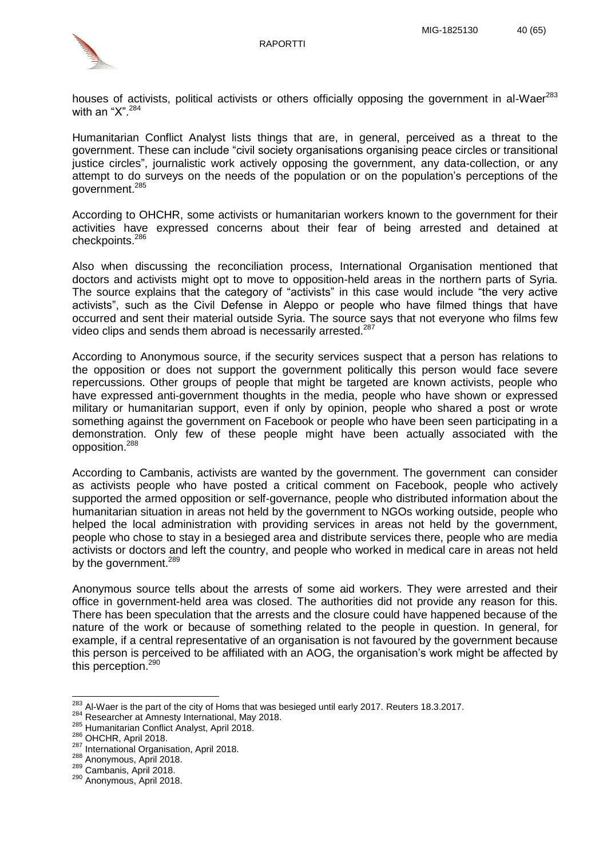

houses of activists, political activists or others officially opposing the government in al-Waer<sup>283</sup> with an " $X$ "  $284$ 

Humanitarian Conflict Analyst lists things that are, in general, perceived as a threat to the government. These can include "civil society organisations organising peace circles or transitional justice circles", journalistic work actively opposing the government, any data-collection, or any attempt to do surveys on the needs of the population or on the population's perceptions of the government.<sup>285</sup>

According to OHCHR, some activists or humanitarian workers known to the government for their activities have expressed concerns about their fear of being arrested and detained at checkpoints.<sup>286</sup>

Also when discussing the reconciliation process, International Organisation mentioned that doctors and activists might opt to move to opposition-held areas in the northern parts of Syria. The source explains that the category of "activists" in this case would include "the very active activists", such as the Civil Defense in Aleppo or people who have filmed things that have occurred and sent their material outside Syria. The source says that not everyone who films few video clips and sends them abroad is necessarily arrested.<sup>287</sup>

According to Anonymous source, if the security services suspect that a person has relations to the opposition or does not support the government politically this person would face severe repercussions. Other groups of people that might be targeted are known activists, people who have expressed anti-government thoughts in the media, people who have shown or expressed military or humanitarian support, even if only by opinion, people who shared a post or wrote something against the government on Facebook or people who have been seen participating in a demonstration. Only few of these people might have been actually associated with the opposition.<sup>288</sup>

According to Cambanis, activists are wanted by the government. The government can consider as activists people who have posted a critical comment on Facebook, people who actively supported the armed opposition or self-governance, people who distributed information about the humanitarian situation in areas not held by the government to NGOs working outside, people who helped the local administration with providing services in areas not held by the government, people who chose to stay in a besieged area and distribute services there, people who are media activists or doctors and left the country, and people who worked in medical care in areas not held by the government.<sup>289</sup>

Anonymous source tells about the arrests of some aid workers. They were arrested and their office in government-held area was closed. The authorities did not provide any reason for this. There has been speculation that the arrests and the closure could have happened because of the nature of the work or because of something related to the people in question. In general, for example, if a central representative of an organisation is not favoured by the government because this person is perceived to be affiliated with an AOG, the organisation's work might be affected by this perception.<sup>290</sup>

 $\overline{a}$  $^{283}$  Al-Waer is the part of the city of Homs that was besieged until early 2017. Reuters 18.3.2017.

<sup>284</sup> Researcher at Amnesty International, May 2018.

<sup>285</sup> Humanitarian Conflict Analyst, April 2018.

<sup>286</sup> OHCHR, April 2018.

<sup>287</sup> International Organisation, April 2018.

<sup>288</sup> Anonymous, April 2018.

<sup>289</sup> Cambanis, April 2018.

<sup>290</sup> Anonymous, April 2018.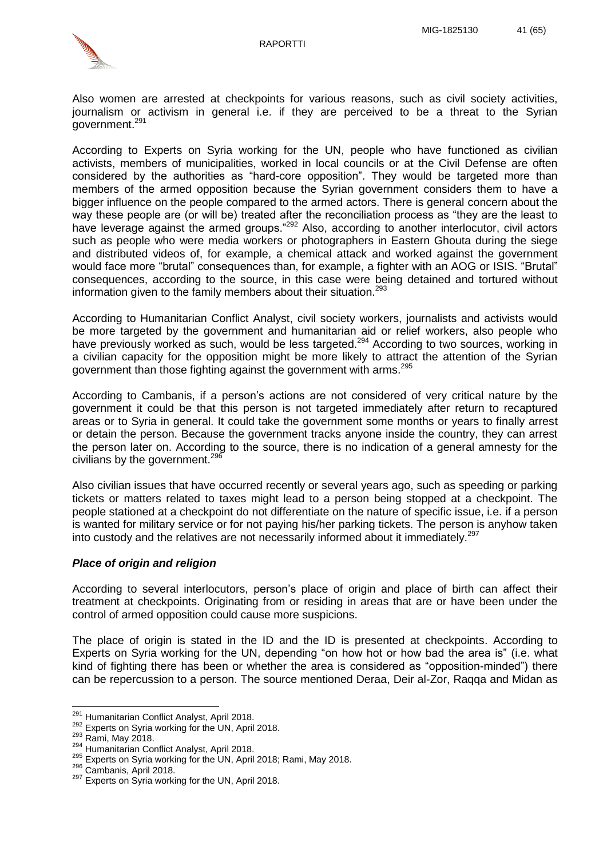

Also women are arrested at checkpoints for various reasons, such as civil society activities, journalism or activism in general i.e. if they are perceived to be a threat to the Syrian government.<sup>291</sup>

RAPORTTI

According to Experts on Syria working for the UN, people who have functioned as civilian activists, members of municipalities, worked in local councils or at the Civil Defense are often considered by the authorities as "hard-core opposition". They would be targeted more than members of the armed opposition because the Syrian government considers them to have a bigger influence on the people compared to the armed actors. There is general concern about the way these people are (or will be) treated after the reconciliation process as "they are the least to have leverage against the armed groups."<sup>292</sup> Also, according to another interlocutor, civil actors such as people who were media workers or photographers in Eastern Ghouta during the siege and distributed videos of, for example, a chemical attack and worked against the government would face more "brutal" consequences than, for example, a fighter with an AOG or ISIS. "Brutal" consequences, according to the source, in this case were being detained and tortured without information given to the family members about their situation.<sup>293</sup>

According to Humanitarian Conflict Analyst, civil society workers, journalists and activists would be more targeted by the government and humanitarian aid or relief workers, also people who have previously worked as such, would be less targeted.<sup>294</sup> According to two sources, working in a civilian capacity for the opposition might be more likely to attract the attention of the Syrian government than those fighting against the government with arms.<sup>295</sup>

According to Cambanis, if a person's actions are not considered of very critical nature by the government it could be that this person is not targeted immediately after return to recaptured areas or to Syria in general. It could take the government some months or years to finally arrest or detain the person. Because the government tracks anyone inside the country, they can arrest the person later on. According to the source, there is no indication of a general amnesty for the civilians by the government.<sup>296</sup>

Also civilian issues that have occurred recently or several years ago, such as speeding or parking tickets or matters related to taxes might lead to a person being stopped at a checkpoint. The people stationed at a checkpoint do not differentiate on the nature of specific issue, i.e. if a person is wanted for military service or for not paying his/her parking tickets. The person is anyhow taken into custody and the relatives are not necessarily informed about it immediately.<sup>297</sup>

### *Place of origin and religion*

According to several interlocutors, person's place of origin and place of birth can affect their treatment at checkpoints. Originating from or residing in areas that are or have been under the control of armed opposition could cause more suspicions.

The place of origin is stated in the ID and the ID is presented at checkpoints. According to Experts on Syria working for the UN, depending "on how hot or how bad the area is" (i.e. what kind of fighting there has been or whether the area is considered as "opposition-minded") there can be repercussion to a person. The source mentioned Deraa, Deir al-Zor, Raqqa and Midan as

 <sup>291</sup> Humanitarian Conflict Analyst, April 2018.

<sup>&</sup>lt;sup>292</sup> Experts on Syria working for the UN, April 2018.

<sup>293</sup> Rami, May 2018.

<sup>294</sup> Humanitarian Conflict Analyst, April 2018.

<sup>295</sup> Experts on Syria working for the UN, April 2018; Rami, May 2018.

<sup>&</sup>lt;sup>296</sup> Cambanis, April 2018.

<sup>&</sup>lt;sup>297</sup> Experts on Syria working for the UN, April 2018.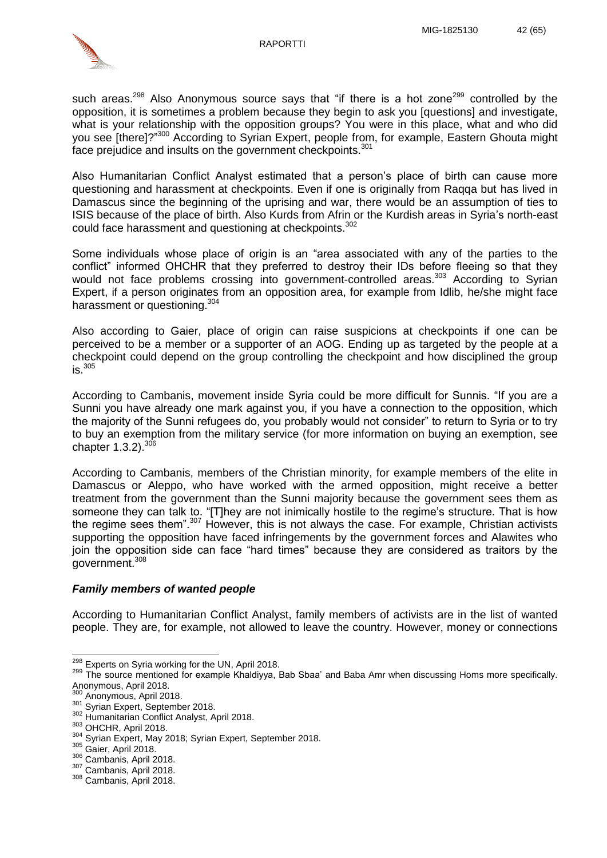

such areas.<sup>298</sup> Also Anonymous source says that "if there is a hot zone<sup>299</sup> controlled by the opposition, it is sometimes a problem because they begin to ask you [questions] and investigate, what is your relationship with the opposition groups? You were in this place, what and who did you see [there]?"<sup>300</sup> According to Syrian Expert, people from, for example, Eastern Ghouta might face prejudice and insults on the government checkpoints.<sup>301</sup>

Also Humanitarian Conflict Analyst estimated that a person's place of birth can cause more questioning and harassment at checkpoints. Even if one is originally from Raqqa but has lived in Damascus since the beginning of the uprising and war, there would be an assumption of ties to ISIS because of the place of birth. Also Kurds from Afrin or the Kurdish areas in Syria's north-east could face harassment and questioning at checkpoints.<sup>302</sup>

Some individuals whose place of origin is an "area associated with any of the parties to the conflict" informed OHCHR that they preferred to destroy their IDs before fleeing so that they would not face problems crossing into government-controlled areas.<sup>303</sup> According to Syrian Expert, if a person originates from an opposition area, for example from Idlib, he/she might face harassment or questioning.<sup>304</sup>

Also according to Gaier, place of origin can raise suspicions at checkpoints if one can be perceived to be a member or a supporter of an AOG. Ending up as targeted by the people at a checkpoint could depend on the group controlling the checkpoint and how disciplined the group  $is.$ <sup>305</sup>

According to Cambanis, movement inside Syria could be more difficult for Sunnis. "If you are a Sunni you have already one mark against you, if you have a connection to the opposition, which the majority of the Sunni refugees do, you probably would not consider" to return to Syria or to try to buy an exemption from the military service (for more information on buying an exemption, see chapter 1.3.2). 306

According to Cambanis, members of the Christian minority, for example members of the elite in Damascus or Aleppo, who have worked with the armed opposition, might receive a better treatment from the government than the Sunni majority because the government sees them as someone they can talk to. "[T]hey are not inimically hostile to the regime's structure. That is how the regime sees them".<sup>307</sup> However, this is not always the case. For example, Christian activists supporting the opposition have faced infringements by the government forces and Alawites who join the opposition side can face "hard times" because they are considered as traitors by the government.<sup>308</sup>

### *Family members of wanted people*

According to Humanitarian Conflict Analyst, family members of activists are in the list of wanted people. They are, for example, not allowed to leave the country. However, money or connections

 <sup>298</sup> Experts on Syria working for the UN, April 2018.

<sup>299</sup> The source mentioned for example Khaldiyya, Bab Sbaa' and Baba Amr when discussing Homs more specifically. Anonymous, April 2018.

Anonymous, April 2018.

<sup>301</sup> Syrian Expert, September 2018.

<sup>302</sup> Humanitarian Conflict Analyst, April 2018.

<sup>303</sup> OHCHR, April 2018.

<sup>304</sup> Syrian Expert, May 2018; Syrian Expert, September 2018.

<sup>&</sup>lt;sup>305</sup> Gaier, April 2018.

<sup>306</sup> Cambanis, April 2018.

<sup>307</sup> Cambanis, April 2018.

<sup>308</sup> Cambanis, April 2018.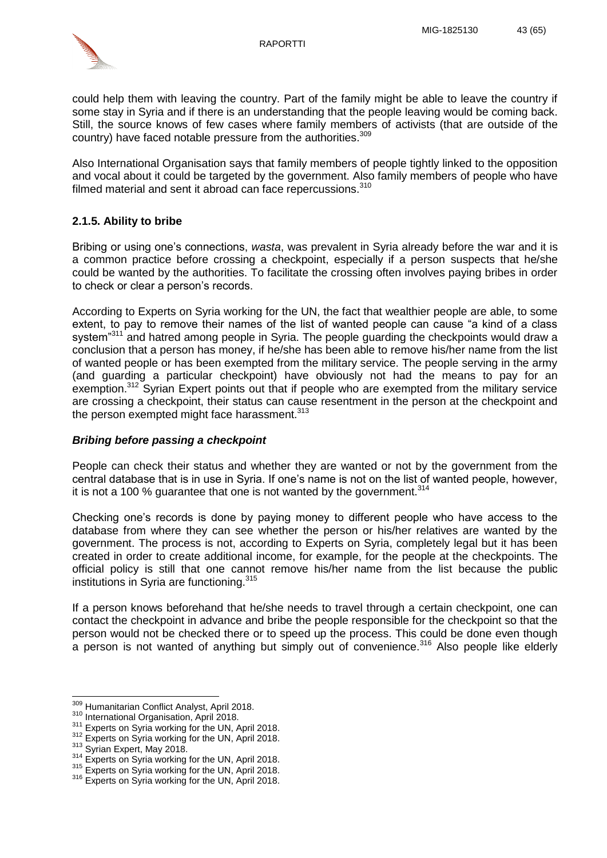

could help them with leaving the country. Part of the family might be able to leave the country if some stay in Syria and if there is an understanding that the people leaving would be coming back. Still, the source knows of few cases where family members of activists (that are outside of the country) have faced notable pressure from the authorities.<sup>309</sup>

Also International Organisation says that family members of people tightly linked to the opposition and vocal about it could be targeted by the government. Also family members of people who have filmed material and sent it abroad can face repercussions.<sup>310</sup>

## <span id="page-43-0"></span>**2.1.5. Ability to bribe**

Bribing or using one's connections, *wasta*, was prevalent in Syria already before the war and it is a common practice before crossing a checkpoint, especially if a person suspects that he/she could be wanted by the authorities. To facilitate the crossing often involves paying bribes in order to check or clear a person's records.

According to Experts on Syria working for the UN, the fact that wealthier people are able, to some extent, to pay to remove their names of the list of wanted people can cause "a kind of a class system<sup>311</sup> and hatred among people in Syria. The people guarding the checkpoints would draw a conclusion that a person has money, if he/she has been able to remove his/her name from the list of wanted people or has been exempted from the military service. The people serving in the army (and guarding a particular checkpoint) have obviously not had the means to pay for an exemption.<sup>312</sup> Syrian Expert points out that if people who are exempted from the military service are crossing a checkpoint, their status can cause resentment in the person at the checkpoint and the person exempted might face harassment.<sup>313</sup>

## *Bribing before passing a checkpoint*

People can check their status and whether they are wanted or not by the government from the central database that is in use in Syria. If one's name is not on the list of wanted people, however, it is not a 100 % guarantee that one is not wanted by the government.  $314$ 

Checking one's records is done by paying money to different people who have access to the database from where they can see whether the person or his/her relatives are wanted by the government. The process is not, according to Experts on Syria, completely legal but it has been created in order to create additional income, for example, for the people at the checkpoints. The official policy is still that one cannot remove his/her name from the list because the public institutions in Syria are functioning.<sup>315</sup>

If a person knows beforehand that he/she needs to travel through a certain checkpoint, one can contact the checkpoint in advance and bribe the people responsible for the checkpoint so that the person would not be checked there or to speed up the process. This could be done even though a person is not wanted of anything but simply out of convenience.<sup>316</sup> Also people like elderly

 $\overline{a}$ <sup>309</sup> Humanitarian Conflict Analyst, April 2018.

<sup>310</sup> International Organisation, April 2018.

<sup>&</sup>lt;sup>311</sup> Experts on Syria working for the UN, April 2018.

<sup>312</sup> Experts on Syria working for the UN, April 2018.

<sup>313</sup> Syrian Expert, May 2018.

<sup>314</sup> Experts on Syria working for the UN, April 2018.

<sup>315</sup> Experts on Syria working for the UN, April 2018.

<sup>&</sup>lt;sup>316</sup> Experts on Syria working for the UN, April 2018.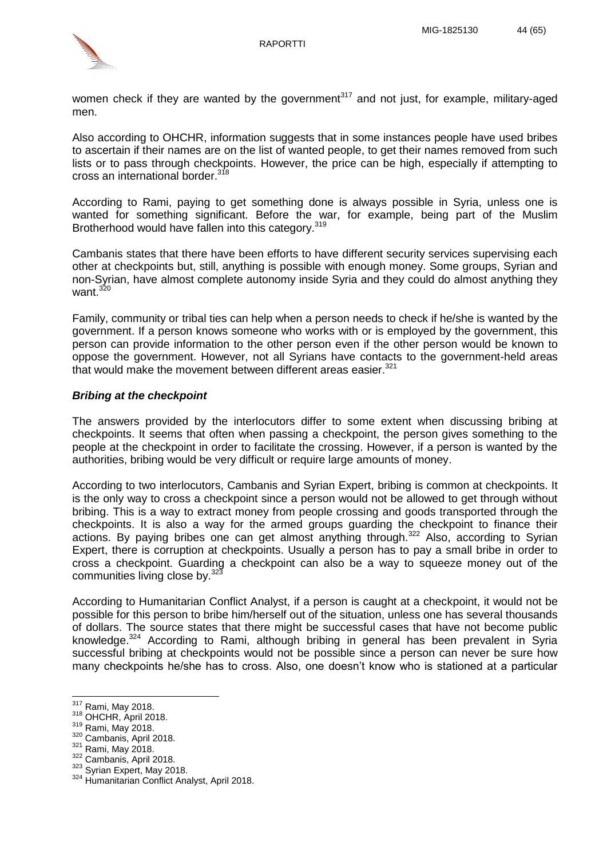

women check if they are wanted by the government<sup>317</sup> and not just, for example, military-aged men.

Also according to OHCHR, information suggests that in some instances people have used bribes to ascertain if their names are on the list of wanted people, to get their names removed from such lists or to pass through checkpoints. However, the price can be high, especially if attempting to cross an international border.<sup>318</sup>

According to Rami, paying to get something done is always possible in Syria, unless one is wanted for something significant. Before the war, for example, being part of the Muslim Brotherhood would have fallen into this category.<sup>319</sup>

Cambanis states that there have been efforts to have different security services supervising each other at checkpoints but, still, anything is possible with enough money. Some groups, Syrian and non-Syrian, have almost complete autonomy inside Syria and they could do almost anything they want.<sup>320</sup>

Family, community or tribal ties can help when a person needs to check if he/she is wanted by the government. If a person knows someone who works with or is employed by the government, this person can provide information to the other person even if the other person would be known to oppose the government. However, not all Syrians have contacts to the government-held areas that would make the movement between different areas easier. $321$ 

### *Bribing at the checkpoint*

The answers provided by the interlocutors differ to some extent when discussing bribing at checkpoints. It seems that often when passing a checkpoint, the person gives something to the people at the checkpoint in order to facilitate the crossing. However, if a person is wanted by the authorities, bribing would be very difficult or require large amounts of money.

According to two interlocutors, Cambanis and Syrian Expert, bribing is common at checkpoints. It is the only way to cross a checkpoint since a person would not be allowed to get through without bribing. This is a way to extract money from people crossing and goods transported through the checkpoints. It is also a way for the armed groups guarding the checkpoint to finance their actions. By paying bribes one can get almost anything through.<sup>322</sup> Also, according to Syrian Expert, there is corruption at checkpoints. Usually a person has to pay a small bribe in order to cross a checkpoint. Guarding a checkpoint can also be a way to squeeze money out of the communities living close by.<sup>323</sup>

According to Humanitarian Conflict Analyst, if a person is caught at a checkpoint, it would not be possible for this person to bribe him/herself out of the situation, unless one has several thousands of dollars. The source states that there might be successful cases that have not become public knowledge.<sup>324</sup> According to Rami, although bribing in general has been prevalent in Syria successful bribing at checkpoints would not be possible since a person can never be sure how many checkpoints he/she has to cross. Also, one doesn't know who is stationed at a particular

 $\overline{a}$ 

 $317$  Rami, May 2018.

<sup>318</sup> OHCHR, April 2018.

<sup>319</sup> Rami, May 2018.

<sup>320</sup> Cambanis, April 2018.

<sup>321</sup> Rami, May 2018.

 $322$  Cambanis, April 2018.

<sup>323</sup> Syrian Expert, May 2018.

<sup>324</sup> Humanitarian Conflict Analyst, April 2018.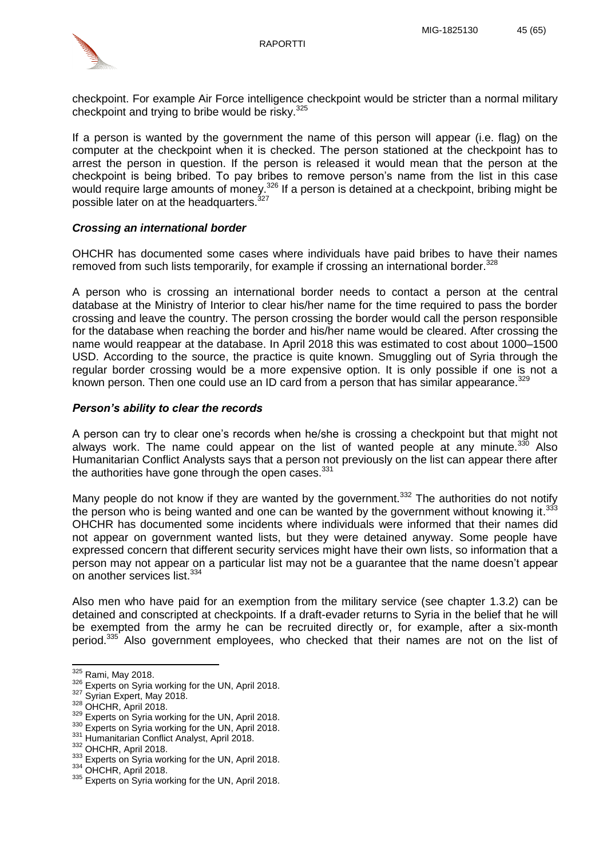

checkpoint. For example Air Force intelligence checkpoint would be stricter than a normal military checkpoint and trying to bribe would be risky.<sup>325</sup>

If a person is wanted by the government the name of this person will appear (i.e. flag) on the computer at the checkpoint when it is checked. The person stationed at the checkpoint has to arrest the person in question. If the person is released it would mean that the person at the checkpoint is being bribed. To pay bribes to remove person's name from the list in this case would require large amounts of money.<sup>326</sup> If a person is detained at a checkpoint, bribing might be possible later on at the headquarters.<sup>327</sup>

#### *Crossing an international border*

OHCHR has documented some cases where individuals have paid bribes to have their names removed from such lists temporarily, for example if crossing an international border.<sup>328</sup>

A person who is crossing an international border needs to contact a person at the central database at the Ministry of Interior to clear his/her name for the time required to pass the border crossing and leave the country. The person crossing the border would call the person responsible for the database when reaching the border and his/her name would be cleared. After crossing the name would reappear at the database. In April 2018 this was estimated to cost about 1000–1500 USD. According to the source, the practice is quite known. Smuggling out of Syria through the regular border crossing would be a more expensive option. It is only possible if one is not a known person. Then one could use an ID card from a person that has similar appearance.<sup>329</sup>

#### *Person's ability to clear the records*

A person can try to clear one's records when he/she is crossing a checkpoint but that might not always work. The name could appear on the list of wanted people at any minute. $330$  Also Humanitarian Conflict Analysts says that a person not previously on the list can appear there after the authorities have gone through the open cases. $331$ 

Many people do not know if they are wanted by the government.<sup>332</sup> The authorities do not notify the person who is being wanted and one can be wanted by the government without knowing it.<sup>333</sup> OHCHR has documented some incidents where individuals were informed that their names did not appear on government wanted lists, but they were detained anyway. Some people have expressed concern that different security services might have their own lists, so information that a person may not appear on a particular list may not be a guarantee that the name doesn't appear on another services list.<sup>334</sup>

Also men who have paid for an exemption from the military service (see chapter 1.3.2) can be detained and conscripted at checkpoints. If a draft-evader returns to Syria in the belief that he will be exempted from the army he can be recruited directly or, for example, after a six-month period.<sup>335</sup> Also government employees, who checked that their names are not on the list of

 $\overline{a}$ 

 $325$  Rami, May 2018.

<sup>326</sup> Experts on Syria working for the UN, April 2018.

 $327$  Syrian Expert, May 2018.

<sup>328</sup> OHCHR, April 2018.

<sup>&</sup>lt;sup>329</sup> Experts on Syria working for the UN, April 2018.

<sup>330</sup> Experts on Syria working for the UN, April 2018.

<sup>331</sup> Humanitarian Conflict Analyst, April 2018.

<sup>332</sup> OHCHR, April 2018.

<sup>333</sup> Experts on Syria working for the UN, April 2018.

<sup>334</sup> OHCHR, April 2018.

<sup>335</sup> Experts on Syria working for the UN, April 2018.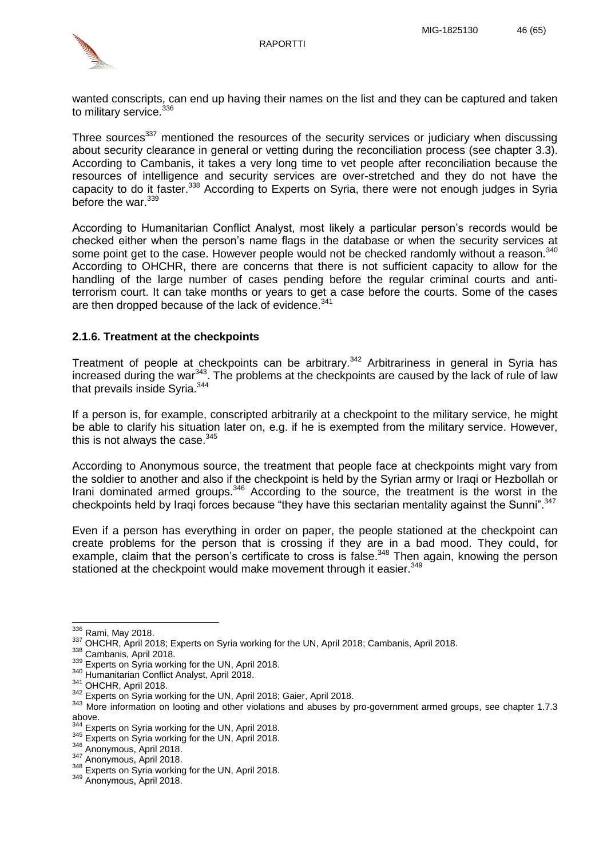

wanted conscripts, can end up having their names on the list and they can be captured and taken to military service.<sup>336</sup>

Three sources<sup>337</sup> mentioned the resources of the security services or judiciary when discussing about security clearance in general or vetting during the reconciliation process (see chapter 3.3). According to Cambanis, it takes a very long time to vet people after reconciliation because the resources of intelligence and security services are over-stretched and they do not have the capacity to do it faster.<sup>338</sup> According to Experts on Syria, there were not enough judges in Syria before the war.<sup>339</sup>

According to Humanitarian Conflict Analyst, most likely a particular person's records would be checked either when the person's name flags in the database or when the security services at some point get to the case. However people would not be checked randomly without a reason.<sup>340</sup> According to OHCHR, there are concerns that there is not sufficient capacity to allow for the handling of the large number of cases pending before the regular criminal courts and antiterrorism court. It can take months or years to get a case before the courts. Some of the cases are then dropped because of the lack of evidence.<sup>341</sup>

## <span id="page-46-0"></span>**2.1.6. Treatment at the checkpoints**

Treatment of people at checkpoints can be arbitrary.<sup>342</sup> Arbitrariness in general in Syria has increased during the war<sup>343</sup>. The problems at the checkpoints are caused by the lack of rule of law that prevails inside Syria.<sup>344</sup>

If a person is, for example, conscripted arbitrarily at a checkpoint to the military service, he might be able to clarify his situation later on, e.g. if he is exempted from the military service. However, this is not always the case. $345$ 

According to Anonymous source, the treatment that people face at checkpoints might vary from the soldier to another and also if the checkpoint is held by the Syrian army or Iraqi or Hezbollah or Irani dominated armed groups.<sup>346</sup> According to the source, the treatment is the worst in the checkpoints held by Iraqi forces because "they have this sectarian mentality against the Sunni". 347

Even if a person has everything in order on paper, the people stationed at the checkpoint can create problems for the person that is crossing if they are in a bad mood. They could, for example, claim that the person's certificate to cross is false.<sup>348</sup> Then again, knowing the person stationed at the checkpoint would make movement through it easier.<sup>349</sup>

<sup>340</sup> Humanitarian Conflict Analyst, April 2018.

<sup>&</sup>lt;sup>336</sup> Rami, May 2018.

<sup>337</sup> OHCHR, April 2018; Experts on Syria working for the UN, April 2018; Cambanis, April 2018.

<sup>338</sup> Cambanis, April 2018.

<sup>339</sup> Experts on Syria working for the UN, April 2018.

<sup>341</sup> OHCHR, April 2018.

<sup>342</sup> Experts on Syria working for the UN, April 2018; Gaier, April 2018.

<sup>343</sup> More information on looting and other violations and abuses by pro-government armed groups, see chapter 1.7.3 above.

Experts on Syria working for the UN, April 2018.

 $\frac{345}{246}$  Experts on Syria working for the UN, April 2018.

<sup>346</sup> Anonymous, April 2018.

<sup>&</sup>lt;sup>347</sup> Anonymous, April 2018.

<sup>348</sup> Experts on Syria working for the UN, April 2018.

<sup>349</sup> Anonymous, April 2018.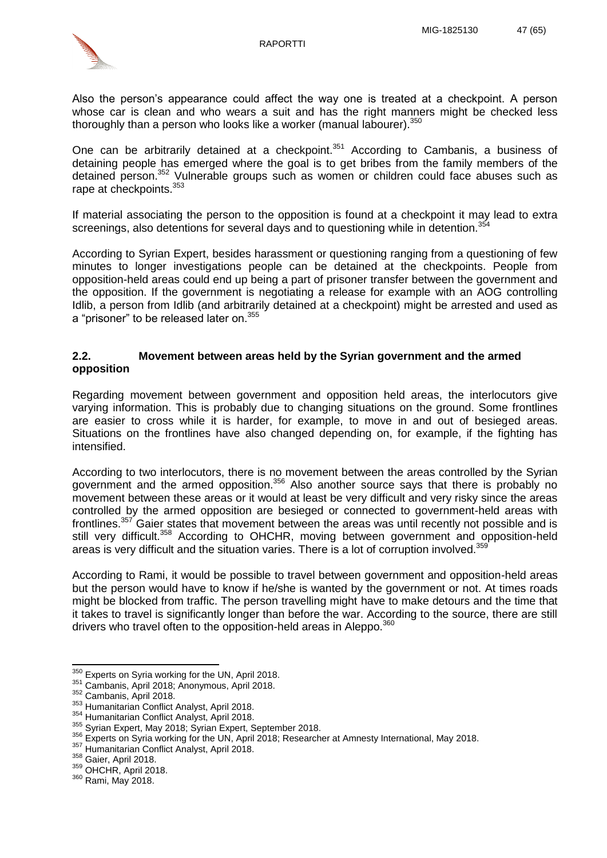

Also the person's appearance could affect the way one is treated at a checkpoint. A person whose car is clean and who wears a suit and has the right manners might be checked less thoroughly than a person who looks like a worker (manual labourer).  $350$ 

One can be arbitrarily detained at a checkpoint.<sup>351</sup> According to Cambanis, a business of detaining people has emerged where the goal is to get bribes from the family members of the detained person.<sup>352</sup> Vulnerable groups such as women or children could face abuses such as rape at checkpoints. 353

If material associating the person to the opposition is found at a checkpoint it may lead to extra screenings, also detentions for several days and to questioning while in detention.<sup>354</sup>

According to Syrian Expert, besides harassment or questioning ranging from a questioning of few minutes to longer investigations people can be detained at the checkpoints. People from opposition-held areas could end up being a part of prisoner transfer between the government and the opposition. If the government is negotiating a release for example with an AOG controlling Idlib, a person from Idlib (and arbitrarily detained at a checkpoint) might be arrested and used as a "prisoner" to be released later on.<sup>355</sup>

### <span id="page-47-0"></span>**2.2. Movement between areas held by the Syrian government and the armed opposition**

Regarding movement between government and opposition held areas, the interlocutors give varying information. This is probably due to changing situations on the ground. Some frontlines are easier to cross while it is harder, for example, to move in and out of besieged areas. Situations on the frontlines have also changed depending on, for example, if the fighting has intensified.

According to two interlocutors, there is no movement between the areas controlled by the Syrian government and the armed opposition.<sup>356</sup> Also another source says that there is probably no movement between these areas or it would at least be very difficult and very risky since the areas controlled by the armed opposition are besieged or connected to government-held areas with frontlines.<sup>357</sup> Gaier states that movement between the areas was until recently not possible and is still very difficult.<sup>358</sup> According to OHCHR, moving between government and opposition-held areas is very difficult and the situation varies. There is a lot of corruption involved.<sup>359</sup>

According to Rami, it would be possible to travel between government and opposition-held areas but the person would have to know if he/she is wanted by the government or not. At times roads might be blocked from traffic. The person travelling might have to make detours and the time that it takes to travel is significantly longer than before the war. According to the source, there are still drivers who travel often to the opposition-held areas in Aleppo.<sup>360</sup>

 $\overline{a}$ 

 $350$  Experts on Syria working for the UN, April 2018.

<sup>351</sup> Cambanis, April 2018; Anonymous, April 2018.

 $352$  Cambanis, April 2018.

<sup>353</sup> Humanitarian Conflict Analyst, April 2018.

<sup>354</sup> Humanitarian Conflict Analyst, April 2018.

<sup>355</sup> Syrian Expert, May 2018; Syrian Expert, September 2018.

<sup>356</sup> Experts on Syria working for the UN, April 2018; Researcher at Amnesty International, May 2018.

<sup>357</sup> Humanitarian Conflict Analyst, April 2018.

<sup>358</sup> Gaier, April 2018.

<sup>359</sup> OHCHR, April 2018.

<sup>360</sup> Rami, May 2018.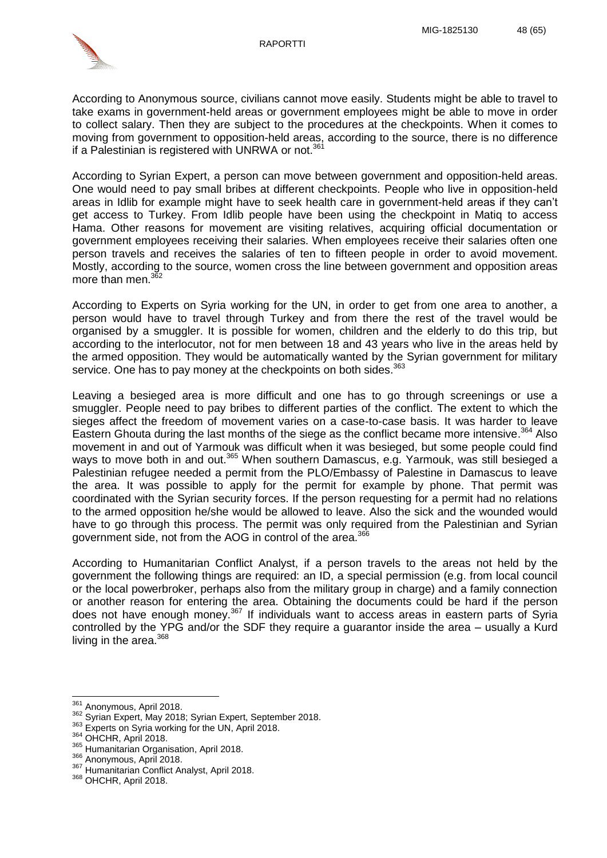

According to Anonymous source, civilians cannot move easily. Students might be able to travel to take exams in government-held areas or government employees might be able to move in order to collect salary. Then they are subject to the procedures at the checkpoints. When it comes to moving from government to opposition-held areas, according to the source, there is no difference if a Palestinian is registered with UNRWA or not.<sup>361</sup>

According to Syrian Expert, a person can move between government and opposition-held areas. One would need to pay small bribes at different checkpoints. People who live in opposition-held areas in Idlib for example might have to seek health care in government-held areas if they can't get access to Turkey. From Idlib people have been using the checkpoint in Matiq to access Hama. Other reasons for movement are visiting relatives, acquiring official documentation or government employees receiving their salaries. When employees receive their salaries often one person travels and receives the salaries of ten to fifteen people in order to avoid movement. Mostly, according to the source, women cross the line between government and opposition areas more than men.<sup>362</sup>

According to Experts on Syria working for the UN, in order to get from one area to another, a person would have to travel through Turkey and from there the rest of the travel would be organised by a smuggler. It is possible for women, children and the elderly to do this trip, but according to the interlocutor, not for men between 18 and 43 years who live in the areas held by the armed opposition. They would be automatically wanted by the Syrian government for military service. One has to pay money at the checkpoints on both sides.<sup>363</sup>

Leaving a besieged area is more difficult and one has to go through screenings or use a smuggler. People need to pay bribes to different parties of the conflict. The extent to which the sieges affect the freedom of movement varies on a case-to-case basis. It was harder to leave Eastern Ghouta during the last months of the siege as the conflict became more intensive.<sup>364</sup> Also movement in and out of Yarmouk was difficult when it was besieged, but some people could find ways to move both in and out.<sup>365</sup> When southern Damascus, e.g. Yarmouk, was still besieged a Palestinian refugee needed a permit from the PLO/Embassy of Palestine in Damascus to leave the area. It was possible to apply for the permit for example by phone. That permit was coordinated with the Syrian security forces. If the person requesting for a permit had no relations to the armed opposition he/she would be allowed to leave. Also the sick and the wounded would have to go through this process. The permit was only required from the Palestinian and Syrian government side, not from the AOG in control of the area.<sup>366</sup>

According to Humanitarian Conflict Analyst, if a person travels to the areas not held by the government the following things are required: an ID, a special permission (e.g. from local council or the local powerbroker, perhaps also from the military group in charge) and a family connection or another reason for entering the area. Obtaining the documents could be hard if the person does not have enough money.<sup>367</sup> If individuals want to access areas in eastern parts of Syria controlled by the YPG and/or the SDF they require a guarantor inside the area – usually a Kurd living in the area.<sup>368</sup>

 $\overline{a}$ 

<sup>&</sup>lt;sup>361</sup> Anonymous, April 2018.

<sup>362</sup> Syrian Expert, May 2018; Syrian Expert, September 2018.

<sup>&</sup>lt;sup>363</sup> Experts on Syria working for the UN, April 2018.

<sup>364</sup> OHCHR, April 2018.

<sup>365</sup> Humanitarian Organisation, April 2018.

<sup>366</sup> Anonymous, April 2018.

<sup>367</sup> Humanitarian Conflict Analyst, April 2018.

<sup>368</sup> OHCHR, April 2018.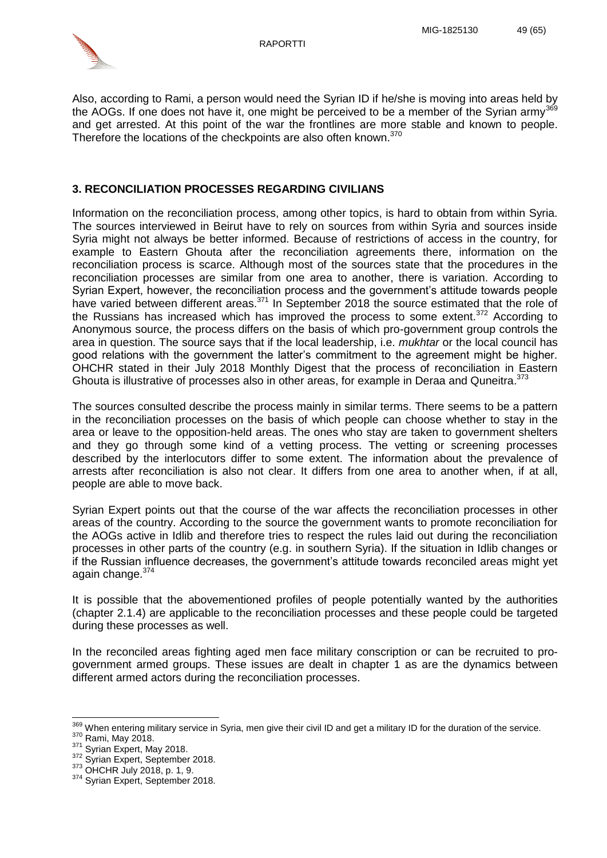

Also, according to Rami, a person would need the Syrian ID if he/she is moving into areas held by the AOGs. If one does not have it, one might be perceived to be a member of the Syrian army<sup>369</sup> and get arrested. At this point of the war the frontlines are more stable and known to people. Therefore the locations of the checkpoints are also often known.<sup>370</sup>

## <span id="page-49-0"></span>**3. RECONCILIATION PROCESSES REGARDING CIVILIANS**

Information on the reconciliation process, among other topics, is hard to obtain from within Syria. The sources interviewed in Beirut have to rely on sources from within Syria and sources inside Syria might not always be better informed. Because of restrictions of access in the country, for example to Eastern Ghouta after the reconciliation agreements there, information on the reconciliation process is scarce. Although most of the sources state that the procedures in the reconciliation processes are similar from one area to another, there is variation. According to Syrian Expert, however, the reconciliation process and the government's attitude towards people have varied between different areas.<sup>371</sup> In September 2018 the source estimated that the role of the Russians has increased which has improved the process to some extent. $372$  According to Anonymous source, the process differs on the basis of which pro-government group controls the area in question. The source says that if the local leadership, i.e. *mukhtar* or the local council has good relations with the government the latter's commitment to the agreement might be higher. OHCHR stated in their July 2018 Monthly Digest that the process of reconciliation in Eastern Ghouta is illustrative of processes also in other areas, for example in Deraa and Quneitra.<sup>373</sup>

The sources consulted describe the process mainly in similar terms. There seems to be a pattern in the reconciliation processes on the basis of which people can choose whether to stay in the area or leave to the opposition-held areas. The ones who stay are taken to government shelters and they go through some kind of a vetting process. The vetting or screening processes described by the interlocutors differ to some extent. The information about the prevalence of arrests after reconciliation is also not clear. It differs from one area to another when, if at all, people are able to move back.

Syrian Expert points out that the course of the war affects the reconciliation processes in other areas of the country. According to the source the government wants to promote reconciliation for the AOGs active in Idlib and therefore tries to respect the rules laid out during the reconciliation processes in other parts of the country (e.g. in southern Syria). If the situation in Idlib changes or if the Russian influence decreases, the government's attitude towards reconciled areas might yet again change.<sup>374</sup>

It is possible that the abovementioned profiles of people potentially wanted by the authorities (chapter 2.1.4) are applicable to the reconciliation processes and these people could be targeted during these processes as well.

In the reconciled areas fighting aged men face military conscription or can be recruited to progovernment armed groups. These issues are dealt in chapter 1 as are the dynamics between different armed actors during the reconciliation processes.

 $\overline{a}$ <sup>369</sup> When entering military service in Syria, men give their civil ID and get a military ID for the duration of the service.

<sup>370</sup> Rami, May 2018.

 $371$  Syrian Expert, May 2018.

 $372$  Syrian Expert, September 2018.

<sup>373</sup> OHCHR July 2018, p. 1, 9.

<sup>374</sup> Syrian Expert, September 2018.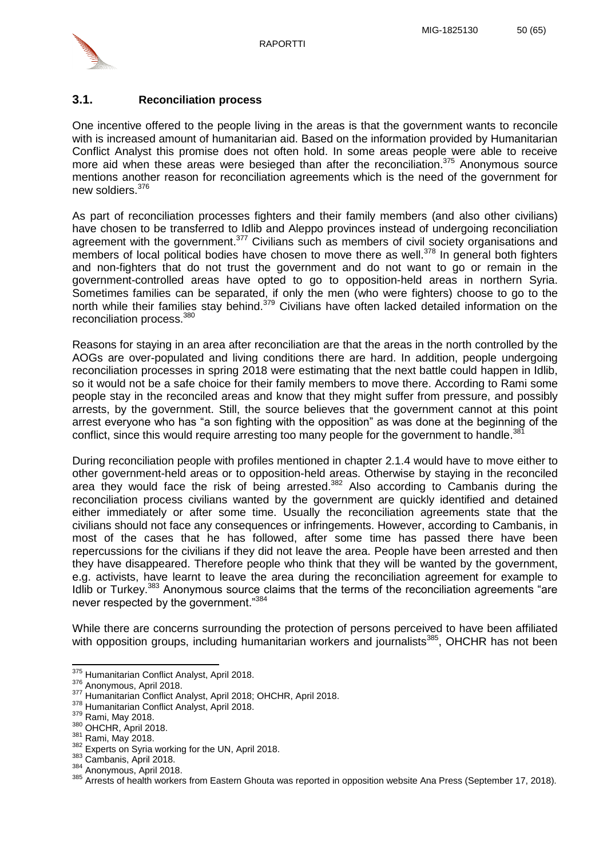

### <span id="page-50-0"></span>**3.1. Reconciliation process**

One incentive offered to the people living in the areas is that the government wants to reconcile with is increased amount of humanitarian aid. Based on the information provided by Humanitarian Conflict Analyst this promise does not often hold. In some areas people were able to receive more aid when these areas were besieged than after the reconciliation. $375$  Anonymous source mentions another reason for reconciliation agreements which is the need of the government for new soldiers.<sup>376</sup>

As part of reconciliation processes fighters and their family members (and also other civilians) have chosen to be transferred to Idlib and Aleppo provinces instead of undergoing reconciliation agreement with the government.<sup>377</sup> Civilians such as members of civil society organisations and members of local political bodies have chosen to move there as well.<sup>378</sup> In general both fighters and non-fighters that do not trust the government and do not want to go or remain in the government-controlled areas have opted to go to opposition-held areas in northern Syria. Sometimes families can be separated, if only the men (who were fighters) choose to go to the north while their families stay behind.<sup>379</sup> Civilians have often lacked detailed information on the reconciliation process.<sup>380</sup>

Reasons for staying in an area after reconciliation are that the areas in the north controlled by the AOGs are over-populated and living conditions there are hard. In addition, people undergoing reconciliation processes in spring 2018 were estimating that the next battle could happen in Idlib, so it would not be a safe choice for their family members to move there. According to Rami some people stay in the reconciled areas and know that they might suffer from pressure, and possibly arrests, by the government. Still, the source believes that the government cannot at this point arrest everyone who has "a son fighting with the opposition" as was done at the beginning of the conflict, since this would require arresting too many people for the government to handle. $^{387}$ 

During reconciliation people with profiles mentioned in chapter 2.1.4 would have to move either to other government-held areas or to opposition-held areas. Otherwise by staying in the reconciled area they would face the risk of being arrested.<sup>382</sup> Also according to Cambanis during the reconciliation process civilians wanted by the government are quickly identified and detained either immediately or after some time. Usually the reconciliation agreements state that the civilians should not face any consequences or infringements. However, according to Cambanis, in most of the cases that he has followed, after some time has passed there have been repercussions for the civilians if they did not leave the area. People have been arrested and then they have disappeared. Therefore people who think that they will be wanted by the government, e.g. activists, have learnt to leave the area during the reconciliation agreement for example to Idlib or Turkey.<sup>383</sup> Anonymous source claims that the terms of the reconciliation agreements "are never respected by the government."<sup>384</sup>

While there are concerns surrounding the protection of persons perceived to have been affiliated with opposition groups, including humanitarian workers and journalists<sup>385</sup>, OHCHR has not been

 $\overline{a}$ 

<sup>&</sup>lt;sup>375</sup> Humanitarian Conflict Analyst, April 2018.

<sup>376</sup> Anonymous, April 2018.

<sup>377</sup> Humanitarian Conflict Analyst, April 2018; OHCHR, April 2018.

<sup>378</sup> Humanitarian Conflict Analyst, April 2018.

<sup>379</sup> Rami, May 2018.

<sup>380</sup> OHCHR, April 2018.

 $\frac{381}{382}$  Rami, May 2018.

Experts on Syria working for the UN, April 2018.

<sup>383</sup> Cambanis, April 2018.

<sup>384</sup> Anonymous, April 2018.

<sup>385</sup> Arrests of health workers from Eastern Ghouta was reported in opposition website Ana Press (September 17, 2018).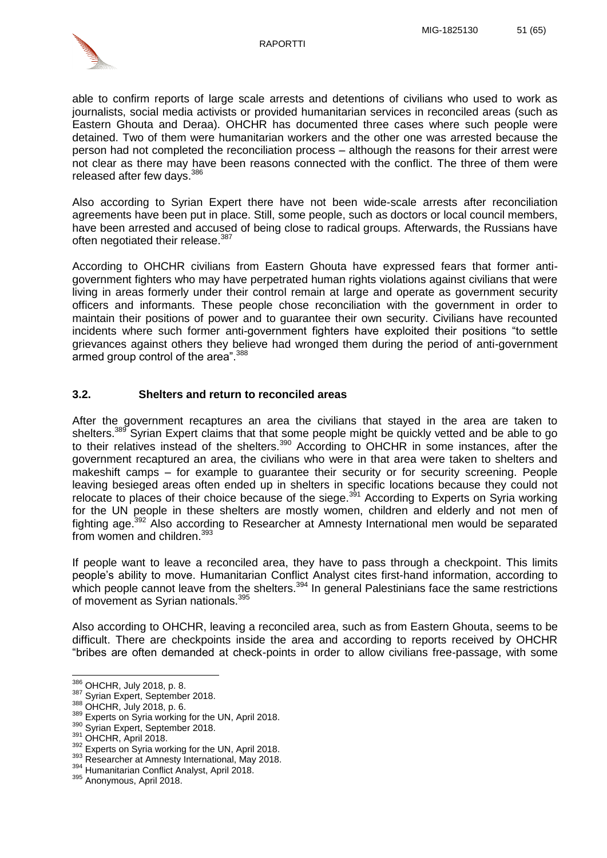

able to confirm reports of large scale arrests and detentions of civilians who used to work as journalists, social media activists or provided humanitarian services in reconciled areas (such as Eastern Ghouta and Deraa). OHCHR has documented three cases where such people were detained. Two of them were humanitarian workers and the other one was arrested because the person had not completed the reconciliation process – although the reasons for their arrest were not clear as there may have been reasons connected with the conflict. The three of them were released after few days.<sup>386</sup>

Also according to Syrian Expert there have not been wide-scale arrests after reconciliation agreements have been put in place. Still, some people, such as doctors or local council members, have been arrested and accused of being close to radical groups. Afterwards, the Russians have often negotiated their release.<sup>387</sup>

According to OHCHR civilians from Eastern Ghouta have expressed fears that former antigovernment fighters who may have perpetrated human rights violations against civilians that were living in areas formerly under their control remain at large and operate as government security officers and informants. These people chose reconciliation with the government in order to maintain their positions of power and to guarantee their own security. Civilians have recounted incidents where such former anti-government fighters have exploited their positions "to settle grievances against others they believe had wronged them during the period of anti-government armed group control of the area".<sup>388</sup>

## <span id="page-51-0"></span>**3.2. Shelters and return to reconciled areas**

After the government recaptures an area the civilians that stayed in the area are taken to shelters.<sup>389</sup> Syrian Expert claims that that some people might be quickly vetted and be able to go to their relatives instead of the shelters.<sup>390</sup> According to OHCHR in some instances, after the government recaptured an area, the civilians who were in that area were taken to shelters and makeshift camps – for example to guarantee their security or for security screening. People leaving besieged areas often ended up in shelters in specific locations because they could not relocate to places of their choice because of the siege.<sup>391</sup> According to Experts on Syria working for the UN people in these shelters are mostly women, children and elderly and not men of fighting age.<sup>392</sup> Also according to Researcher at Amnesty International men would be separated from women and children.<sup>393</sup>

If people want to leave a reconciled area, they have to pass through a checkpoint. This limits people's ability to move. Humanitarian Conflict Analyst cites first-hand information, according to which people cannot leave from the shelters.<sup>394</sup> In general Palestinians face the same restrictions of movement as Syrian nationals.<sup>395</sup>

Also according to OHCHR, leaving a reconciled area, such as from Eastern Ghouta, seems to be difficult. There are checkpoints inside the area and according to reports received by OHCHR "bribes are often demanded at check-points in order to allow civilians free-passage, with some

  $386$  OHCHR, July 2018, p. 8.

 $387$  Syrian Expert, September 2018.

<sup>388</sup> OHCHR, July 2018, p. 6.

<sup>389</sup> Experts on Syria working for the UN, April 2018.

<sup>390</sup> Syrian Expert, September 2018.

<sup>391</sup> OHCHR, April 2018.

<sup>392</sup> Experts on Syria working for the UN, April 2018.

<sup>393</sup> Experits on Eye Amnesty International, May 2018.

<sup>394</sup> Humanitarian Conflict Analyst, April 2018.

<sup>395</sup> Anonymous, April 2018.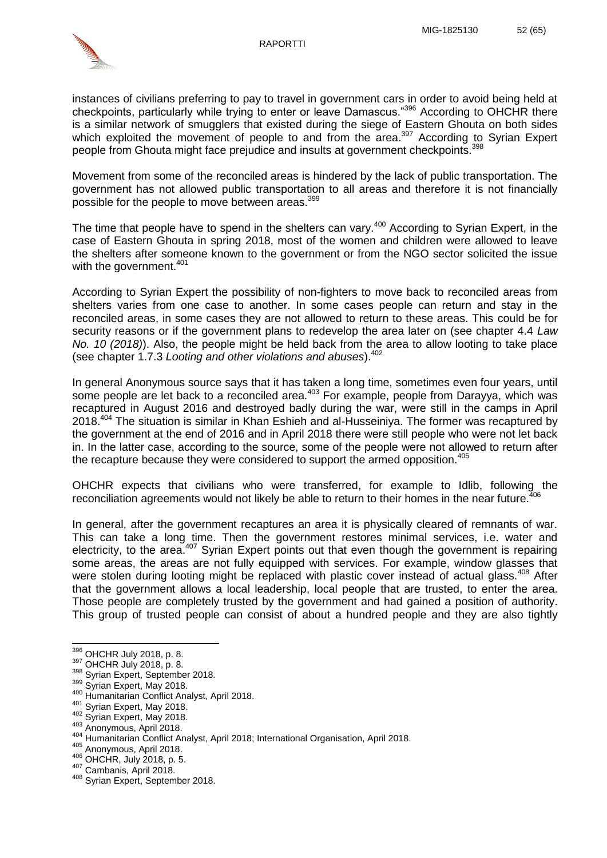

instances of civilians preferring to pay to travel in government cars in order to avoid being held at checkpoints, particularly while trying to enter or leave Damascus."<sup>396</sup> According to OHCHR there is a similar network of smugglers that existed during the siege of Eastern Ghouta on both sides which exploited the movement of people to and from the area.<sup>397</sup> According to Syrian Expert people from Ghouta might face prejudice and insults at government checkpoints.<sup>398</sup>

Movement from some of the reconciled areas is hindered by the lack of public transportation. The government has not allowed public transportation to all areas and therefore it is not financially possible for the people to move between areas.<sup>399</sup>

The time that people have to spend in the shelters can vary.<sup>400</sup> According to Syrian Expert, in the case of Eastern Ghouta in spring 2018, most of the women and children were allowed to leave the shelters after someone known to the government or from the NGO sector solicited the issue with the government.<sup>401</sup>

According to Syrian Expert the possibility of non-fighters to move back to reconciled areas from shelters varies from one case to another. In some cases people can return and stay in the reconciled areas, in some cases they are not allowed to return to these areas. This could be for security reasons or if the government plans to redevelop the area later on (see chapter 4.4 *Law No. 10 (2018)*). Also, the people might be held back from the area to allow looting to take place (see chapter 1.7.3 *Looting and other violations and abuses*).<sup>402</sup>

In general Anonymous source says that it has taken a long time, sometimes even four years, until some people are let back to a reconciled area.<sup>403</sup> For example, people from Darayya, which was recaptured in August 2016 and destroyed badly during the war, were still in the camps in April 2018.<sup>404</sup> The situation is similar in Khan Eshieh and al-Husseiniya. The former was recaptured by the government at the end of 2016 and in April 2018 there were still people who were not let back in. In the latter case, according to the source, some of the people were not allowed to return after the recapture because they were considered to support the armed opposition.<sup>405</sup>

OHCHR expects that civilians who were transferred, for example to Idlib, following the reconciliation agreements would not likely be able to return to their homes in the near future.<sup>4</sup>

In general, after the government recaptures an area it is physically cleared of remnants of war. This can take a long time. Then the government restores minimal services, i.e. water and electricity, to the area.<sup>407</sup> Syrian Expert points out that even though the government is repairing some areas, the areas are not fully equipped with services. For example, window glasses that were stolen during looting might be replaced with plastic cover instead of actual glass.<sup>408</sup> After that the government allows a local leadership, local people that are trusted, to enter the area. Those people are completely trusted by the government and had gained a position of authority. This group of trusted people can consist of about a hundred people and they are also tightly

 $\overline{a}$ 

 $^{396}$  OHCHR July 2018, p. 8.

<sup>397</sup> OHCHR July 2018, p. 8.

<sup>398</sup> Syrian Expert, September 2018.

<sup>399</sup> Syrian Expert, May 2018.

<sup>400</sup> Humanitarian Conflict Analyst, April 2018.

<sup>401</sup> Syrian Expert, May 2018.

<sup>402</sup> Syrian Expert, May 2018.

<sup>403</sup> Anonymous, April 2018.

<sup>404</sup> Humanitarian Conflict Analyst, April 2018; International Organisation, April 2018.

<sup>405</sup> Anonymous, April 2018.

<sup>406</sup> OHCHR, July 2018, p. 5.

<sup>407</sup> Cambanis, April 2018.

<sup>408</sup> Syrian Expert, September 2018.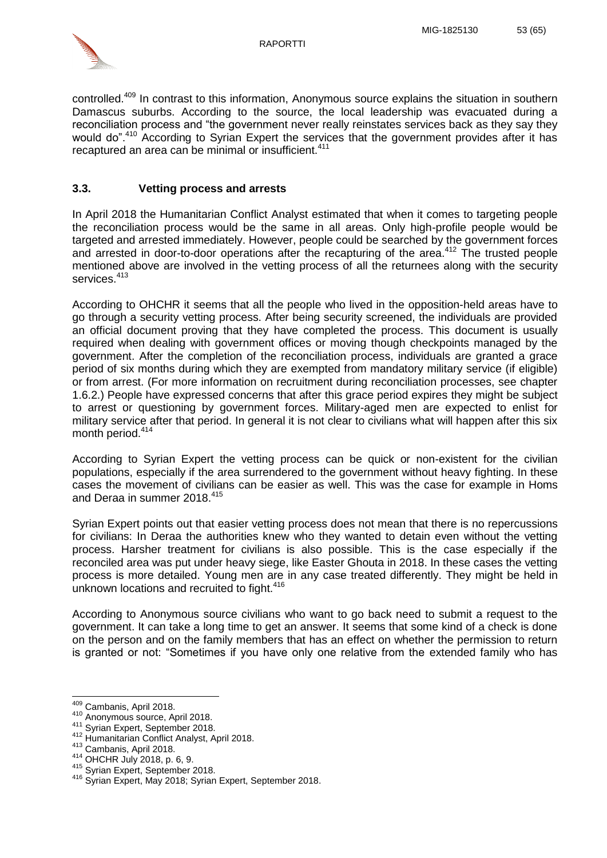

controlled.<sup>409</sup> In contrast to this information, Anonymous source explains the situation in southern Damascus suburbs. According to the source, the local leadership was evacuated during a reconciliation process and "the government never really reinstates services back as they say they would do".<sup>410</sup> According to Syrian Expert the services that the government provides after it has recaptured an area can be minimal or insufficient.<sup>411</sup>

## <span id="page-53-0"></span>**3.3. Vetting process and arrests**

In April 2018 the Humanitarian Conflict Analyst estimated that when it comes to targeting people the reconciliation process would be the same in all areas. Only high-profile people would be targeted and arrested immediately. However, people could be searched by the government forces and arrested in door-to-door operations after the recapturing of the area.<sup>412</sup> The trusted people mentioned above are involved in the vetting process of all the returnees along with the security services.<sup>413</sup>

According to OHCHR it seems that all the people who lived in the opposition-held areas have to go through a security vetting process. After being security screened, the individuals are provided an official document proving that they have completed the process. This document is usually required when dealing with government offices or moving though checkpoints managed by the government. After the completion of the reconciliation process, individuals are granted a grace period of six months during which they are exempted from mandatory military service (if eligible) or from arrest. (For more information on recruitment during reconciliation processes, see chapter 1.6.2.) People have expressed concerns that after this grace period expires they might be subject to arrest or questioning by government forces. Military-aged men are expected to enlist for military service after that period. In general it is not clear to civilians what will happen after this six month period.<sup>414</sup>

According to Syrian Expert the vetting process can be quick or non-existent for the civilian populations, especially if the area surrendered to the government without heavy fighting. In these cases the movement of civilians can be easier as well. This was the case for example in Homs and Deraa in summer 2018.<sup>415</sup>

Syrian Expert points out that easier vetting process does not mean that there is no repercussions for civilians: In Deraa the authorities knew who they wanted to detain even without the vetting process. Harsher treatment for civilians is also possible. This is the case especially if the reconciled area was put under heavy siege, like Easter Ghouta in 2018. In these cases the vetting process is more detailed. Young men are in any case treated differently. They might be held in unknown locations and recruited to fight.<sup>416</sup>

According to Anonymous source civilians who want to go back need to submit a request to the government. It can take a long time to get an answer. It seems that some kind of a check is done on the person and on the family members that has an effect on whether the permission to return is granted or not: "Sometimes if you have only one relative from the extended family who has

 $\overline{\phantom{a}}$ 

<sup>&</sup>lt;sup>409</sup> Cambanis, April 2018.

<sup>410</sup> Anonymous source, April 2018.

<sup>411</sup> Syrian Expert, September 2018.

<sup>412</sup> Humanitarian Conflict Analyst, April 2018.

<sup>413</sup> Cambanis, April 2018.

<sup>414</sup> OHCHR July 2018, p. 6, 9.

<sup>415</sup> Syrian Expert, September 2018.

<sup>416</sup> Syrian Expert, May 2018; Syrian Expert, September 2018.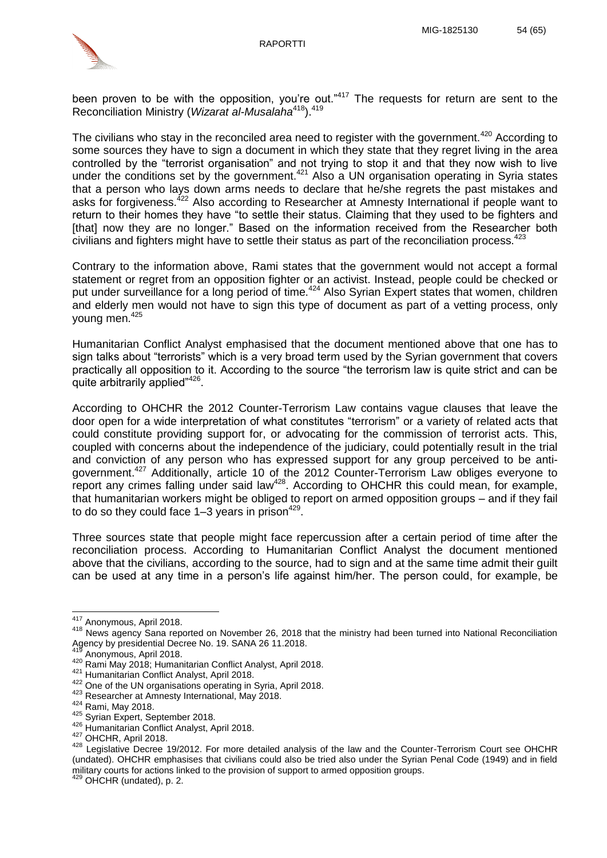

been proven to be with the opposition, you're out."<sup>417</sup> The requests for return are sent to the Reconciliation Ministry (*Wizarat al-Musalaha*<sup>418</sup>).<sup>419</sup>

The civilians who stay in the reconciled area need to register with the government.<sup>420</sup> According to some sources they have to sign a document in which they state that they regret living in the area controlled by the "terrorist organisation" and not trying to stop it and that they now wish to live under the conditions set by the government.<sup>421</sup> Also a UN organisation operating in Syria states that a person who lays down arms needs to declare that he/she regrets the past mistakes and asks for forgiveness.<sup>422</sup> Also according to Researcher at Amnesty International if people want to return to their homes they have "to settle their status. Claiming that they used to be fighters and [that] now they are no longer." Based on the information received from the Researcher both civilians and fighters might have to settle their status as part of the reconciliation process.<sup>423</sup>

Contrary to the information above, Rami states that the government would not accept a formal statement or regret from an opposition fighter or an activist. Instead, people could be checked or put under surveillance for a long period of time.<sup>424</sup> Also Syrian Expert states that women, children and elderly men would not have to sign this type of document as part of a vetting process, only young men.<sup>425</sup>

Humanitarian Conflict Analyst emphasised that the document mentioned above that one has to sign talks about "terrorists" which is a very broad term used by the Syrian government that covers practically all opposition to it. According to the source "the terrorism law is quite strict and can be quite arbitrarily applied"<sup>426</sup>.

According to OHCHR the 2012 Counter-Terrorism Law contains vague clauses that leave the door open for a wide interpretation of what constitutes "terrorism" or a variety of related acts that could constitute providing support for, or advocating for the commission of terrorist acts. This, coupled with concerns about the independence of the judiciary, could potentially result in the trial and conviction of any person who has expressed support for any group perceived to be antigovernment.<sup>427</sup> Additionally, article 10 of the 2012 Counter-Terrorism Law obliges everyone to report any crimes falling under said law<sup>428</sup>. According to OHCHR this could mean, for example, that humanitarian workers might be obliged to report on armed opposition groups – and if they fail to do so they could face  $1-3$  years in prison $429$ .

Three sources state that people might face repercussion after a certain period of time after the reconciliation process. According to Humanitarian Conflict Analyst the document mentioned above that the civilians, according to the source, had to sign and at the same time admit their guilt can be used at any time in a person's life against him/her. The person could, for example, be

 $\overline{\phantom{a}}$ 

<sup>&</sup>lt;sup>417</sup> Anonymous, April 2018.

<sup>418</sup> News agency Sana reported on November 26, 2018 that the ministry had been turned into National Reconciliation Agency by presidential Decree No. 19. SANA 26 11.2018.

Anonymous, April 2018.

<sup>420</sup> Rami May 2018; Humanitarian Conflict Analyst, April 2018.

<sup>421</sup> Humanitarian Conflict Analyst, April 2018.

<sup>422</sup> One of the UN organisations operating in Syria, April 2018.

<sup>423</sup> Researcher at Amnesty International, May 2018.

<sup>424</sup> Rami, May 2018.

<sup>425</sup> Syrian Expert, September 2018.

<sup>426</sup> Humanitarian Conflict Analyst, April 2018.

 $^{427}$  OHCHR, April 2018.

Legislative Decree 19/2012. For more detailed analysis of the law and the Counter-Terrorism Court see OHCHR (undated). OHCHR emphasises that civilians could also be tried also under the Syrian Penal Code (1949) and in field military courts for actions linked to the provision of support to armed opposition groups.

<sup>429</sup> OHCHR (undated), p. 2.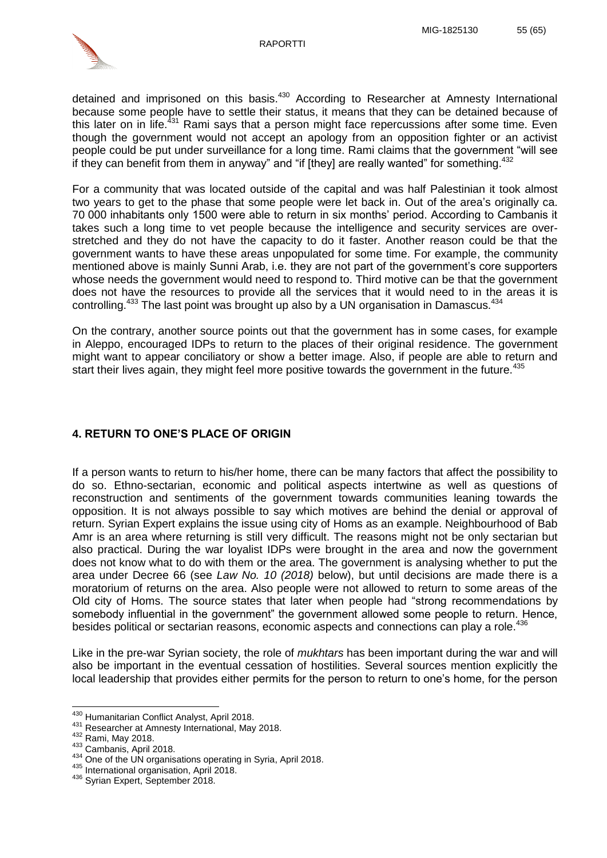

detained and imprisoned on this basis.<sup>430</sup> According to Researcher at Amnesty International because some people have to settle their status, it means that they can be detained because of this later on in life.<sup>431</sup> Rami says that a person might face repercussions after some time. Even though the government would not accept an apology from an opposition fighter or an activist people could be put under surveillance for a long time. Rami claims that the government "will see if they can benefit from them in anyway" and "if [they] are really wanted" for something. $432$ 

For a community that was located outside of the capital and was half Palestinian it took almost two years to get to the phase that some people were let back in. Out of the area's originally ca. 70 000 inhabitants only 1500 were able to return in six months' period. According to Cambanis it takes such a long time to vet people because the intelligence and security services are overstretched and they do not have the capacity to do it faster. Another reason could be that the government wants to have these areas unpopulated for some time. For example, the community mentioned above is mainly Sunni Arab, i.e. they are not part of the government's core supporters whose needs the government would need to respond to. Third motive can be that the government does not have the resources to provide all the services that it would need to in the areas it is controlling.<sup>433</sup> The last point was brought up also by a UN organisation in Damascus.<sup>434</sup>

On the contrary, another source points out that the government has in some cases, for example in Aleppo, encouraged IDPs to return to the places of their original residence. The government might want to appear conciliatory or show a better image. Also, if people are able to return and start their lives again, they might feel more positive towards the government in the future.<sup>435</sup>

## <span id="page-55-0"></span>**4. RETURN TO ONE'S PLACE OF ORIGIN**

If a person wants to return to his/her home, there can be many factors that affect the possibility to do so. Ethno-sectarian, economic and political aspects intertwine as well as questions of reconstruction and sentiments of the government towards communities leaning towards the opposition. It is not always possible to say which motives are behind the denial or approval of return. Syrian Expert explains the issue using city of Homs as an example. Neighbourhood of Bab Amr is an area where returning is still very difficult. The reasons might not be only sectarian but also practical. During the war loyalist IDPs were brought in the area and now the government does not know what to do with them or the area. The government is analysing whether to put the area under Decree 66 (see *Law No. 10 (2018)* below), but until decisions are made there is a moratorium of returns on the area. Also people were not allowed to return to some areas of the Old city of Homs. The source states that later when people had "strong recommendations by somebody influential in the government" the government allowed some people to return. Hence, besides political or sectarian reasons, economic aspects and connections can play a role.<sup>436</sup>

Like in the pre-war Syrian society, the role of *mukhtars* has been important during the war and will also be important in the eventual cessation of hostilities. Several sources mention explicitly the local leadership that provides either permits for the person to return to one's home, for the person

<sup>&</sup>lt;sup>430</sup> Humanitarian Conflict Analyst, April 2018.

<sup>431</sup> Researcher at Amnesty International, May 2018.

<sup>432</sup> Rami, May 2018.

<sup>433</sup> Cambanis, April 2018.

<sup>434</sup> One of the UN organisations operating in Syria, April 2018.

<sup>435</sup> International organisation, April 2018.

<sup>&</sup>lt;sup>436</sup> Syrian Expert, September 2018.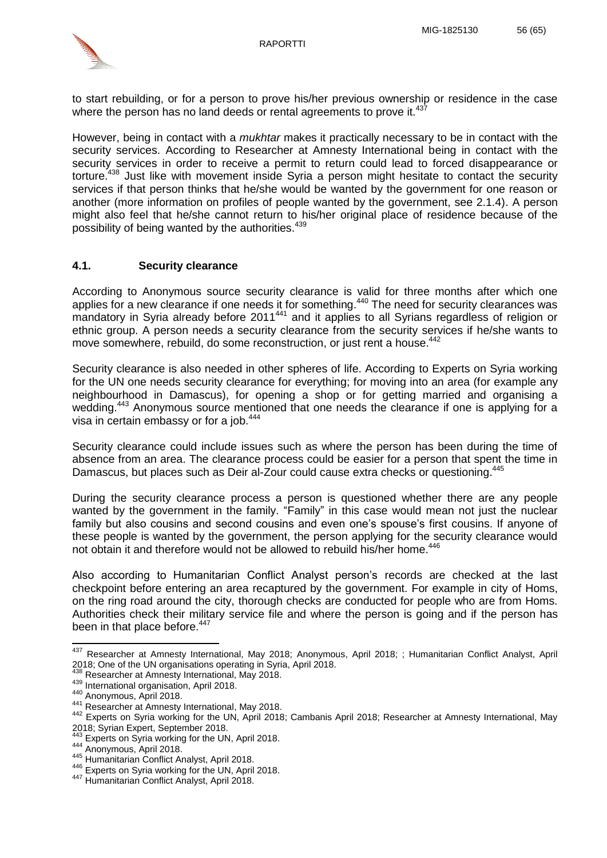

to start rebuilding, or for a person to prove his/her previous ownership or residence in the case where the person has no land deeds or rental agreements to prove it.<sup>437</sup>

However, being in contact with a *mukhtar* makes it practically necessary to be in contact with the security services. According to Researcher at Amnesty International being in contact with the security services in order to receive a permit to return could lead to forced disappearance or torture.<sup>438</sup> Just like with movement inside Syria a person might hesitate to contact the security services if that person thinks that he/she would be wanted by the government for one reason or another (more information on profiles of people wanted by the government, see 2.1.4). A person might also feel that he/she cannot return to his/her original place of residence because of the possibility of being wanted by the authorities.<sup>439</sup>

## <span id="page-56-0"></span>**4.1. Security clearance**

According to Anonymous source security clearance is valid for three months after which one applies for a new clearance if one needs it for something.<sup>440</sup> The need for security clearances was mandatory in Syria already before 2011<sup>441</sup> and it applies to all Syrians regardless of religion or ethnic group. A person needs a security clearance from the security services if he/she wants to move somewhere, rebuild, do some reconstruction, or just rent a house.<sup>442</sup>

Security clearance is also needed in other spheres of life. According to Experts on Syria working for the UN one needs security clearance for everything; for moving into an area (for example any neighbourhood in Damascus), for opening a shop or for getting married and organising a wedding.<sup>443</sup> Anonymous source mentioned that one needs the clearance if one is applying for a visa in certain embassy or for a job.<sup>444</sup>

Security clearance could include issues such as where the person has been during the time of absence from an area. The clearance process could be easier for a person that spent the time in Damascus, but places such as Deir al-Zour could cause extra checks or questioning.<sup>445</sup>

During the security clearance process a person is questioned whether there are any people wanted by the government in the family. "Family" in this case would mean not just the nuclear family but also cousins and second cousins and even one's spouse's first cousins. If anyone of these people is wanted by the government, the person applying for the security clearance would not obtain it and therefore would not be allowed to rebuild his/her home.<sup>446</sup>

Also according to Humanitarian Conflict Analyst person's records are checked at the last checkpoint before entering an area recaptured by the government. For example in city of Homs, on the ring road around the city, thorough checks are conducted for people who are from Homs. Authorities check their military service file and where the person is going and if the person has been in that place before.<sup>447</sup>

 $\overline{\phantom{a}}$ 

<sup>&</sup>lt;sup>437</sup> Researcher at Amnesty International, May 2018; Anonymous, April 2018; ; Humanitarian Conflict Analyst, April 2018; One of the UN organisations operating in Syria, April 2018.

Researcher at Amnesty International, May 2018.

<sup>439</sup> International organisation, April 2018.

<sup>440</sup> Anonymous, April 2018.

<sup>441</sup> Researcher at Amnesty International, May 2018.

<sup>442</sup> Experts on Syria working for the UN, April 2018; Cambanis April 2018; Researcher at Amnesty International, May 2018; Syrian Expert, September 2018.

<sup>443</sup> Experts on Syria working for the UN, April 2018.

Anonymous, April 2018.

<sup>445</sup> Humanitarian Conflict Analyst, April 2018.

<sup>446</sup> Experts on Syria working for the UN, April 2018.

<sup>447</sup> Humanitarian Conflict Analyst, April 2018.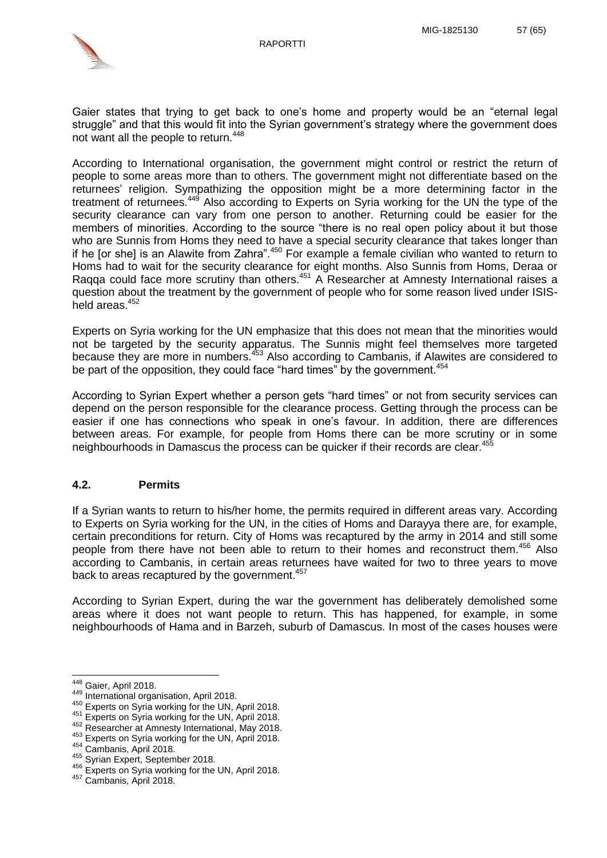

Gaier states that trying to get back to one's home and property would be an "eternal legal struggle" and that this would fit into the Syrian government's strategy where the government does not want all the people to return.<sup>448</sup>

RAPORTTI

According to International organisation, the government might control or restrict the return of people to some areas more than to others. The government might not differentiate based on the returnees' religion. Sympathizing the opposition might be a more determining factor in the treatment of returnees.<sup>449</sup> Also according to Experts on Syria working for the UN the type of the security clearance can vary from one person to another. Returning could be easier for the members of minorities. According to the source "there is no real open policy about it but those who are Sunnis from Homs they need to have a special security clearance that takes longer than if he [or she] is an Alawite from Zahra".<sup>450</sup> For example a female civilian who wanted to return to Homs had to wait for the security clearance for eight months. Also Sunnis from Homs, Deraa or Raqqa could face more scrutiny than others.<sup>451</sup> A Researcher at Amnesty International raises a question about the treatment by the government of people who for some reason lived under ISISheld areas.<sup>452</sup>

Experts on Syria working for the UN emphasize that this does not mean that the minorities would not be targeted by the security apparatus. The Sunnis might feel themselves more targeted because they are more in numbers.<sup>453</sup> Also according to Cambanis, if Alawites are considered to be part of the opposition, they could face "hard times" by the government.  $454$ 

According to Syrian Expert whether a person gets "hard times" or not from security services can depend on the person responsible for the clearance process. Getting through the process can be easier if one has connections who speak in one's favour. In addition, there are differences between areas. For example, for people from Homs there can be more scrutiny or in some neighbourhoods in Damascus the process can be quicker if their records are clear.<sup>455</sup>

### <span id="page-57-0"></span>**4.2. Permits**

If a Syrian wants to return to his/her home, the permits required in different areas vary. According to Experts on Syria working for the UN, in the cities of Homs and Darayya there are, for example, certain preconditions for return. City of Homs was recaptured by the army in 2014 and still some people from there have not been able to return to their homes and reconstruct them.<sup>456</sup> Also according to Cambanis, in certain areas returnees have waited for two to three years to move back to areas recaptured by the government.<sup>457</sup>

According to Syrian Expert, during the war the government has deliberately demolished some areas where it does not want people to return. This has happened, for example, in some neighbourhoods of Hama and in Barzeh, suburb of Damascus. In most of the cases houses were

<sup>&</sup>lt;sup>448</sup> Gaier, April 2018.

 $^{449}$  International organisation, April 2018.

<sup>450</sup> Experts on Syria working for the UN, April 2018.

<sup>451</sup> Experts on Syria working for the UN, April 2018.

<sup>452</sup> Researcher at Amnesty International, May 2018.

<sup>453</sup> Experts on Syria working for the UN, April 2018.

Cambanis, April 2018.

<sup>455</sup> Syrian Expert, September 2018.

<sup>456</sup> Experts on Syria working for the UN, April 2018.

<sup>457</sup> Cambanis, April 2018.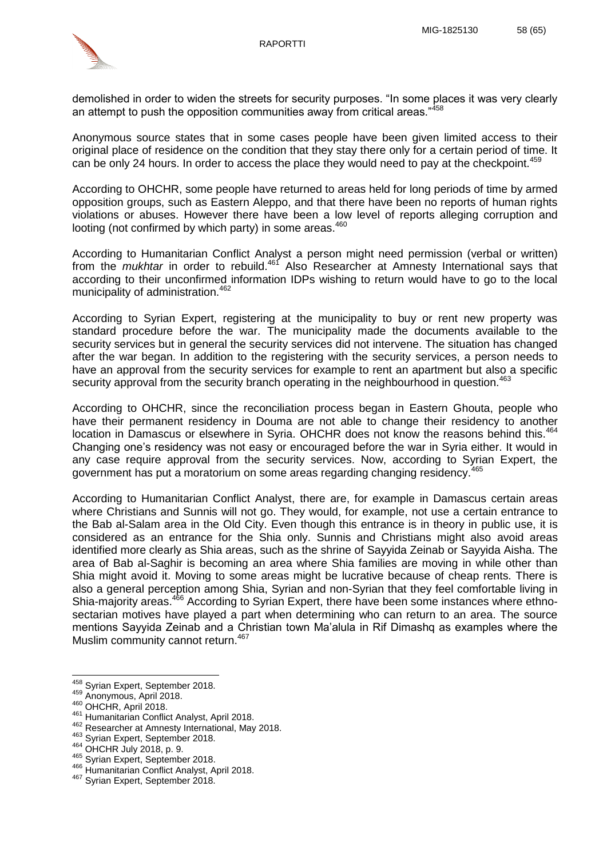demolished in order to widen the streets for security purposes. "In some places it was very clearly an attempt to push the opposition communities away from critical areas."<sup>458</sup>

RAPORTTI

Anonymous source states that in some cases people have been given limited access to their original place of residence on the condition that they stay there only for a certain period of time. It can be only 24 hours. In order to access the place they would need to pay at the checkpoint.<sup>459</sup>

According to OHCHR, some people have returned to areas held for long periods of time by armed opposition groups, such as Eastern Aleppo, and that there have been no reports of human rights violations or abuses. However there have been a low level of reports alleging corruption and looting (not confirmed by which party) in some areas. $460$ 

According to Humanitarian Conflict Analyst a person might need permission (verbal or written) from the *mukhtar* in order to rebuild.<sup>461</sup> Also Researcher at Amnesty International says that according to their unconfirmed information IDPs wishing to return would have to go to the local municipality of administration.<sup>462</sup>

According to Syrian Expert, registering at the municipality to buy or rent new property was standard procedure before the war. The municipality made the documents available to the security services but in general the security services did not intervene. The situation has changed after the war began. In addition to the registering with the security services, a person needs to have an approval from the security services for example to rent an apartment but also a specific security approval from the security branch operating in the neighbourhood in question.<sup>463</sup>

According to OHCHR, since the reconciliation process began in Eastern Ghouta, people who have their permanent residency in Douma are not able to change their residency to another location in Damascus or elsewhere in Syria. OHCHR does not know the reasons behind this.<sup>464</sup> Changing one's residency was not easy or encouraged before the war in Syria either. It would in any case require approval from the security services. Now, according to Syrian Expert, the government has put a moratorium on some areas regarding changing residency.<sup>465</sup>

According to Humanitarian Conflict Analyst, there are, for example in Damascus certain areas where Christians and Sunnis will not go. They would, for example, not use a certain entrance to the Bab al-Salam area in the Old City. Even though this entrance is in theory in public use, it is considered as an entrance for the Shia only. Sunnis and Christians might also avoid areas identified more clearly as Shia areas, such as the shrine of Sayyida Zeinab or Sayyida Aisha. The area of Bab al-Saghir is becoming an area where Shia families are moving in while other than Shia might avoid it. Moving to some areas might be lucrative because of cheap rents. There is also a general perception among Shia, Syrian and non-Syrian that they feel comfortable living in Shia-majority areas.<sup>466</sup> According to Syrian Expert, there have been some instances where ethnosectarian motives have played a part when determining who can return to an area. The source mentions Sayyida Zeinab and a Christian town Ma'alula in Rif Dimashq as examples where the Muslim community cannot return.<sup>467</sup>

<sup>&</sup>lt;sup>458</sup> Syrian Expert, September 2018.

<sup>459</sup> Anonymous, April 2018.

<sup>460</sup> OHCHR, April 2018.

<sup>461</sup> Humanitarian Conflict Analyst, April 2018.

<sup>462</sup> Researcher at Amnesty International, May 2018.

<sup>463</sup> Syrian Expert, September 2018.

<sup>464</sup> OHCHR July 2018, p. 9.

<sup>465</sup> Syrian Expert, September 2018.

<sup>466</sup> Humanitarian Conflict Analyst, April 2018.

<sup>&</sup>lt;sup>467</sup> Syrian Expert, September 2018.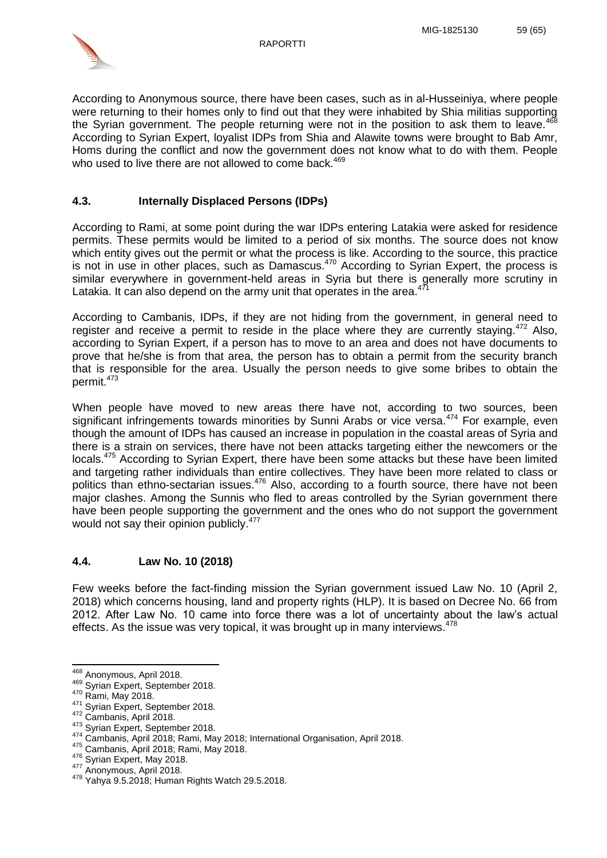

According to Anonymous source, there have been cases, such as in al-Husseiniya, where people were returning to their homes only to find out that they were inhabited by Shia militias supporting the Syrian government. The people returning were not in the position to ask them to leave.<sup>468</sup> According to Syrian Expert, loyalist IDPs from Shia and Alawite towns were brought to Bab Amr, Homs during the conflict and now the government does not know what to do with them. People who used to live there are not allowed to come back.<sup>469</sup>

# <span id="page-59-0"></span>**4.3. Internally Displaced Persons (IDPs)**

According to Rami, at some point during the war IDPs entering Latakia were asked for residence permits. These permits would be limited to a period of six months. The source does not know which entity gives out the permit or what the process is like. According to the source, this practice is not in use in other places, such as Damascus.<sup>470</sup> According to Syrian Expert, the process is similar everywhere in government-held areas in Syria but there is generally more scrutiny in Latakia. It can also depend on the army unit that operates in the area. $47$ 

According to Cambanis, IDPs, if they are not hiding from the government, in general need to register and receive a permit to reside in the place where they are currently staying.<sup>472</sup> Also, according to Syrian Expert, if a person has to move to an area and does not have documents to prove that he/she is from that area, the person has to obtain a permit from the security branch that is responsible for the area. Usually the person needs to give some bribes to obtain the permit.<sup>473</sup>

When people have moved to new areas there have not, according to two sources, been significant infringements towards minorities by Sunni Arabs or vice versa.<sup>474</sup> For example, even though the amount of IDPs has caused an increase in population in the coastal areas of Syria and there is a strain on services, there have not been attacks targeting either the newcomers or the locals.<sup>475</sup> According to Syrian Expert, there have been some attacks but these have been limited and targeting rather individuals than entire collectives. They have been more related to class or politics than ethno-sectarian issues.<sup>476</sup> Also, according to a fourth source, there have not been major clashes. Among the Sunnis who fled to areas controlled by the Syrian government there have been people supporting the government and the ones who do not support the government would not say their opinion publicly.<sup>477</sup>

## <span id="page-59-1"></span>**4.4. Law No. 10 (2018)**

Few weeks before the fact-finding mission the Syrian government issued Law No. 10 (April 2, 2018) which concerns housing, land and property rights (HLP). It is based on Decree No. 66 from 2012. After Law No. 10 came into force there was a lot of uncertainty about the law's actual effects. As the issue was very topical, it was brought up in many interviews. $478$ 

 $\overline{a}$ 

476 Syrian Expert, May 2018.

<sup>&</sup>lt;sup>468</sup> Anonymous, April 2018.

<sup>469</sup> Syrian Expert, September 2018.

<sup>470</sup> Rami, May 2018.

<sup>471</sup> Syrian Expert, September 2018.

<sup>472</sup> Cambanis, April 2018.

<sup>473</sup> Syrian Expert, September 2018.

<sup>474</sup> Cambanis, April 2018; Rami, May 2018; International Organisation, April 2018.

Cambanis, April 2018; Rami, May 2018.

<sup>477</sup> Anonymous, April 2018.

<sup>478</sup> Yahya 9.5.2018; Human Rights Watch 29.5.2018.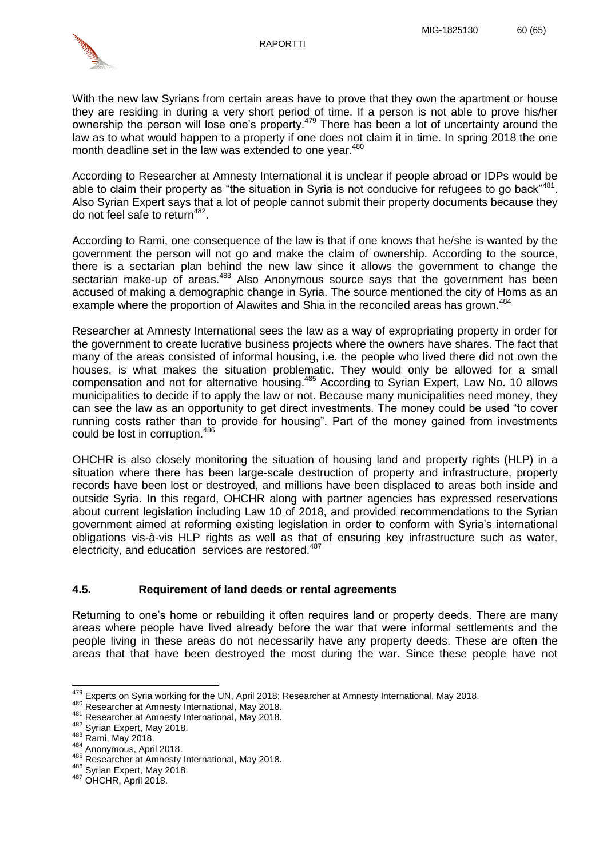

With the new law Syrians from certain areas have to prove that they own the apartment or house they are residing in during a very short period of time. If a person is not able to prove his/her ownership the person will lose one's property.<sup>479</sup> There has been a lot of uncertainty around the law as to what would happen to a property if one does not claim it in time. In spring 2018 the one month deadline set in the law was extended to one year.<sup>480</sup>

According to Researcher at Amnesty International it is unclear if people abroad or IDPs would be able to claim their property as "the situation in Syria is not conducive for refugees to go back"<sup>481</sup>. Also Syrian Expert says that a lot of people cannot submit their property documents because they do not feel safe to return<sup>482</sup>.

According to Rami, one consequence of the law is that if one knows that he/she is wanted by the government the person will not go and make the claim of ownership. According to the source, there is a sectarian plan behind the new law since it allows the government to change the sectarian make-up of areas.<sup>483</sup> Also Anonymous source says that the government has been accused of making a demographic change in Syria. The source mentioned the city of Homs as an example where the proportion of Alawites and Shia in the reconciled areas has grown.<sup>484</sup>

Researcher at Amnesty International sees the law as a way of expropriating property in order for the government to create lucrative business projects where the owners have shares. The fact that many of the areas consisted of informal housing, i.e. the people who lived there did not own the houses, is what makes the situation problematic. They would only be allowed for a small compensation and not for alternative housing.<sup>485</sup> According to Syrian Expert, Law No. 10 allows municipalities to decide if to apply the law or not. Because many municipalities need money, they can see the law as an opportunity to get direct investments. The money could be used "to cover running costs rather than to provide for housing". Part of the money gained from investments could be lost in corruption.<sup>486</sup>

OHCHR is also closely monitoring the situation of housing land and property rights (HLP) in a situation where there has been large-scale destruction of property and infrastructure, property records have been lost or destroyed, and millions have been displaced to areas both inside and outside Syria. In this regard, OHCHR along with partner agencies has expressed reservations about current legislation including Law 10 of 2018, and provided recommendations to the Syrian government aimed at reforming existing legislation in order to conform with Syria's international obligations vis-à-vis HLP rights as well as that of ensuring key infrastructure such as water, electricity, and education services are restored.<sup>487</sup>

### <span id="page-60-0"></span>**4.5. Requirement of land deeds or rental agreements**

Returning to one's home or rebuilding it often requires land or property deeds. There are many areas where people have lived already before the war that were informal settlements and the people living in these areas do not necessarily have any property deeds. These are often the areas that that have been destroyed the most during the war. Since these people have not

 $^{479}_{479}$  Experts on Syria working for the UN, April 2018; Researcher at Amnesty International, May 2018.

<sup>480</sup> Researcher at Amnesty International, May 2018.

<sup>481</sup> Researcher at Amnesty International, May 2018.

<sup>482</sup> Syrian Expert, May 2018.

 $^{483}_{484}$  Rami, May 2018.

Anonymous, April 2018.

<sup>485</sup> Researcher at Amnesty International, May 2018.

<sup>486</sup> Syrian Expert, May 2018.

<sup>487</sup> OHCHR, April 2018.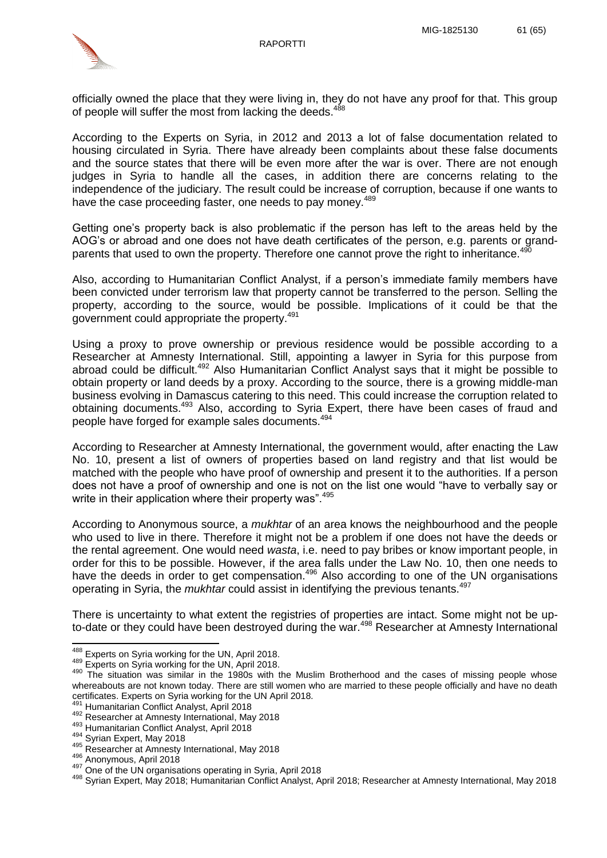

officially owned the place that they were living in, they do not have any proof for that. This group of people will suffer the most from lacking the deeds.<sup>488</sup>

According to the Experts on Syria, in 2012 and 2013 a lot of false documentation related to housing circulated in Syria. There have already been complaints about these false documents and the source states that there will be even more after the war is over. There are not enough judges in Syria to handle all the cases, in addition there are concerns relating to the independence of the judiciary. The result could be increase of corruption, because if one wants to have the case proceeding faster, one needs to pay money.<sup>489</sup>

Getting one's property back is also problematic if the person has left to the areas held by the AOG's or abroad and one does not have death certificates of the person, e.g. parents or grandparents that used to own the property. Therefore one cannot prove the right to inheritance.<sup>490</sup>

Also, according to Humanitarian Conflict Analyst, if a person's immediate family members have been convicted under terrorism law that property cannot be transferred to the person. Selling the property, according to the source, would be possible. Implications of it could be that the government could appropriate the property.<sup>491</sup>

Using a proxy to prove ownership or previous residence would be possible according to a Researcher at Amnesty International. Still, appointing a lawyer in Syria for this purpose from abroad could be difficult.<sup>492</sup> Also Humanitarian Conflict Analyst says that it might be possible to obtain property or land deeds by a proxy. According to the source, there is a growing middle-man business evolving in Damascus catering to this need. This could increase the corruption related to obtaining documents.<sup>493</sup> Also, according to Syria Expert, there have been cases of fraud and people have forged for example sales documents.<sup>494</sup>

According to Researcher at Amnesty International, the government would, after enacting the Law No. 10, present a list of owners of properties based on land registry and that list would be matched with the people who have proof of ownership and present it to the authorities. If a person does not have a proof of ownership and one is not on the list one would "have to verbally say or write in their application where their property was".<sup>495</sup>

According to Anonymous source, a *mukhtar* of an area knows the neighbourhood and the people who used to live in there. Therefore it might not be a problem if one does not have the deeds or the rental agreement. One would need *wasta*, i.e. need to pay bribes or know important people, in order for this to be possible. However, if the area falls under the Law No. 10, then one needs to have the deeds in order to get compensation.<sup>496</sup> Also according to one of the UN organisations operating in Syria, the *mukhtar* could assist in identifying the previous tenants.<sup>497</sup>

There is uncertainty to what extent the registries of properties are intact. Some might not be upto-date or they could have been destroyed during the war.<sup>498</sup> Researcher at Amnesty International

 $\overline{\phantom{a}}$ <sup>488</sup> Experts on Syria working for the UN, April 2018.

<sup>489</sup> Experts on Syria working for the UN, April 2018.

<sup>490</sup> The situation was similar in the 1980s with the Muslim Brotherhood and the cases of missing people whose whereabouts are not known today. There are still women who are married to these people officially and have no death certificates. Experts on Syria working for the UN April 2018*.*

<sup>491</sup> Humanitarian Conflict Analyst, April 2018

<sup>492</sup> Researcher at Amnesty International, May 2018

<sup>493</sup> Humanitarian Conflict Analyst, April 2018

<sup>494</sup> Syrian Expert, May 2018

<sup>495</sup> Synch Entry at Amnesty International, May 2018

<sup>496</sup> Anonymous, April 2018

<sup>497</sup> One of the UN organisations operating in Syria, April 2018

<sup>498</sup> Syrian Expert, May 2018; Humanitarian Conflict Analyst, April 2018; Researcher at Amnesty International, May 2018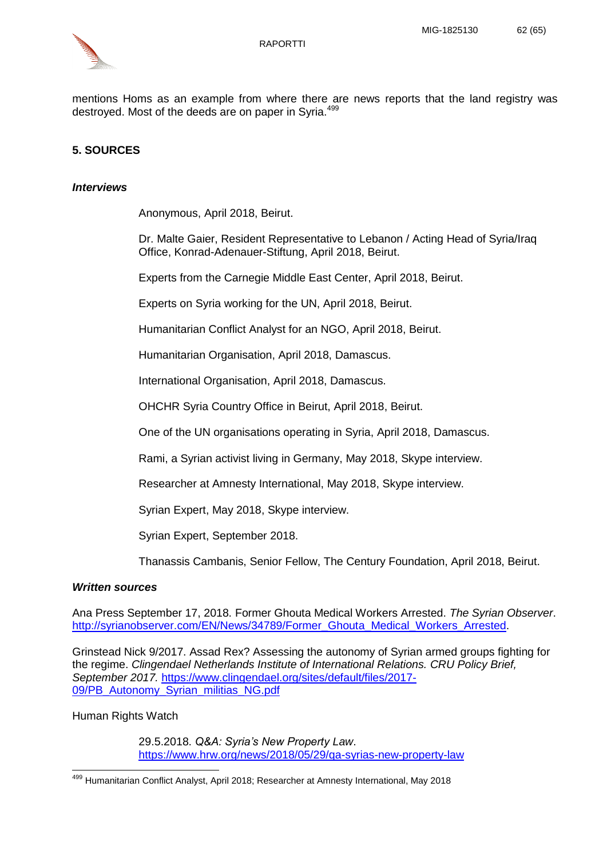

mentions Homs as an example from where there are news reports that the land registry was destroyed. Most of the deeds are on paper in Syria.<sup>499</sup>

### <span id="page-62-0"></span>**5. SOURCES**

#### *Interviews*

Anonymous, April 2018, Beirut.

Dr. Malte Gaier, Resident Representative to Lebanon / Acting Head of Syria/Iraq Office, Konrad-Adenauer-Stiftung, April 2018, Beirut.

Experts from the Carnegie Middle East Center, April 2018, Beirut.

Experts on Syria working for the UN, April 2018, Beirut.

Humanitarian Conflict Analyst for an NGO, April 2018, Beirut.

Humanitarian Organisation, April 2018, Damascus.

International Organisation, April 2018, Damascus.

OHCHR Syria Country Office in Beirut, April 2018, Beirut.

One of the UN organisations operating in Syria, April 2018, Damascus.

Rami, a Syrian activist living in Germany, May 2018, Skype interview.

Researcher at Amnesty International, May 2018, Skype interview.

Syrian Expert, May 2018, Skype interview.

Syrian Expert, September 2018.

Thanassis Cambanis, Senior Fellow, The Century Foundation, April 2018, Beirut.

#### *Written sources*

Ana Press September 17, 2018. Former Ghouta Medical Workers Arrested. *The Syrian Observer*. [http://syrianobserver.com/EN/News/34789/Former\\_Ghouta\\_Medical\\_Workers\\_Arrested.](http://syrianobserver.com/EN/News/34789/Former_Ghouta_Medical_Workers_Arrested)

Grinstead Nick 9/2017. Assad Rex? Assessing the autonomy of Syrian armed groups fighting for the regime. *Clingendael Netherlands Institute of International Relations. CRU Policy Brief, September 2017.* [https://www.clingendael.org/sites/default/files/2017-](https://www.clingendael.org/sites/default/files/2017-09/PB_Autonomy_Syrian_militias_NG.pdf) 09/PB Autonomy Syrian militias NG.pdf

Human Rights Watch

 $\overline{a}$ 

29.5.2018. *Q&A: Syria's New Property Law*. <https://www.hrw.org/news/2018/05/29/qa-syrias-new-property-law>

<sup>&</sup>lt;sup>499</sup> Humanitarian Conflict Analyst, April 2018; Researcher at Amnesty International, May 2018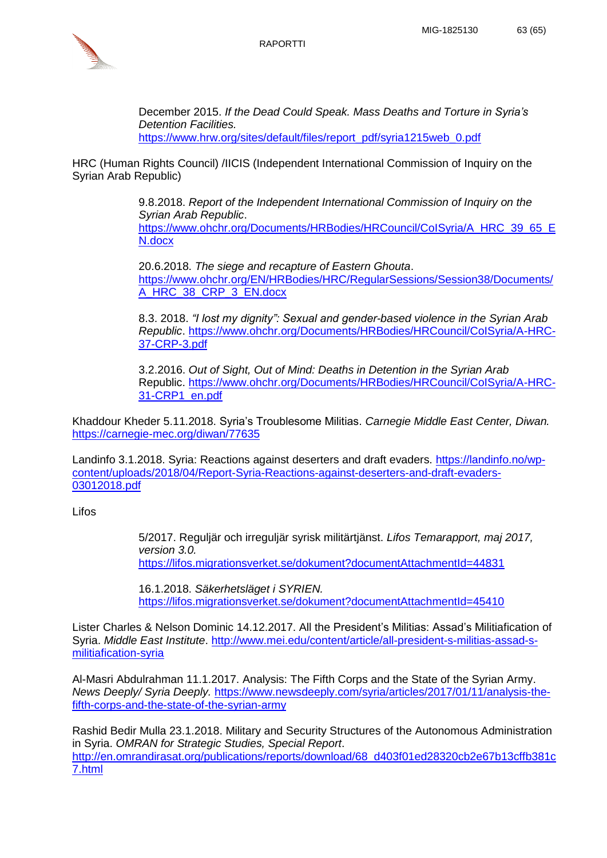

RAPORTTI

December 2015. *If the Dead Could Speak. Mass Deaths and Torture in Syria's Detention Facilities.* [https://www.hrw.org/sites/default/files/report\\_pdf/syria1215web\\_0.pdf](https://www.hrw.org/sites/default/files/report_pdf/syria1215web_0.pdf) 

HRC (Human Rights Council) /IICIS (Independent International Commission of Inquiry on the Syrian Arab Republic)

> 9.8.2018. *Report of the Independent International Commission of Inquiry on the Syrian Arab Republic*. [https://www.ohchr.org/Documents/HRBodies/HRCouncil/CoISyria/A\\_HRC\\_39\\_65\\_E](https://www.ohchr.org/Documents/HRBodies/HRCouncil/CoISyria/A_HRC_39_65_EN.docx) [N.docx](https://www.ohchr.org/Documents/HRBodies/HRCouncil/CoISyria/A_HRC_39_65_EN.docx)

> 20.6.2018. *The siege and recapture of Eastern Ghouta*. [https://www.ohchr.org/EN/HRBodies/HRC/RegularSessions/Session38/Documents/](https://www.ohchr.org/EN/HRBodies/HRC/RegularSessions/Session38/Documents/A_HRC_38_CRP_3_EN.docx) [A\\_HRC\\_38\\_CRP\\_3\\_EN.docx](https://www.ohchr.org/EN/HRBodies/HRC/RegularSessions/Session38/Documents/A_HRC_38_CRP_3_EN.docx)

> 8.3. 2018. *"I lost my dignity": Sexual and gender-based violence in the Syrian Arab Republic*. [https://www.ohchr.org/Documents/HRBodies/HRCouncil/CoISyria/A-HRC-](https://www.ohchr.org/Documents/HRBodies/HRCouncil/CoISyria/A-HRC-37-CRP-3.pdf)[37-CRP-3.pdf](https://www.ohchr.org/Documents/HRBodies/HRCouncil/CoISyria/A-HRC-37-CRP-3.pdf)

> 3.2.2016. *Out of Sight, Out of Mind: Deaths in Detention in the Syrian Arab* Republic. [https://www.ohchr.org/Documents/HRBodies/HRCouncil/CoISyria/A-HRC-](https://www.ohchr.org/Documents/HRBodies/HRCouncil/CoISyria/A-HRC-31-CRP1_en.pdf)[31-CRP1\\_en.pdf](https://www.ohchr.org/Documents/HRBodies/HRCouncil/CoISyria/A-HRC-31-CRP1_en.pdf)

Khaddour Kheder 5.11.2018. Syria's Troublesome Militias. *Carnegie Middle East Center, Diwan.* <https://carnegie-mec.org/diwan/77635>

Landinfo 3.1.2018. Syria: Reactions against deserters and draft evaders. [https://landinfo.no/wp](https://landinfo.no/wp-content/uploads/2018/04/Report-Syria-Reactions-against-deserters-and-draft-evaders-03012018.pdf)[content/uploads/2018/04/Report-Syria-Reactions-against-deserters-and-draft-evaders-](https://landinfo.no/wp-content/uploads/2018/04/Report-Syria-Reactions-against-deserters-and-draft-evaders-03012018.pdf)[03012018.pdf](https://landinfo.no/wp-content/uploads/2018/04/Report-Syria-Reactions-against-deserters-and-draft-evaders-03012018.pdf)

Lifos

5/2017. Reguljär och irreguljär syrisk militärtjänst. *Lifos Temarapport, maj 2017, version 3.0.*  <https://lifos.migrationsverket.se/dokument?documentAttachmentId=44831>

16.1.2018. *Säkerhetsläget i SYRIEN.* <https://lifos.migrationsverket.se/dokument?documentAttachmentId=45410>

Lister Charles & Nelson Dominic 14.12.2017. All the President's Militias: Assad's Militiafication of Syria. *Middle East Institute*. [http://www.mei.edu/content/article/all-president-s-militias-assad-s](http://www.mei.edu/content/article/all-president-s-militias-assad-s-militiafication-syria)[militiafication-syria](http://www.mei.edu/content/article/all-president-s-militias-assad-s-militiafication-syria)

Al-Masri Abdulrahman 11.1.2017. Analysis: The Fifth Corps and the State of the Syrian Army. *News Deeply/ Syria Deeply.* [https://www.newsdeeply.com/syria/articles/2017/01/11/analysis-the](https://www.newsdeeply.com/syria/articles/2017/01/11/analysis-the-fifth-corps-and-the-state-of-the-syrian-army)[fifth-corps-and-the-state-of-the-syrian-army](https://www.newsdeeply.com/syria/articles/2017/01/11/analysis-the-fifth-corps-and-the-state-of-the-syrian-army)

Rashid Bedir Mulla 23.1.2018. Military and Security Structures of the Autonomous Administration in Syria. *OMRAN for Strategic Studies, Special Report*. [http://en.omrandirasat.org/publications/reports/download/68\\_d403f01ed28320cb2e67b13cffb381c](http://en.omrandirasat.org/publications/reports/download/68_d403f01ed28320cb2e67b13cffb381c7.html) [7.html](http://en.omrandirasat.org/publications/reports/download/68_d403f01ed28320cb2e67b13cffb381c7.html)